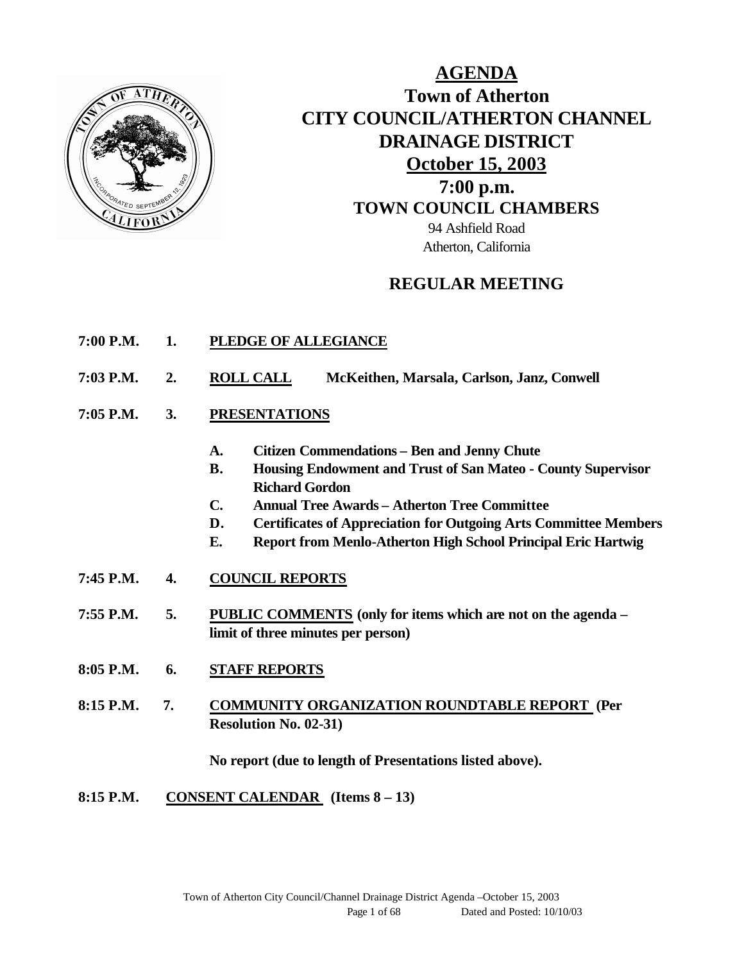

## **AGENDA Town of Atherton CITY COUNCIL/ATHERTON CHANNEL DRAINAGE DISTRICT October 15, 2003 7:00 p.m. TOWN COUNCIL CHAMBERS** 94 Ashfield Road Atherton, California

## **REGULAR MEETING**

- **7:00 P.M. 1. PLEDGE OF ALLEGIANCE**
- **7:03 P.M. 2. ROLL CALL McKeithen, Marsala, Carlson, Janz, Conwell**
- **7:05 P.M. 3. PRESENTATIONS** 
	- **A. Citizen Commendations Ben and Jenny Chute**
	- **B. Housing Endowment and Trust of San Mateo County Supervisor Richard Gordon**
	- **C. Annual Tree Awards Atherton Tree Committee**
	- **D. Certificates of Appreciation for Outgoing Arts Committee Members**
	- **E. Report from Menlo-Atherton High School Principal Eric Hartwig**
- **7:45 P.M. 4. COUNCIL REPORTS**
- **7:55 P.M. 5. PUBLIC COMMENTS (only for items which are not on the agenda – limit of three minutes per person)**
- **8:05 P.M. 6. STAFF REPORTS**
- **8:15 P.M. 7. COMMUNITY ORGANIZATION ROUNDTABLE REPORT (Per Resolution No. 02-31)**

**No report (due to length of Presentations listed above).**

**8:15 P.M. CONSENT CALENDAR (Items 8 – 13)**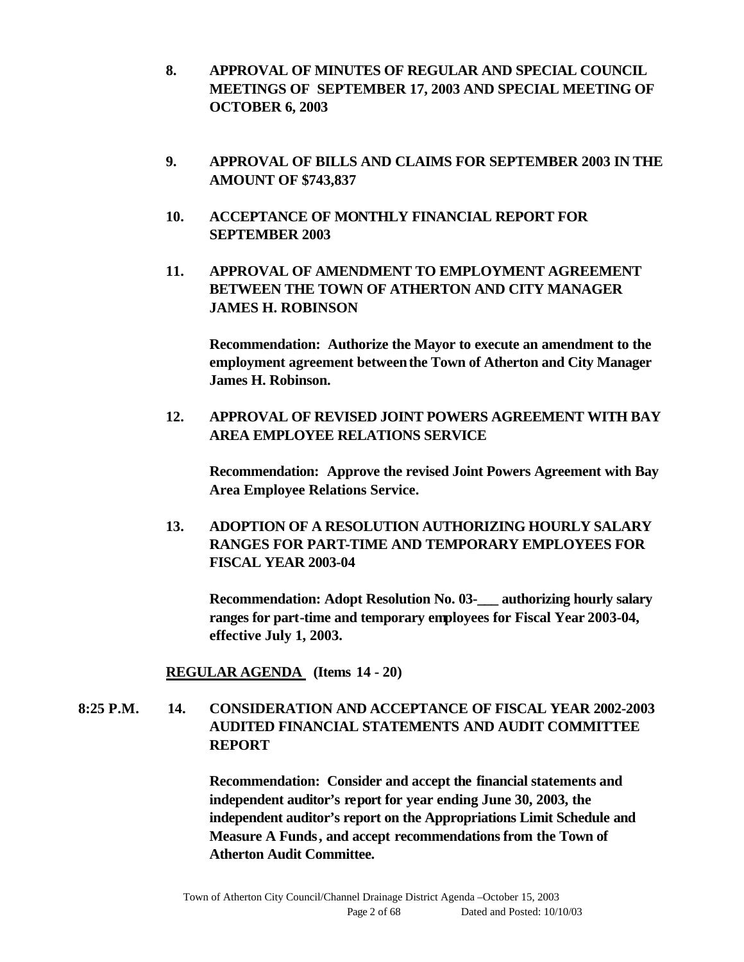- **8. APPROVAL OF MINUTES OF REGULAR AND SPECIAL COUNCIL MEETINGS OF SEPTEMBER 17, 2003 AND SPECIAL MEETING OF OCTOBER 6, 2003**
- **9. APPROVAL OF BILLS AND CLAIMS FOR SEPTEMBER 2003 IN THE AMOUNT OF \$743,837**
- **10. ACCEPTANCE OF MONTHLY FINANCIAL REPORT FOR SEPTEMBER 2003**
- **11. APPROVAL OF AMENDMENT TO EMPLOYMENT AGREEMENT BETWEEN THE TOWN OF ATHERTON AND CITY MANAGER JAMES H. ROBINSON**

**Recommendation: Authorize the Mayor to execute an amendment to the employment agreement between the Town of Atherton and City Manager James H. Robinson.**

**12. APPROVAL OF REVISED JOINT POWERS AGREEMENT WITH BAY AREA EMPLOYEE RELATIONS SERVICE**

**Recommendation: Approve the revised Joint Powers Agreement with Bay Area Employee Relations Service.**

**13. ADOPTION OF A RESOLUTION AUTHORIZING HOURLY SALARY RANGES FOR PART-TIME AND TEMPORARY EMPLOYEES FOR FISCAL YEAR 2003-04** 

**Recommendation: Adopt Resolution No. 03-\_\_\_ authorizing hourly salary ranges for part-time and temporary employees for Fiscal Year 2003-04, effective July 1, 2003.**

#### **REGULAR AGENDA (Items 14 - 20)**

## **8:25 P.M. 14. CONSIDERATION AND ACCEPTANCE OF FISCAL YEAR 2002-2003 AUDITED FINANCIAL STATEMENTS AND AUDIT COMMITTEE REPORT**

**Recommendation: Consider and accept the financial statements and independent auditor's report for year ending June 30, 2003, the independent auditor's report on the Appropriations Limit Schedule and Measure A Funds, and accept recommendations from the Town of Atherton Audit Committee.**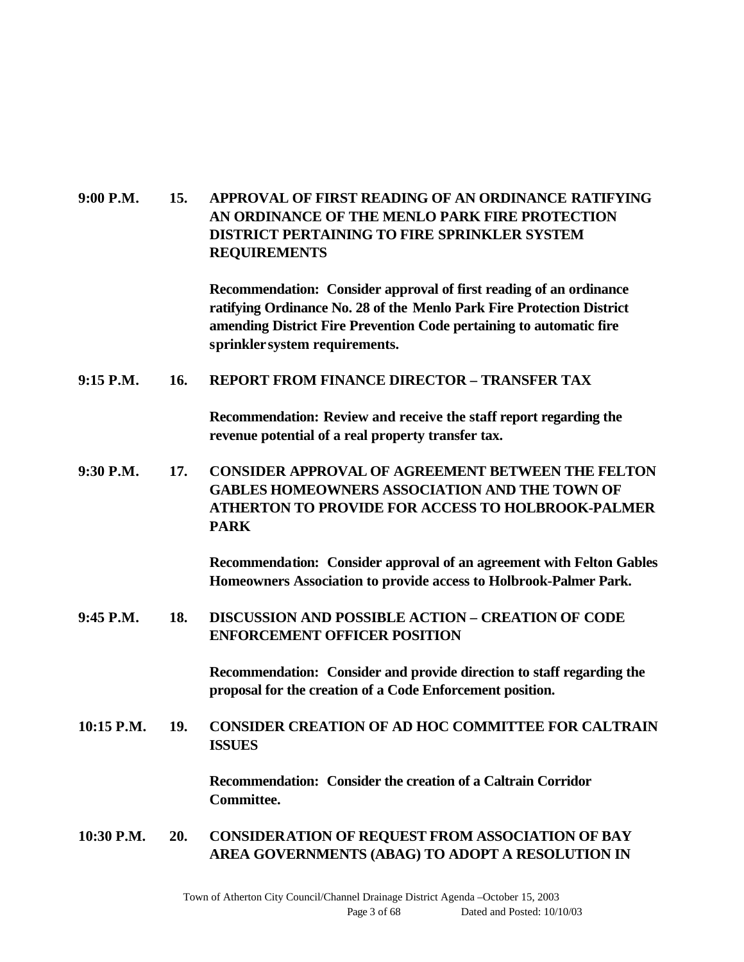## **9:00 P.M. 15. APPROVAL OF FIRST READING OF AN ORDINANCE RATIFYING AN ORDINANCE OF THE MENLO PARK FIRE PROTECTION DISTRICT PERTAINING TO FIRE SPRINKLER SYSTEM REQUIREMENTS**

**Recommendation: Consider approval of first reading of an ordinance ratifying Ordinance No. 28 of the Menlo Park Fire Protection District amending District Fire Prevention Code pertaining to automatic fire sprinkler system requirements.**

#### **9:15 P.M. 16. REPORT FROM FINANCE DIRECTOR – TRANSFER TAX**

**Recommendation: Review and receive the staff report regarding the revenue potential of a real property transfer tax.**

**9:30 P.M. 17. CONSIDER APPROVAL OF AGREEMENT BETWEEN THE FELTON GABLES HOMEOWNERS ASSOCIATION AND THE TOWN OF ATHERTON TO PROVIDE FOR ACCESS TO HOLBROOK-PALMER PARK**

> **Recommendation: Consider approval of an agreement with Felton Gables Homeowners Association to provide access to Holbrook-Palmer Park.**

**9:45 P.M. 18. DISCUSSION AND POSSIBLE ACTION – CREATION OF CODE ENFORCEMENT OFFICER POSITION**

> **Recommendation: Consider and provide direction to staff regarding the proposal for the creation of a Code Enforcement position.**

**10:15 P.M. 19. CONSIDER CREATION OF AD HOC COMMITTEE FOR CALTRAIN ISSUES**

> **Recommendation: Consider the creation of a Caltrain Corridor Committee.**

**10:30 P.M. 20. CONSIDERATION OF REQUEST FROM ASSOCIATION OF BAY AREA GOVERNMENTS (ABAG) TO ADOPT A RESOLUTION IN**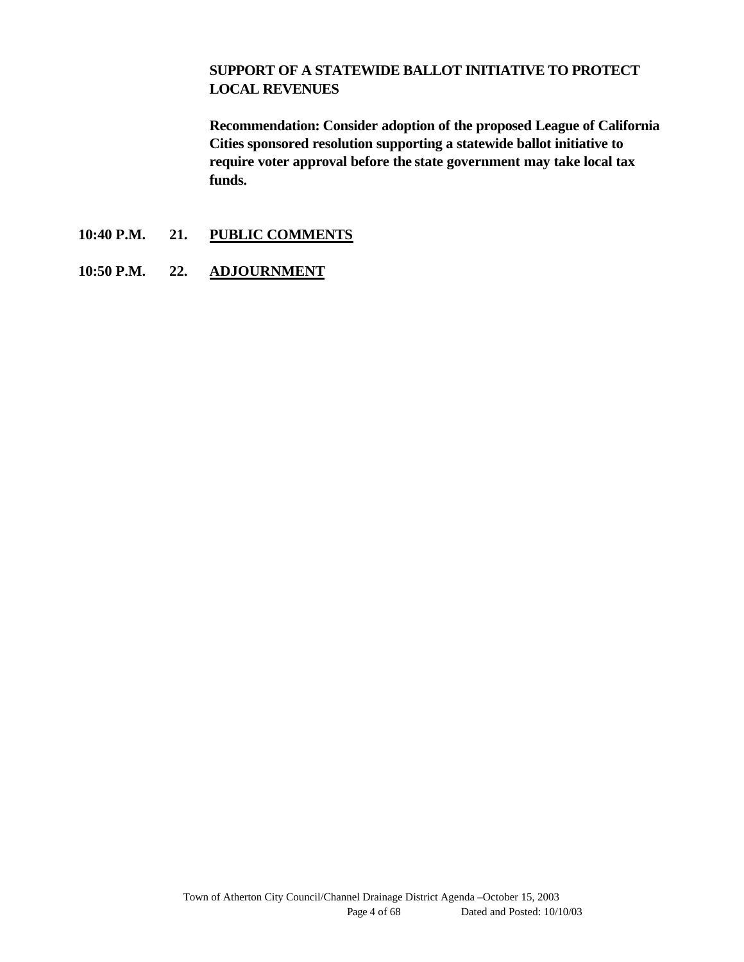#### **SUPPORT OF A STATEWIDE BALLOT INITIATIVE TO PROTECT LOCAL REVENUES**

**Recommendation: Consider adoption of the proposed League of California Cities sponsored resolution supporting a statewide ballot initiative to require voter approval before the state government may take local tax funds.**

- **10:40 P.M. 21. PUBLIC COMMENTS**
- **10:50 P.M. 22. ADJOURNMENT**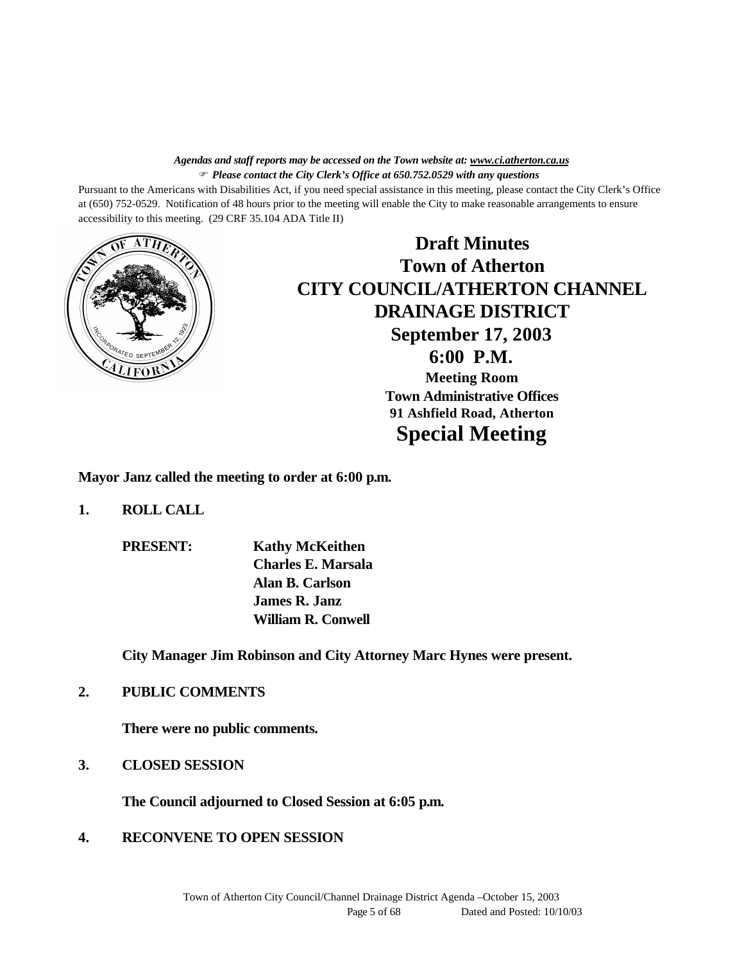#### *Agendas and staff reports may be accessed on the Town website at: www.ci.atherton.ca.us* F *Please contact the City Clerk's Office at 650.752.0529 with any questions*

Pursuant to the Americans with Disabilities Act, if you need special assistance in this meeting, please contact the City Clerk's Office at (650) 752-0529. Notification of 48 hours prior to the meeting will enable the City to make reasonable arrangements to ensure accessibility to this meeting. (29 CRF 35.104 ADA Title II)



**Draft Minutes Town of Atherton CITY COUNCIL/ATHERTON CHANNEL DRAINAGE DISTRICT September 17, 2003 6:00 P.M. Meeting Room Town Administrative Offices 91 Ashfield Road, Atherton Special Meeting**

**Mayor Janz called the meeting to order at 6:00 p.m.**

- **1. ROLL CALL**
	- **PRESENT: Kathy McKeithen Charles E. Marsala Alan B. Carlson James R. Janz William R. Conwell**

**City Manager Jim Robinson and City Attorney Marc Hynes were present.**

**2. PUBLIC COMMENTS**

**There were no public comments.**

**3. CLOSED SESSION**

**The Council adjourned to Closed Session at 6:05 p.m.**

**4. RECONVENE TO OPEN SESSION**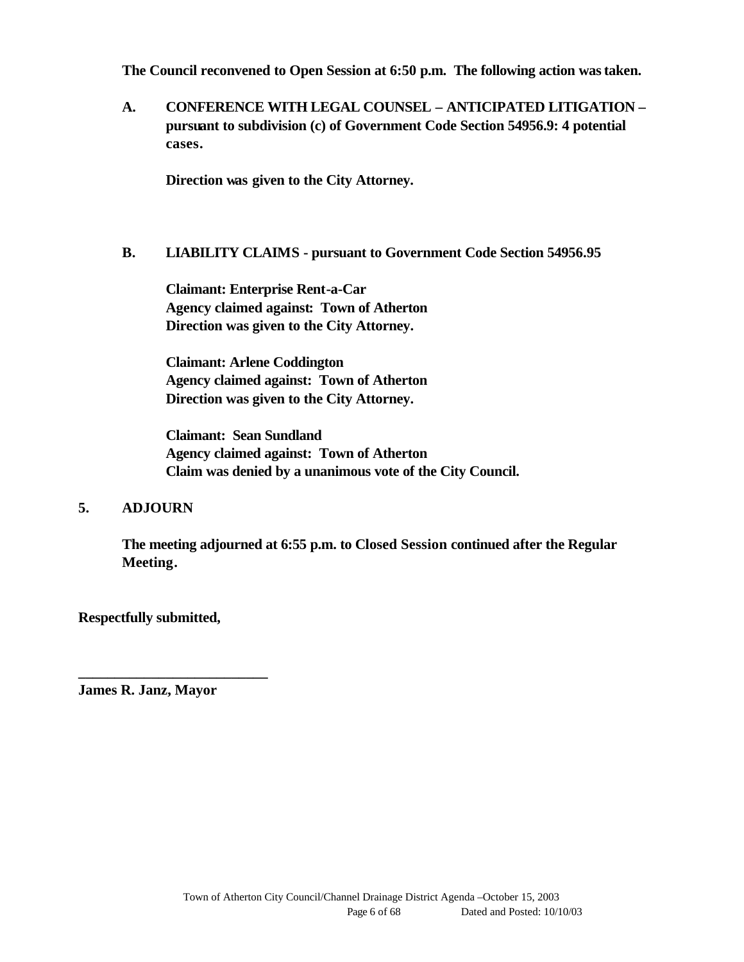**The Council reconvened to Open Session at 6:50 p.m. The following action was taken.**

**A. CONFERENCE WITH LEGAL COUNSEL – ANTICIPATED LITIGATION – pursuant to subdivision (c) of Government Code Section 54956.9: 4 potential cases.**

**Direction was given to the City Attorney.**

#### **B. LIABILITY CLAIMS - pursuant to Government Code Section 54956.95**

**Claimant: Enterprise Rent-a-Car Agency claimed against: Town of Atherton Direction was given to the City Attorney.**

**Claimant: Arlene Coddington Agency claimed against: Town of Atherton Direction was given to the City Attorney.**

**Claimant: Sean Sundland Agency claimed against: Town of Atherton Claim was denied by a unanimous vote of the City Council.**

#### **5. ADJOURN**

**The meeting adjourned at 6:55 p.m. to Closed Session continued after the Regular Meeting.**

**Respectfully submitted,**

**James R. Janz, Mayor**

**\_\_\_\_\_\_\_\_\_\_\_\_\_\_\_\_\_\_\_\_\_\_\_\_\_\_**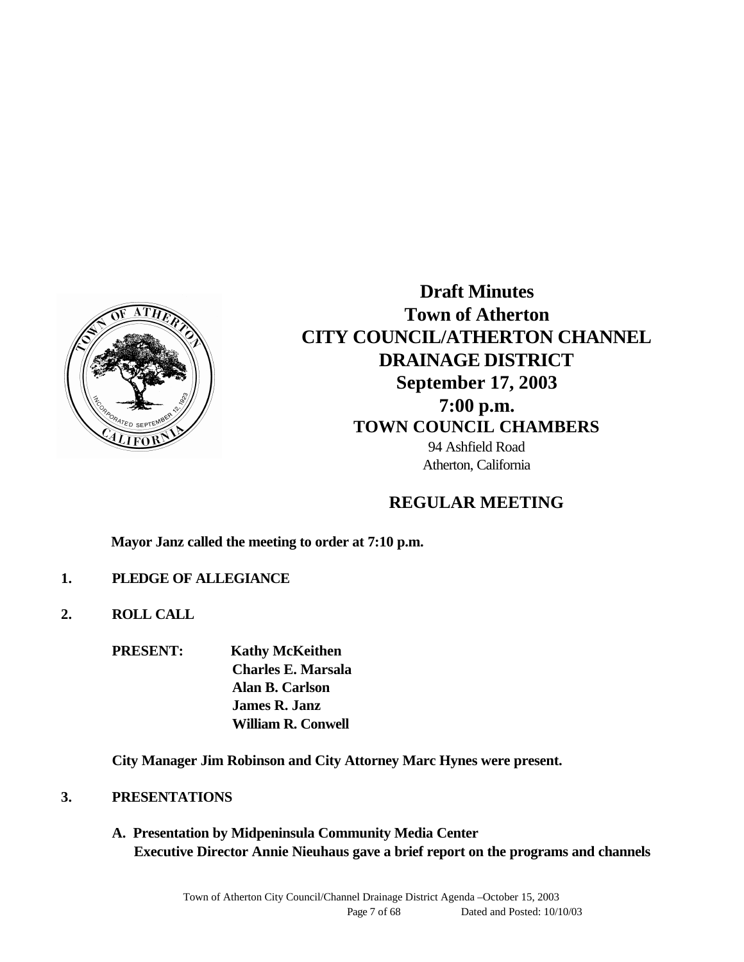

**Draft Minutes Town of Atherton CITY COUNCIL/ATHERTON CHANNEL DRAINAGE DISTRICT September 17, 2003 7:00 p.m. TOWN COUNCIL CHAMBERS** 94 Ashfield Road Atherton, California

## **REGULAR MEETING**

**Mayor Janz called the meeting to order at 7:10 p.m.**

- **1. PLEDGE OF ALLEGIANCE**
- **2. ROLL CALL**

**PRESENT: Kathy McKeithen Charles E. Marsala Alan B. Carlson James R. Janz William R. Conwell**

**City Manager Jim Robinson and City Attorney Marc Hynes were present.** 

- **3. PRESENTATIONS**
	- **A. Presentation by Midpeninsula Community Media Center Executive Director Annie Nieuhaus gave a brief report on the programs and channels**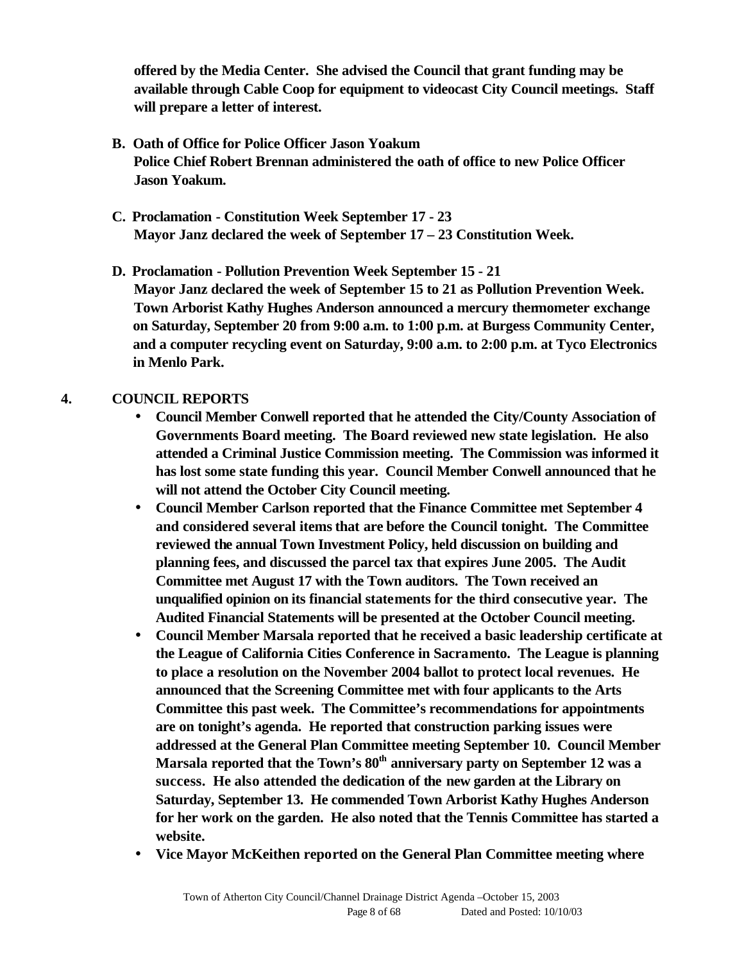**offered by the Media Center. She advised the Council that grant funding may be available through Cable Coop for equipment to videocast City Council meetings. Staff will prepare a letter of interest.**

- **B. Oath of Office for Police Officer Jason Yoakum Police Chief Robert Brennan administered the oath of office to new Police Officer Jason Yoakum.**
- **C. Proclamation Constitution Week September 17 23 Mayor Janz declared the week of September 17 – 23 Constitution Week.**

**D. Proclamation - Pollution Prevention Week September 15 - 21 Mayor Janz declared the week of September 15 to 21 as Pollution Prevention Week. Town Arborist Kathy Hughes Anderson announced a mercury thermometer exchange on Saturday, September 20 from 9:00 a.m. to 1:00 p.m. at Burgess Community Center, and a computer recycling event on Saturday, 9:00 a.m. to 2:00 p.m. at Tyco Electronics in Menlo Park.**

## **4. COUNCIL REPORTS**

- **Council Member Conwell reported that he attended the City/County Association of Governments Board meeting. The Board reviewed new state legislation. He also attended a Criminal Justice Commission meeting. The Commission was informed it has lost some state funding this year. Council Member Conwell announced that he will not attend the October City Council meeting.**
- **Council Member Carlson reported that the Finance Committee met September 4 and considered several items that are before the Council tonight. The Committee reviewed the annual Town Investment Policy, held discussion on building and planning fees, and discussed the parcel tax that expires June 2005. The Audit Committee met August 17 with the Town auditors. The Town received an unqualified opinion on its financial statements for the third consecutive year. The Audited Financial Statements will be presented at the October Council meeting.**
- **Council Member Marsala reported that he received a basic leadership certificate at the League of California Cities Conference in Sacramento. The League is planning to place a resolution on the November 2004 ballot to protect local revenues. He announced that the Screening Committee met with four applicants to the Arts Committee this past week. The Committee's recommendations for appointments are on tonight's agenda. He reported that construction parking issues were addressed at the General Plan Committee meeting September 10. Council Member Marsala reported that the Town's 80th anniversary party on September 12 was a success. He also attended the dedication of the new garden at the Library on Saturday, September 13. He commended Town Arborist Kathy Hughes Anderson for her work on the garden. He also noted that the Tennis Committee has started a website.**
- **Vice Mayor McKeithen reported on the General Plan Committee meeting where**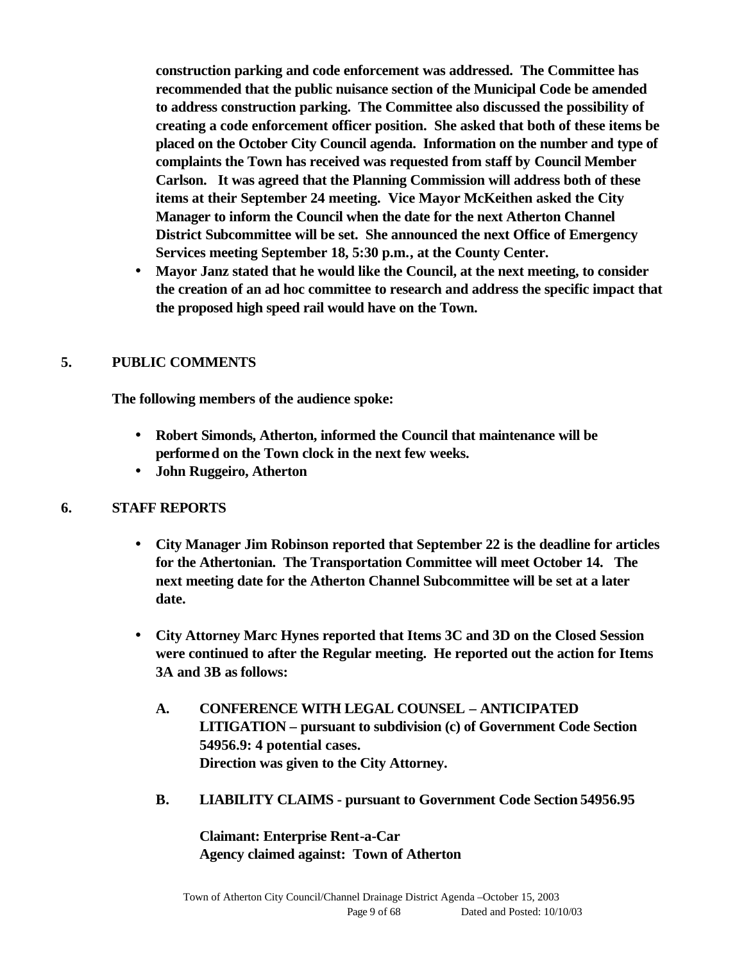**construction parking and code enforcement was addressed. The Committee has recommended that the public nuisance section of the Municipal Code be amended to address construction parking. The Committee also discussed the possibility of creating a code enforcement officer position. She asked that both of these items be placed on the October City Council agenda. Information on the number and type of complaints the Town has received was requested from staff by Council Member Carlson. It was agreed that the Planning Commission will address both of these items at their September 24 meeting. Vice Mayor McKeithen asked the City Manager to inform the Council when the date for the next Atherton Channel District Subcommittee will be set. She announced the next Office of Emergency Services meeting September 18, 5:30 p.m., at the County Center.** 

• **Mayor Janz stated that he would like the Council, at the next meeting, to consider the creation of an ad hoc committee to research and address the specific impact that the proposed high speed rail would have on the Town.**

#### **5. PUBLIC COMMENTS**

**The following members of the audience spoke:**

- **Robert Simonds, Atherton, informed the Council that maintenance will be performed on the Town clock in the next few weeks.**
- **John Ruggeiro, Atherton**

#### **6. STAFF REPORTS**

- **City Manager Jim Robinson reported that September 22 is the deadline for articles for the Athertonian. The Transportation Committee will meet October 14. The next meeting date for the Atherton Channel Subcommittee will be set at a later date.**
- **City Attorney Marc Hynes reported that Items 3C and 3D on the Closed Session were continued to after the Regular meeting. He reported out the action for Items 3A and 3B as follows:**
	- **A. CONFERENCE WITH LEGAL COUNSEL ANTICIPATED LITIGATION – pursuant to subdivision (c) of Government Code Section 54956.9: 4 potential cases. Direction was given to the City Attorney.**
	- **B. LIABILITY CLAIMS pursuant to Government Code Section 54956.95**

**Claimant: Enterprise Rent-a-Car Agency claimed against: Town of Atherton**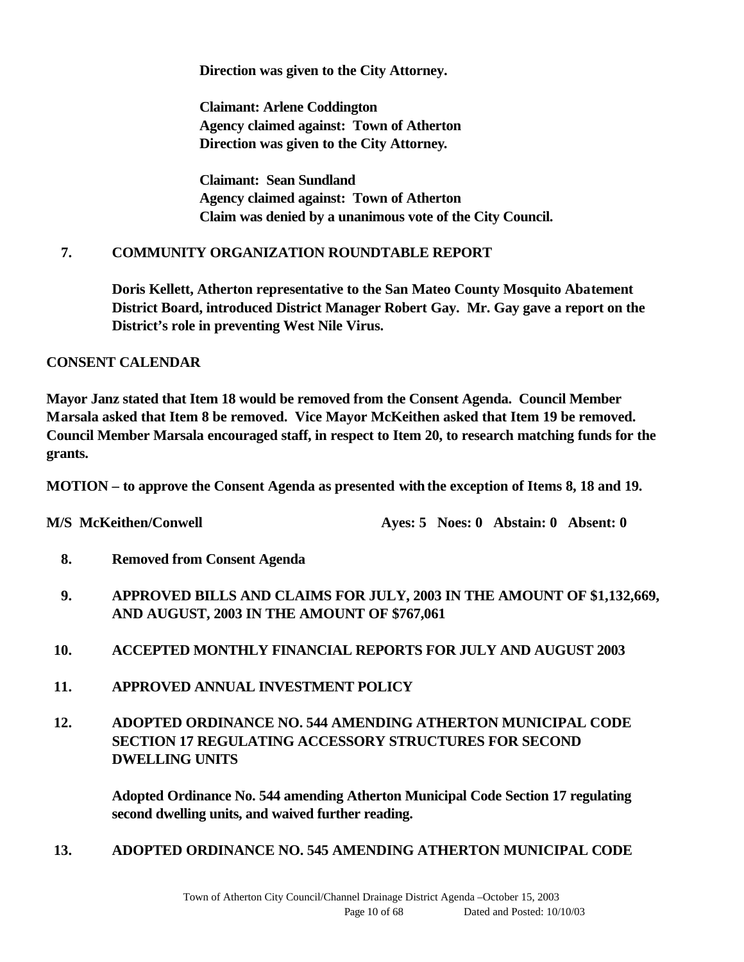**Direction was given to the City Attorney.**

**Claimant: Arlene Coddington Agency claimed against: Town of Atherton Direction was given to the City Attorney.**

**Claimant: Sean Sundland Agency claimed against: Town of Atherton Claim was denied by a unanimous vote of the City Council.**

#### **7. COMMUNITY ORGANIZATION ROUNDTABLE REPORT**

**Doris Kellett, Atherton representative to the San Mateo County Mosquito Abatement District Board, introduced District Manager Robert Gay. Mr. Gay gave a report on the District's role in preventing West Nile Virus.** 

**CONSENT CALENDAR** 

**Mayor Janz stated that Item 18 would be removed from the Consent Agenda. Council Member Marsala asked that Item 8 be removed. Vice Mayor McKeithen asked that Item 19 be removed. Council Member Marsala encouraged staff, in respect to Item 20, to research matching funds for the grants.** 

**MOTION – to approve the Consent Agenda as presented with the exception of Items 8, 18 and 19.**

**M/S McKeithen/Conwell Ayes: 5 Noes: 0 Abstain: 0 Absent: 0** 

- **8. Removed from Consent Agenda**
- **9. APPROVED BILLS AND CLAIMS FOR JULY, 2003 IN THE AMOUNT OF \$1,132,669, AND AUGUST, 2003 IN THE AMOUNT OF \$767,061**
- **10. ACCEPTED MONTHLY FINANCIAL REPORTS FOR JULY AND AUGUST 2003**
- **11. APPROVED ANNUAL INVESTMENT POLICY**
- **12. ADOPTED ORDINANCE NO. 544 AMENDING ATHERTON MUNICIPAL CODE SECTION 17 REGULATING ACCESSORY STRUCTURES FOR SECOND DWELLING UNITS**

**Adopted Ordinance No. 544 amending Atherton Municipal Code Section 17 regulating second dwelling units, and waived further reading.**

**13. ADOPTED ORDINANCE NO. 545 AMENDING ATHERTON MUNICIPAL CODE**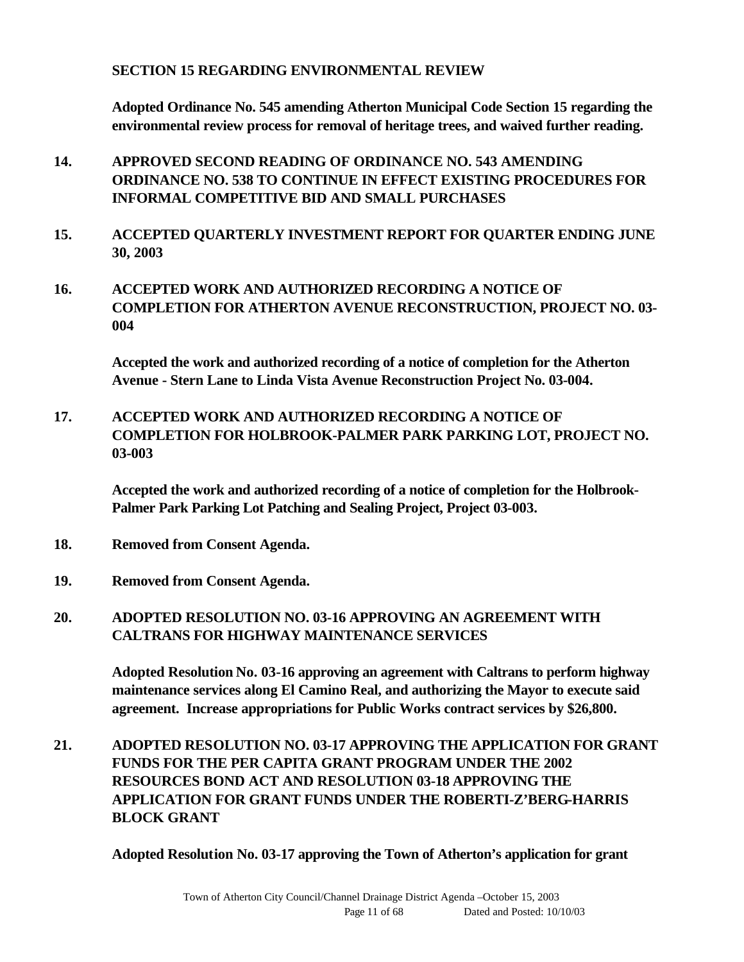#### **SECTION 15 REGARDING ENVIRONMENTAL REVIEW**

**Adopted Ordinance No. 545 amending Atherton Municipal Code Section 15 regarding the environmental review process for removal of heritage trees, and waived further reading.**

- **14. APPROVED SECOND READING OF ORDINANCE NO. 543 AMENDING ORDINANCE NO. 538 TO CONTINUE IN EFFECT EXISTING PROCEDURES FOR INFORMAL COMPETITIVE BID AND SMALL PURCHASES**
- **15. ACCEPTED QUARTERLY INVESTMENT REPORT FOR QUARTER ENDING JUNE 30, 2003**
- **16. ACCEPTED WORK AND AUTHORIZED RECORDING A NOTICE OF COMPLETION FOR ATHERTON AVENUE RECONSTRUCTION, PROJECT NO. 03- 004**

**Accepted the work and authorized recording of a notice of completion for the Atherton Avenue - Stern Lane to Linda Vista Avenue Reconstruction Project No. 03-004.**

**17. ACCEPTED WORK AND AUTHORIZED RECORDING A NOTICE OF COMPLETION FOR HOLBROOK-PALMER PARK PARKING LOT, PROJECT NO. 03-003**

**Accepted the work and authorized recording of a notice of completion for the Holbrook-Palmer Park Parking Lot Patching and Sealing Project, Project 03-003.**

- **18. Removed from Consent Agenda.**
- **19. Removed from Consent Agenda.**

## **20. ADOPTED RESOLUTION NO. 03-16 APPROVING AN AGREEMENT WITH CALTRANS FOR HIGHWAY MAINTENANCE SERVICES**

**Adopted Resolution No. 03-16 approving an agreement with Caltrans to perform highway maintenance services along El Camino Real, and authorizing the Mayor to execute said agreement. Increase appropriations for Public Works contract services by \$26,800.**

**21. ADOPTED RESOLUTION NO. 03-17 APPROVING THE APPLICATION FOR GRANT FUNDS FOR THE PER CAPITA GRANT PROGRAM UNDER THE 2002 RESOURCES BOND ACT AND RESOLUTION 03-18 APPROVING THE APPLICATION FOR GRANT FUNDS UNDER THE ROBERTI-Z'BERG-HARRIS BLOCK GRANT**

**Adopted Resolution No. 03-17 approving the Town of Atherton's application for grant**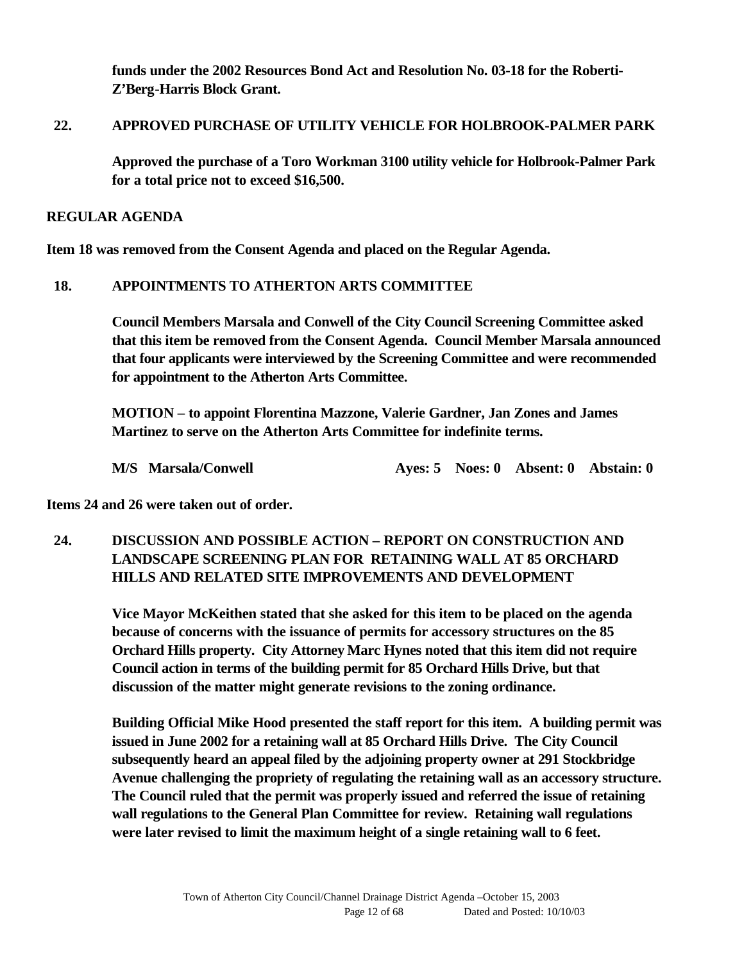**funds under the 2002 Resources Bond Act and Resolution No. 03-18 for the Roberti-Z'Berg-Harris Block Grant.**

#### **22. APPROVED PURCHASE OF UTILITY VEHICLE FOR HOLBROOK-PALMER PARK**

**Approved the purchase of a Toro Workman 3100 utility vehicle for Holbrook-Palmer Park for a total price not to exceed \$16,500.**

#### **REGULAR AGENDA**

**Item 18 was removed from the Consent Agenda and placed on the Regular Agenda.**

#### **18. APPOINTMENTS TO ATHERTON ARTS COMMITTEE**

**Council Members Marsala and Conwell of the City Council Screening Committee asked that this item be removed from the Consent Agenda. Council Member Marsala announced that four applicants were interviewed by the Screening Committee and were recommended for appointment to the Atherton Arts Committee.** 

**MOTION – to appoint Florentina Mazzone, Valerie Gardner, Jan Zones and James Martinez to serve on the Atherton Arts Committee for indefinite terms.**

**M/S Marsala/Conwell Ayes: 5 Noes: 0 Absent: 0 Abstain: 0**

**Items 24 and 26 were taken out of order.** 

**24. DISCUSSION AND POSSIBLE ACTION – REPORT ON CONSTRUCTION AND LANDSCAPE SCREENING PLAN FOR RETAINING WALL AT 85 ORCHARD HILLS AND RELATED SITE IMPROVEMENTS AND DEVELOPMENT**

> **Vice Mayor McKeithen stated that she asked for this item to be placed on the agenda because of concerns with the issuance of permits for accessory structures on the 85 Orchard Hills property. City Attorney Marc Hynes noted that this item did not require Council action in terms of the building permit for 85 Orchard Hills Drive, but that discussion of the matter might generate revisions to the zoning ordinance.**

**Building Official Mike Hood presented the staff report for this item. A building permit was issued in June 2002 for a retaining wall at 85 Orchard Hills Drive. The City Council subsequently heard an appeal filed by the adjoining property owner at 291 Stockbridge Avenue challenging the propriety of regulating the retaining wall as an accessory structure. The Council ruled that the permit was properly issued and referred the issue of retaining wall regulations to the General Plan Committee for review. Retaining wall regulations were later revised to limit the maximum height of a single retaining wall to 6 feet.**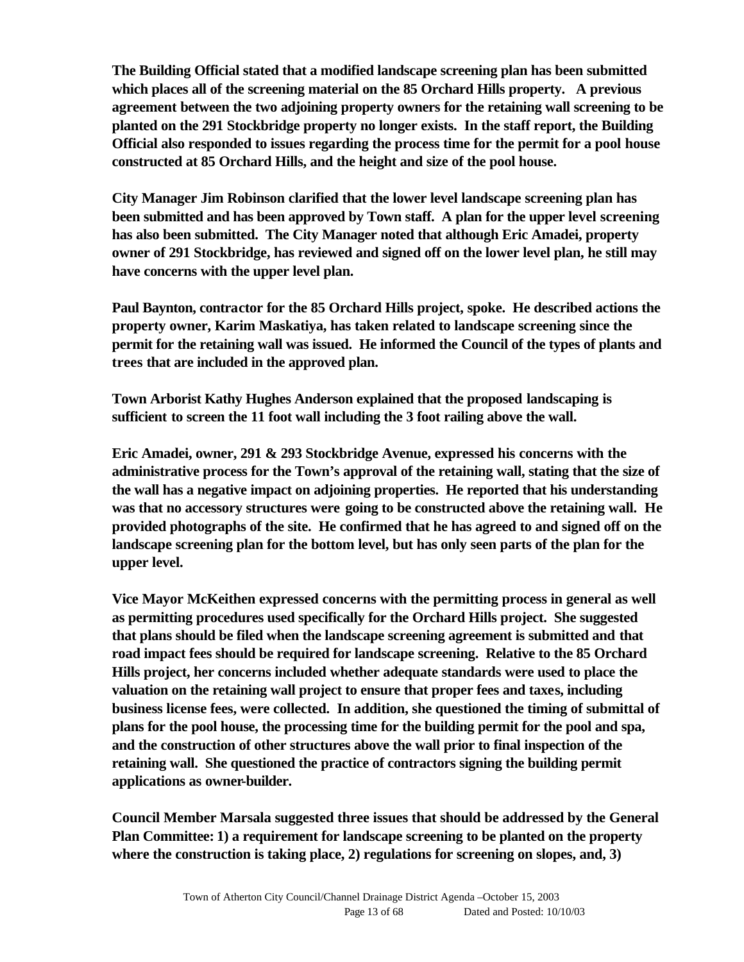**The Building Official stated that a modified landscape screening plan has been submitted which places all of the screening material on the 85 Orchard Hills property. A previous agreement between the two adjoining property owners for the retaining wall screening to be planted on the 291 Stockbridge property no longer exists. In the staff report, the Building Official also responded to issues regarding the process time for the permit for a pool house constructed at 85 Orchard Hills, and the height and size of the pool house.** 

**City Manager Jim Robinson clarified that the lower level landscape screening plan has been submitted and has been approved by Town staff. A plan for the upper level screening has also been submitted. The City Manager noted that although Eric Amadei, property owner of 291 Stockbridge, has reviewed and signed off on the lower level plan, he still may have concerns with the upper level plan.** 

**Paul Baynton, contractor for the 85 Orchard Hills project, spoke. He described actions the property owner, Karim Maskatiya, has taken related to landscape screening since the permit for the retaining wall was issued. He informed the Council of the types of plants and trees that are included in the approved plan.** 

**Town Arborist Kathy Hughes Anderson explained that the proposed landscaping is sufficient to screen the 11 foot wall including the 3 foot railing above the wall.**

**Eric Amadei, owner, 291 & 293 Stockbridge Avenue, expressed his concerns with the administrative process for the Town's approval of the retaining wall, stating that the size of the wall has a negative impact on adjoining properties. He reported that his understanding was that no accessory structures were going to be constructed above the retaining wall. He provided photographs of the site. He confirmed that he has agreed to and signed off on the landscape screening plan for the bottom level, but has only seen parts of the plan for the upper level.**

**Vice Mayor McKeithen expressed concerns with the permitting process in general as well as permitting procedures used specifically for the Orchard Hills project. She suggested that plans should be filed when the landscape screening agreement is submitted and that road impact fees should be required for landscape screening. Relative to the 85 Orchard Hills project, her concerns included whether adequate standards were used to place the valuation on the retaining wall project to ensure that proper fees and taxes, including business license fees, were collected. In addition, she questioned the timing of submittal of plans for the pool house, the processing time for the building permit for the pool and spa, and the construction of other structures above the wall prior to final inspection of the retaining wall. She questioned the practice of contractors signing the building permit applications as owner-builder.** 

**Council Member Marsala suggested three issues that should be addressed by the General Plan Committee: 1) a requirement for landscape screening to be planted on the property where the construction is taking place, 2) regulations for screening on slopes, and, 3)**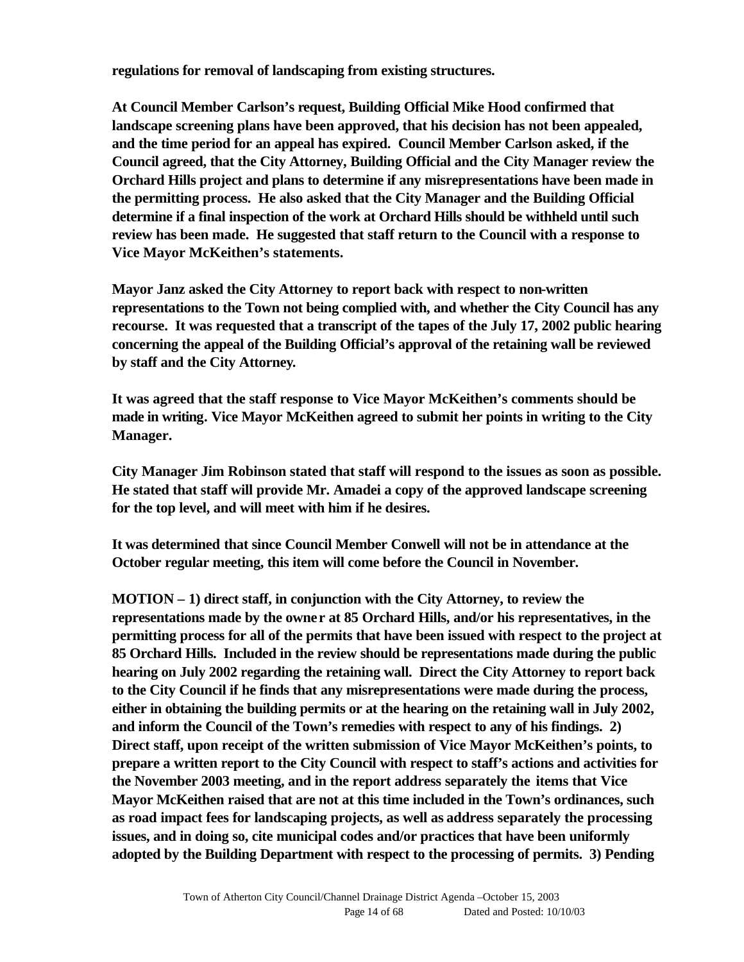**regulations for removal of landscaping from existing structures.** 

**At Council Member Carlson's request, Building Official Mike Hood confirmed that landscape screening plans have been approved, that his decision has not been appealed, and the time period for an appeal has expired. Council Member Carlson asked, if the Council agreed, that the City Attorney, Building Official and the City Manager review the Orchard Hills project and plans to determine if any misrepresentations have been made in the permitting process. He also asked that the City Manager and the Building Official determine if a final inspection of the work at Orchard Hills should be withheld until such review has been made. He suggested that staff return to the Council with a response to Vice Mayor McKeithen's statements.**

**Mayor Janz asked the City Attorney to report back with respect to non-written representations to the Town not being complied with, and whether the City Council has any recourse. It was requested that a transcript of the tapes of the July 17, 2002 public hearing concerning the appeal of the Building Official's approval of the retaining wall be reviewed by staff and the City Attorney.**

**It was agreed that the staff response to Vice Mayor McKeithen's comments should be made in writing. Vice Mayor McKeithen agreed to submit her points in writing to the City Manager.** 

**City Manager Jim Robinson stated that staff will respond to the issues as soon as possible. He stated that staff will provide Mr. Amadei a copy of the approved landscape screening for the top level, and will meet with him if he desires.**

**It was determined that since Council Member Conwell will not be in attendance at the October regular meeting, this item will come before the Council in November.**

**MOTION – 1) direct staff, in conjunction with the City Attorney, to review the representations made by the owner at 85 Orchard Hills, and/or his representatives, in the permitting process for all of the permits that have been issued with respect to the project at 85 Orchard Hills. Included in the review should be representations made during the public hearing on July 2002 regarding the retaining wall. Direct the City Attorney to report back to the City Council if he finds that any misrepresentations were made during the process, either in obtaining the building permits or at the hearing on the retaining wall in July 2002, and inform the Council of the Town's remedies with respect to any of his findings. 2) Direct staff, upon receipt of the written submission of Vice Mayor McKeithen's points, to prepare a written report to the City Council with respect to staff's actions and activities for the November 2003 meeting, and in the report address separately the items that Vice Mayor McKeithen raised that are not at this time included in the Town's ordinances, such as road impact fees for landscaping projects, as well as address separately the processing issues, and in doing so, cite municipal codes and/or practices that have been uniformly adopted by the Building Department with respect to the processing of permits. 3) Pending**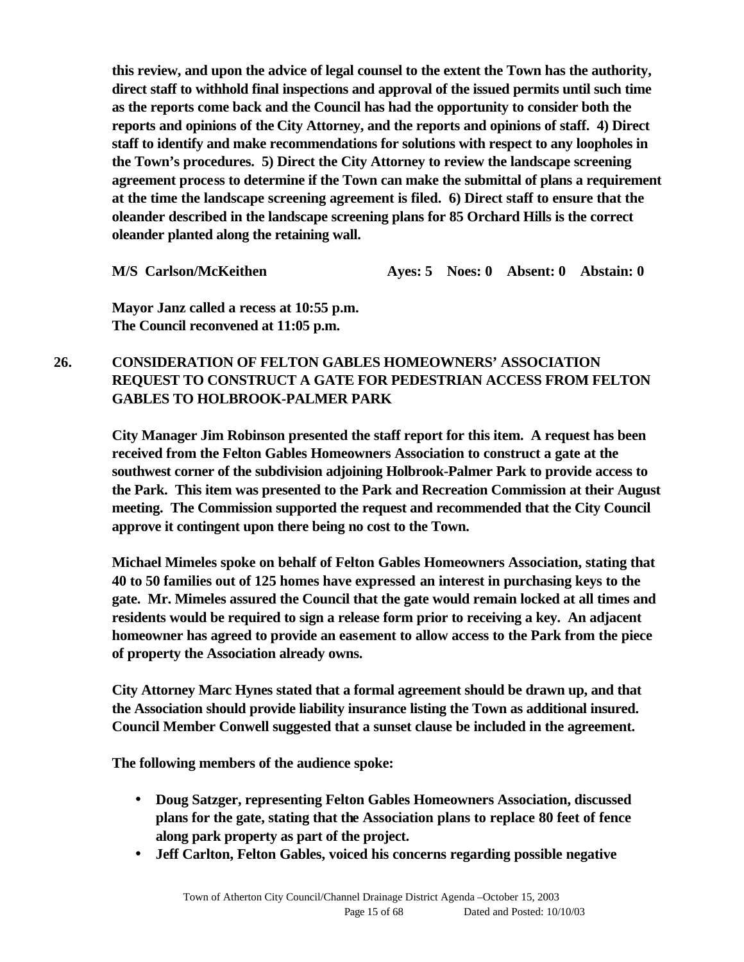**this review, and upon the advice of legal counsel to the extent the Town has the authority, direct staff to withhold final inspections and approval of the issued permits until such time as the reports come back and the Council has had the opportunity to consider both the reports and opinions of the City Attorney, and the reports and opinions of staff. 4) Direct staff to identify and make recommendations for solutions with respect to any loopholes in the Town's procedures. 5) Direct the City Attorney to review the landscape screening agreement process to determine if the Town can make the submittal of plans a requirement at the time the landscape screening agreement is filed. 6) Direct staff to ensure that the oleander described in the landscape screening plans for 85 Orchard Hills is the correct oleander planted along the retaining wall.** 

**M/S Carlson/McKeithen Ayes: 5 Noes: 0 Absent: 0 Abstain: 0**

**Mayor Janz called a recess at 10:55 p.m. The Council reconvened at 11:05 p.m.**

## **26. CONSIDERATION OF FELTON GABLES HOMEOWNERS' ASSOCIATION REQUEST TO CONSTRUCT A GATE FOR PEDESTRIAN ACCESS FROM FELTON GABLES TO HOLBROOK-PALMER PARK**

**City Manager Jim Robinson presented the staff report for this item. A request has been received from the Felton Gables Homeowners Association to construct a gate at the southwest corner of the subdivision adjoining Holbrook-Palmer Park to provide access to the Park. This item was presented to the Park and Recreation Commission at their August meeting. The Commission supported the request and recommended that the City Council approve it contingent upon there being no cost to the Town.** 

**Michael Mimeles spoke on behalf of Felton Gables Homeowners Association, stating that 40 to 50 families out of 125 homes have expressed an interest in purchasing keys to the gate. Mr. Mimeles assured the Council that the gate would remain locked at all times and residents would be required to sign a release form prior to receiving a key. An adjacent homeowner has agreed to provide an easement to allow access to the Park from the piece of property the Association already owns.** 

**City Attorney Marc Hynes stated that a formal agreement should be drawn up, and that the Association should provide liability insurance listing the Town as additional insured. Council Member Conwell suggested that a sunset clause be included in the agreement.**

**The following members of the audience spoke:**

- **Doug Satzger, representing Felton Gables Homeowners Association, discussed plans for the gate, stating that the Association plans to replace 80 feet of fence along park property as part of the project.**
- **Jeff Carlton, Felton Gables, voiced his concerns regarding possible negative**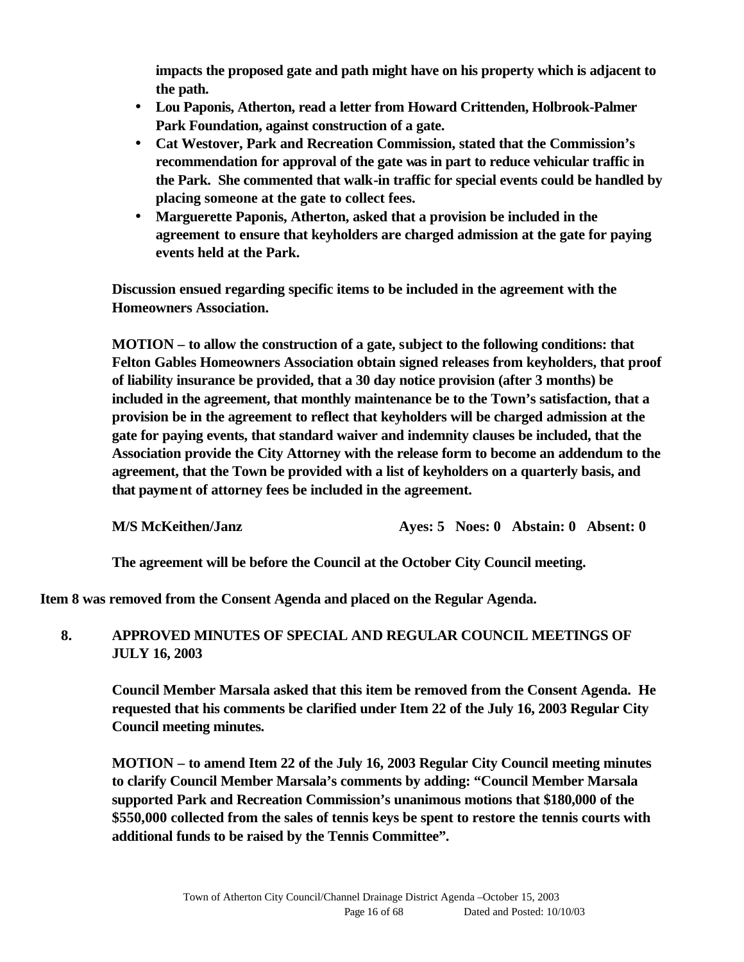**impacts the proposed gate and path might have on his property which is adjacent to the path.** 

- **Lou Paponis, Atherton, read a letter from Howard Crittenden, Holbrook-Palmer Park Foundation, against construction of a gate.**
- **Cat Westover, Park and Recreation Commission, stated that the Commission's recommendation for approval of the gate was in part to reduce vehicular traffic in the Park. She commented that walk-in traffic for special events could be handled by placing someone at the gate to collect fees.**
- **Marguerette Paponis, Atherton, asked that a provision be included in the agreement to ensure that keyholders are charged admission at the gate for paying events held at the Park.**

**Discussion ensued regarding specific items to be included in the agreement with the Homeowners Association.** 

**MOTION – to allow the construction of a gate, subject to the following conditions: that Felton Gables Homeowners Association obtain signed releases from keyholders, that proof of liability insurance be provided, that a 30 day notice provision (after 3 months) be included in the agreement, that monthly maintenance be to the Town's satisfaction, that a provision be in the agreement to reflect that keyholders will be charged admission at the gate for paying events, that standard waiver and indemnity clauses be included, that the Association provide the City Attorney with the release form to become an addendum to the agreement, that the Town be provided with a list of keyholders on a quarterly basis, and that payment of attorney fees be included in the agreement.**

**M/S McKeithen/Janz Ayes: 5 Noes: 0 Abstain: 0 Absent: 0**

**The agreement will be before the Council at the October City Council meeting.**

**Item 8 was removed from the Consent Agenda and placed on the Regular Agenda.**

## **8. APPROVED MINUTES OF SPECIAL AND REGULAR COUNCIL MEETINGS OF JULY 16, 2003**

**Council Member Marsala asked that this item be removed from the Consent Agenda. He requested that his comments be clarified under Item 22 of the July 16, 2003 Regular City Council meeting minutes.** 

**MOTION – to amend Item 22 of the July 16, 2003 Regular City Council meeting minutes to clarify Council Member Marsala's comments by adding: "Council Member Marsala supported Park and Recreation Commission's unanimous motions that \$180,000 of the \$550,000 collected from the sales of tennis keys be spent to restore the tennis courts with additional funds to be raised by the Tennis Committee".**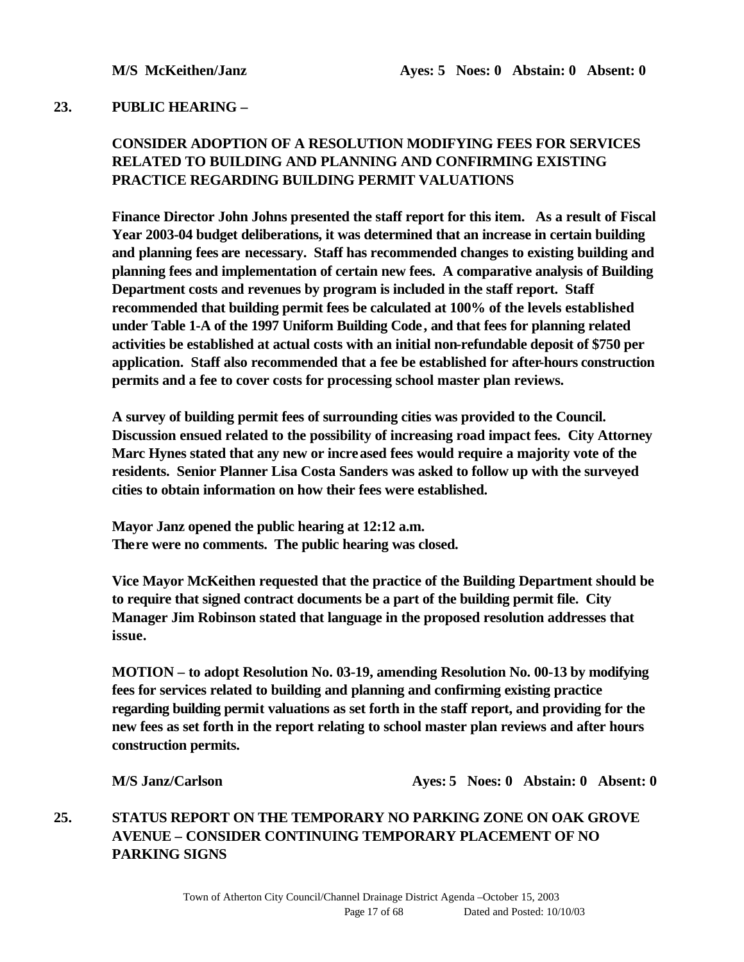#### **23. PUBLIC HEARING –**

## **CONSIDER ADOPTION OF A RESOLUTION MODIFYING FEES FOR SERVICES RELATED TO BUILDING AND PLANNING AND CONFIRMING EXISTING PRACTICE REGARDING BUILDING PERMIT VALUATIONS**

**Finance Director John Johns presented the staff report for this item. As a result of Fiscal Year 2003-04 budget deliberations, it was determined that an increase in certain building and planning fees are necessary. Staff has recommended changes to existing building and planning fees and implementation of certain new fees. A comparative analysis of Building Department costs and revenues by program is included in the staff report. Staff recommended that building permit fees be calculated at 100% of the levels established under Table 1-A of the 1997 Uniform Building Code, and that fees for planning related activities be established at actual costs with an initial non-refundable deposit of \$750 per application. Staff also recommended that a fee be established for after-hours construction permits and a fee to cover costs for processing school master plan reviews.** 

**A survey of building permit fees of surrounding cities was provided to the Council. Discussion ensued related to the possibility of increasing road impact fees. City Attorney Marc Hynes stated that any new or increased fees would require a majority vote of the residents. Senior Planner Lisa Costa Sanders was asked to follow up with the surveyed cities to obtain information on how their fees were established.**

**Mayor Janz opened the public hearing at 12:12 a.m. There were no comments. The public hearing was closed.**

**Vice Mayor McKeithen requested that the practice of the Building Department should be to require that signed contract documents be a part of the building permit file. City Manager Jim Robinson stated that language in the proposed resolution addresses that issue.** 

**MOTION – to adopt Resolution No. 03-19, amending Resolution No. 00-13 by modifying fees for services related to building and planning and confirming existing practice regarding building permit valuations as set forth in the staff report, and providing for the new fees as set forth in the report relating to school master plan reviews and after hours construction permits.**

**M/S Janz/Carlson Ayes: 5 Noes: 0 Abstain: 0 Absent: 0**

## **25. STATUS REPORT ON THE TEMPORARY NO PARKING ZONE ON OAK GROVE AVENUE – CONSIDER CONTINUING TEMPORARY PLACEMENT OF NO PARKING SIGNS**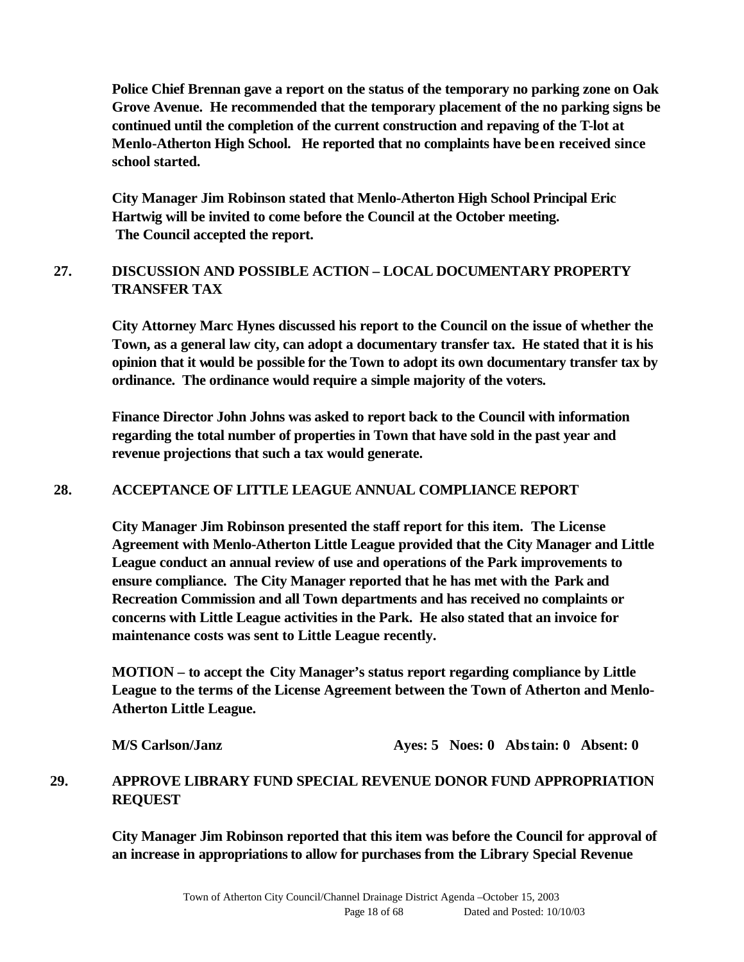**Police Chief Brennan gave a report on the status of the temporary no parking zone on Oak Grove Avenue. He recommended that the temporary placement of the no parking signs be continued until the completion of the current construction and repaving of the T-lot at Menlo-Atherton High School. He reported that no complaints have been received since school started.** 

**City Manager Jim Robinson stated that Menlo-Atherton High School Principal Eric Hartwig will be invited to come before the Council at the October meeting. The Council accepted the report.**

## **27. DISCUSSION AND POSSIBLE ACTION – LOCAL DOCUMENTARY PROPERTY TRANSFER TAX**

**City Attorney Marc Hynes discussed his report to the Council on the issue of whether the Town, as a general law city, can adopt a documentary transfer tax. He stated that it is his opinion that it would be possible for the Town to adopt its own documentary transfer tax by ordinance. The ordinance would require a simple majority of the voters.** 

**Finance Director John Johns was asked to report back to the Council with information regarding the total number of properties in Town that have sold in the past year and revenue projections that such a tax would generate.** 

#### **28. ACCEPTANCE OF LITTLE LEAGUE ANNUAL COMPLIANCE REPORT**

**City Manager Jim Robinson presented the staff report for this item. The License Agreement with Menlo-Atherton Little League provided that the City Manager and Little League conduct an annual review of use and operations of the Park improvements to ensure compliance. The City Manager reported that he has met with the Park and Recreation Commission and all Town departments and has received no complaints or concerns with Little League activities in the Park. He also stated that an invoice for maintenance costs was sent to Little League recently.**

**MOTION – to accept the City Manager's status report regarding compliance by Little League to the terms of the License Agreement between the Town of Atherton and Menlo-Atherton Little League.**

**M/S Carlson/Janz Ayes: 5 Noes: 0 Abstain: 0 Absent: 0**

## **29. APPROVE LIBRARY FUND SPECIAL REVENUE DONOR FUND APPROPRIATION REQUEST**

**City Manager Jim Robinson reported that this item was before the Council for approval of an increase in appropriations to allow for purchases from the Library Special Revenue**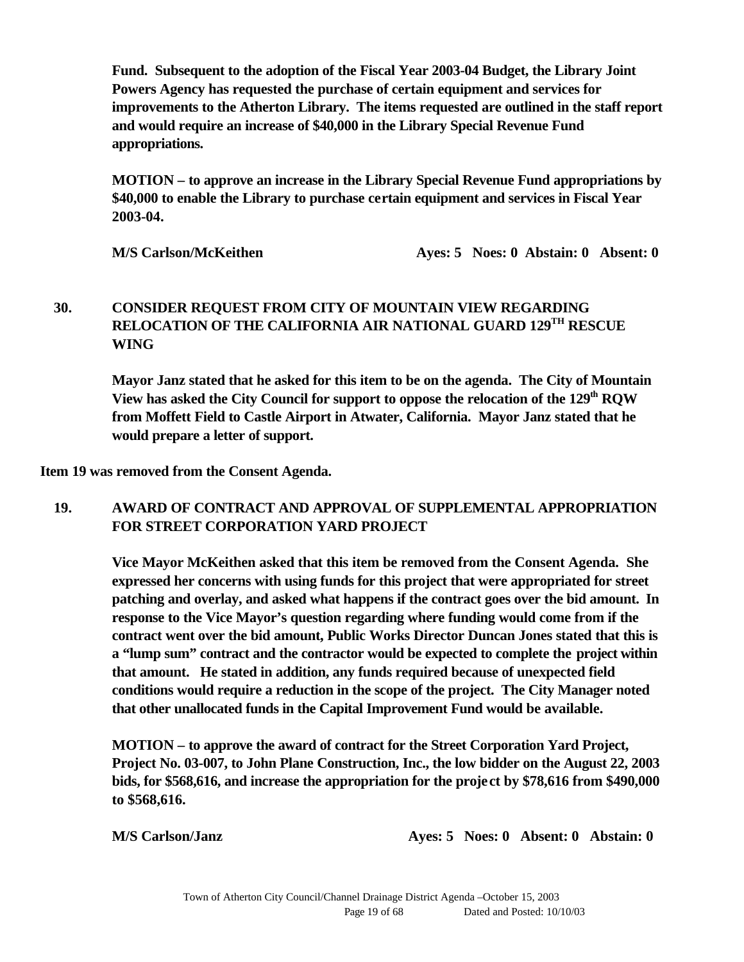**Fund. Subsequent to the adoption of the Fiscal Year 2003-04 Budget, the Library Joint Powers Agency has requested the purchase of certain equipment and services for improvements to the Atherton Library. The items requested are outlined in the staff report and would require an increase of \$40,000 in the Library Special Revenue Fund appropriations.** 

**MOTION – to approve an increase in the Library Special Revenue Fund appropriations by \$40,000 to enable the Library to purchase certain equipment and services in Fiscal Year 2003-04.**

**M/S Carlson/McKeithen Ayes: 5 Noes: 0 Abstain: 0 Absent: 0** 

## **30. CONSIDER REQUEST FROM CITY OF MOUNTAIN VIEW REGARDING RELOCATION OF THE CALIFORNIA AIR NATIONAL GUARD 129TH RESCUE WING**

**Mayor Janz stated that he asked for this item to be on the agenda. The City of Mountain View has asked the City Council for support to oppose the relocation of the 129th RQW from Moffett Field to Castle Airport in Atwater, California. Mayor Janz stated that he would prepare a letter of support.**

**Item 19 was removed from the Consent Agenda.**

## **19. AWARD OF CONTRACT AND APPROVAL OF SUPPLEMENTAL APPROPRIATION FOR STREET CORPORATION YARD PROJECT**

**Vice Mayor McKeithen asked that this item be removed from the Consent Agenda. She expressed her concerns with using funds for this project that were appropriated for street patching and overlay, and asked what happens if the contract goes over the bid amount. In response to the Vice Mayor's question regarding where funding would come from if the contract went over the bid amount, Public Works Director Duncan Jones stated that this is a "lump sum" contract and the contractor would be expected to complete the project within that amount. He stated in addition, any funds required because of unexpected field conditions would require a reduction in the scope of the project. The City Manager noted that other unallocated funds in the Capital Improvement Fund would be available.**

**MOTION – to approve the award of contract for the Street Corporation Yard Project, Project No. 03-007, to John Plane Construction, Inc., the low bidder on the August 22, 2003 bids, for \$568,616, and increase the appropriation for the project by \$78,616 from \$490,000 to \$568,616.** 

**M/S Carlson/Janz Ayes: 5 Noes: 0 Absent: 0 Abstain: 0**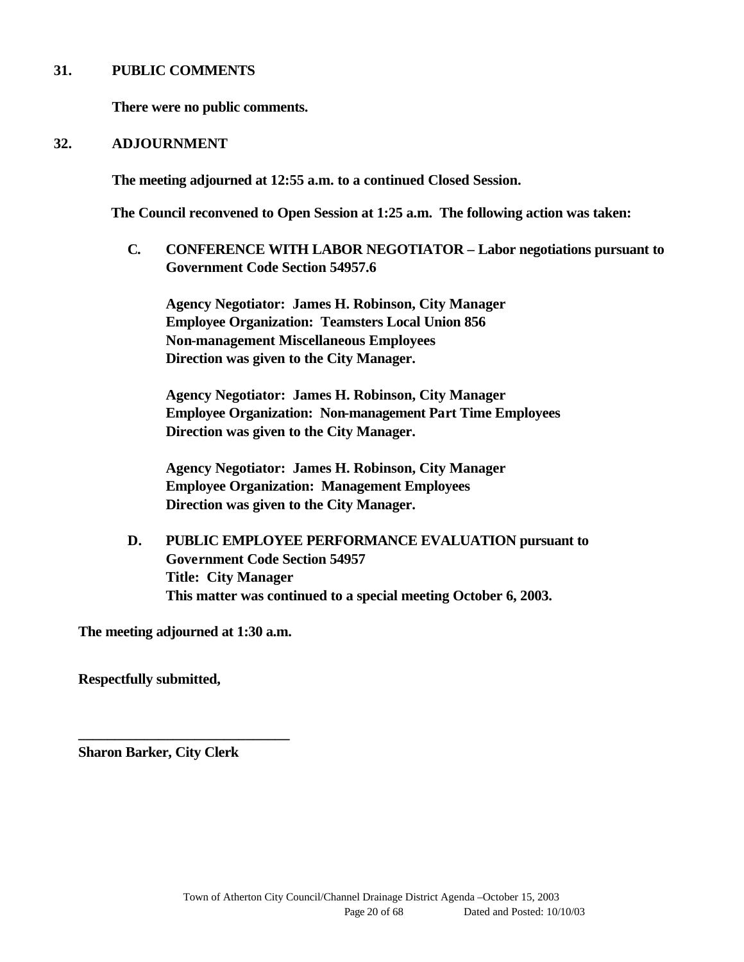#### **31. PUBLIC COMMENTS**

**There were no public comments.**

#### **32. ADJOURNMENT**

**The meeting adjourned at 12:55 a.m. to a continued Closed Session.** 

**The Council reconvened to Open Session at 1:25 a.m. The following action was taken:**

**C. CONFERENCE WITH LABOR NEGOTIATOR – Labor negotiations pursuant to Government Code Section 54957.6**

**Agency Negotiator: James H. Robinson, City Manager Employee Organization: Teamsters Local Union 856 Non-management Miscellaneous Employees Direction was given to the City Manager.**

**Agency Negotiator: James H. Robinson, City Manager Employee Organization: Non-management Part Time Employees Direction was given to the City Manager.**

**Agency Negotiator: James H. Robinson, City Manager Employee Organization: Management Employees Direction was given to the City Manager.**

**D. PUBLIC EMPLOYEE PERFORMANCE EVALUATION pursuant to Government Code Section 54957 Title: City Manager This matter was continued to a special meeting October 6, 2003.**

**The meeting adjourned at 1:30 a.m.**

**\_\_\_\_\_\_\_\_\_\_\_\_\_\_\_\_\_\_\_\_\_\_\_\_\_\_\_\_\_**

**Respectfully submitted,**

**Sharon Barker, City Clerk**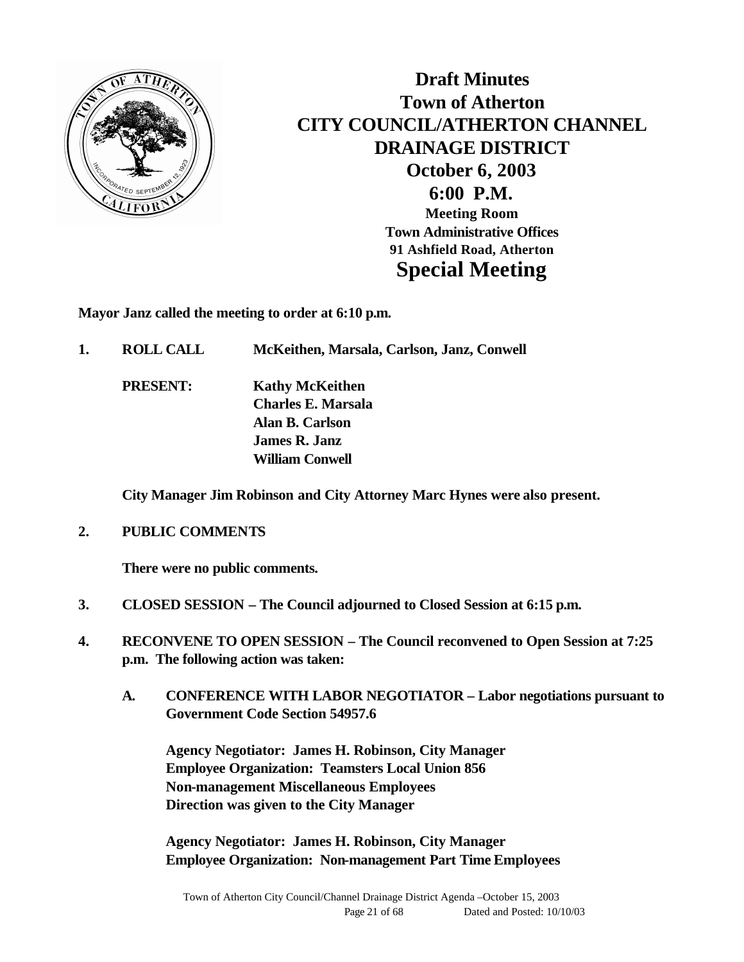

**Draft Minutes Town of Atherton CITY COUNCIL/ATHERTON CHANNEL DRAINAGE DISTRICT October 6, 2003 6:00 P.M. Meeting Room Town Administrative Offices 91 Ashfield Road, Atherton Special Meeting**

**Mayor Janz called the meeting to order at 6:10 p.m.**

**1. ROLL CALL McKeithen, Marsala, Carlson, Janz, Conwell**

**PRESENT: Kathy McKeithen Charles E. Marsala Alan B. Carlson James R. Janz William Conwell**

**City Manager Jim Robinson and City Attorney Marc Hynes were also present.**

**2. PUBLIC COMMENTS**

**There were no public comments.**

- **3. CLOSED SESSION The Council adjourned to Closed Session at 6:15 p.m.**
- **4. RECONVENE TO OPEN SESSION The Council reconvened to Open Session at 7:25 p.m. The following action was taken:**
	- **A. CONFERENCE WITH LABOR NEGOTIATOR Labor negotiations pursuant to Government Code Section 54957.6**

**Agency Negotiator: James H. Robinson, City Manager Employee Organization: Teamsters Local Union 856 Non-management Miscellaneous Employees Direction was given to the City Manager**

**Agency Negotiator: James H. Robinson, City Manager Employee Organization: Non-management Part Time Employees**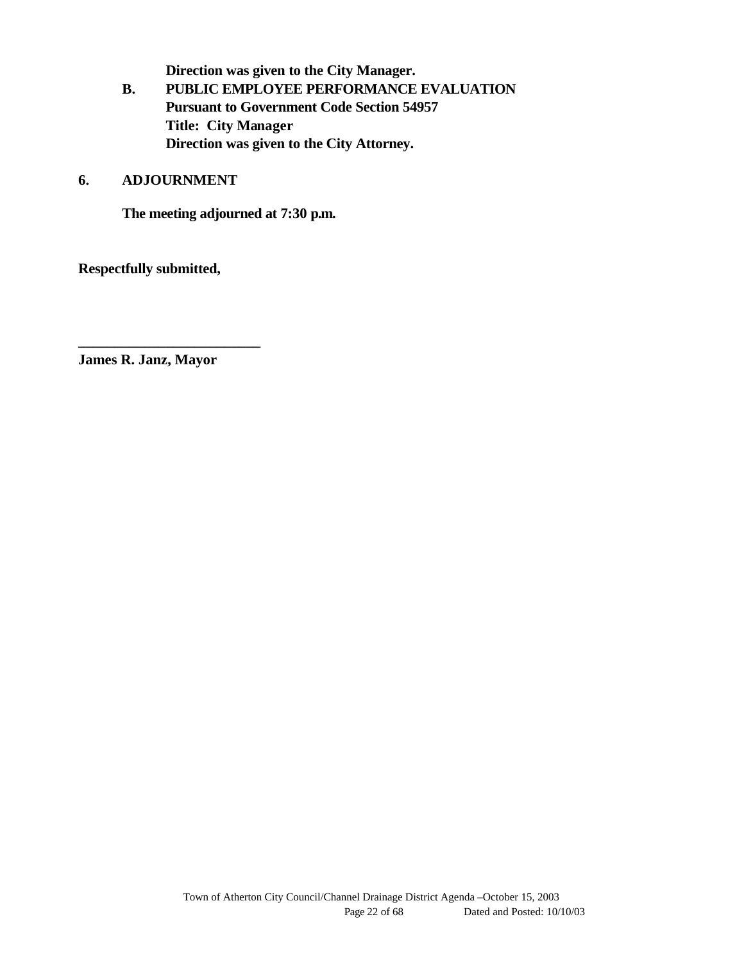**Direction was given to the City Manager.**

**B. PUBLIC EMPLOYEE PERFORMANCE EVALUATION Pursuant to Government Code Section 54957 Title: City Manager Direction was given to the City Attorney.**

#### **6. ADJOURNMENT**

**The meeting adjourned at 7:30 p.m.**

**Respectfully submitted,**

**James R. Janz, Mayor**

**\_\_\_\_\_\_\_\_\_\_\_\_\_\_\_\_\_\_\_\_\_\_\_\_\_**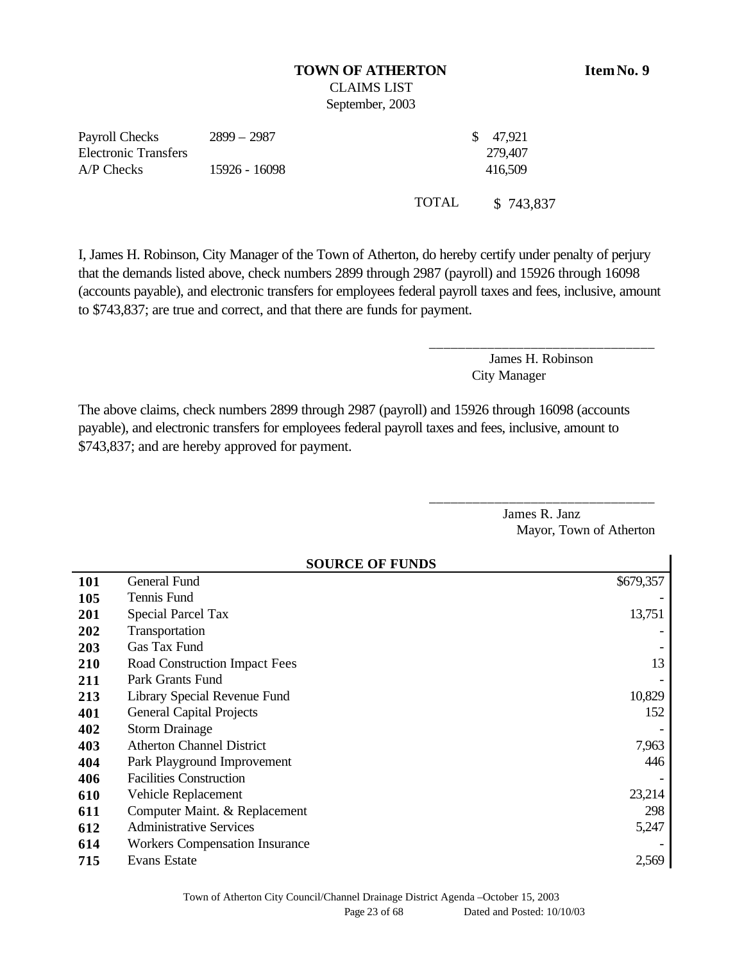## **TOWN OF ATHERTON Item No. 9**

CLAIMS LIST September, 2003

| Payroll Checks              | 2899 – 2987   |       | \$ 47,921 |
|-----------------------------|---------------|-------|-----------|
| <b>Electronic Transfers</b> |               |       | 279,407   |
| A/P Checks                  | 15926 - 16098 |       | 416,509   |
|                             |               | TOTAL | \$743,837 |

I, James H. Robinson, City Manager of the Town of Atherton, do hereby certify under penalty of perjury that the demands listed above, check numbers 2899 through 2987 (payroll) and 15926 through 16098 (accounts payable), and electronic transfers for employees federal payroll taxes and fees, inclusive, amount to \$743,837; are true and correct, and that there are funds for payment.

> James H. Robinson City Manager

\_\_\_\_\_\_\_\_\_\_\_\_\_\_\_\_\_\_\_\_\_\_\_\_\_\_\_\_\_\_\_

\_\_\_\_\_\_\_\_\_\_\_\_\_\_\_\_\_\_\_\_\_\_\_\_\_\_\_\_\_\_\_

The above claims, check numbers 2899 through 2987 (payroll) and 15926 through 16098 (accounts payable), and electronic transfers for employees federal payroll taxes and fees, inclusive, amount to \$743,837; and are hereby approved for payment.

> James R. Janz Mayor, Town of Atherton

|     | <b>SOURCE OF FUNDS</b>                |           |  |  |
|-----|---------------------------------------|-----------|--|--|
| 101 | General Fund                          | \$679,357 |  |  |
| 105 | Tennis Fund                           |           |  |  |
| 201 | <b>Special Parcel Tax</b>             | 13,751    |  |  |
| 202 | Transportation                        |           |  |  |
| 203 | Gas Tax Fund                          |           |  |  |
| 210 | Road Construction Impact Fees         | 13        |  |  |
| 211 | Park Grants Fund                      |           |  |  |
| 213 | Library Special Revenue Fund          | 10,829    |  |  |
| 401 | <b>General Capital Projects</b>       | 152       |  |  |
| 402 | <b>Storm Drainage</b>                 |           |  |  |
| 403 | <b>Atherton Channel District</b>      | 7,963     |  |  |
| 404 | Park Playground Improvement           | 446       |  |  |
| 406 | <b>Facilities Construction</b>        |           |  |  |
| 610 | Vehicle Replacement                   | 23,214    |  |  |
| 611 | Computer Maint. & Replacement         | 298       |  |  |
| 612 | <b>Administrative Services</b>        | 5,247     |  |  |
| 614 | <b>Workers Compensation Insurance</b> |           |  |  |
| 715 | <b>Evans Estate</b>                   | 2,569     |  |  |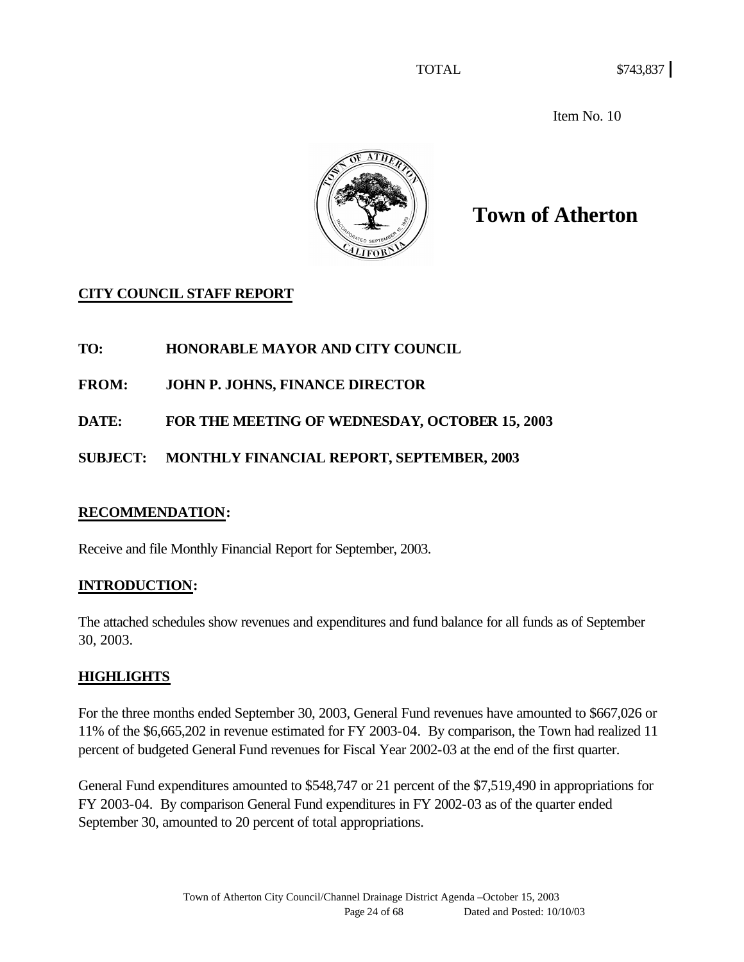Item No. 10



# **Town of Atherton**

## **CITY COUNCIL STAFF REPORT**

**TO: HONORABLE MAYOR AND CITY COUNCIL**

**FROM: JOHN P. JOHNS, FINANCE DIRECTOR**

**DATE: FOR THE MEETING OF WEDNESDAY, OCTOBER 15, 2003**

**SUBJECT: MONTHLY FINANCIAL REPORT, SEPTEMBER, 2003**

## **RECOMMENDATION:**

Receive and file Monthly Financial Report for September, 2003.

## **INTRODUCTION:**

The attached schedules show revenues and expenditures and fund balance for all funds as of September 30, 2003.

## **HIGHLIGHTS**

For the three months ended September 30, 2003, General Fund revenues have amounted to \$667,026 or 11% of the \$6,665,202 in revenue estimated for FY 2003-04. By comparison, the Town had realized 11 percent of budgeted General Fund revenues for Fiscal Year 2002-03 at the end of the first quarter.

General Fund expenditures amounted to \$548,747 or 21 percent of the \$7,519,490 in appropriations for FY 2003-04. By comparison General Fund expenditures in FY 2002-03 as of the quarter ended September 30, amounted to 20 percent of total appropriations.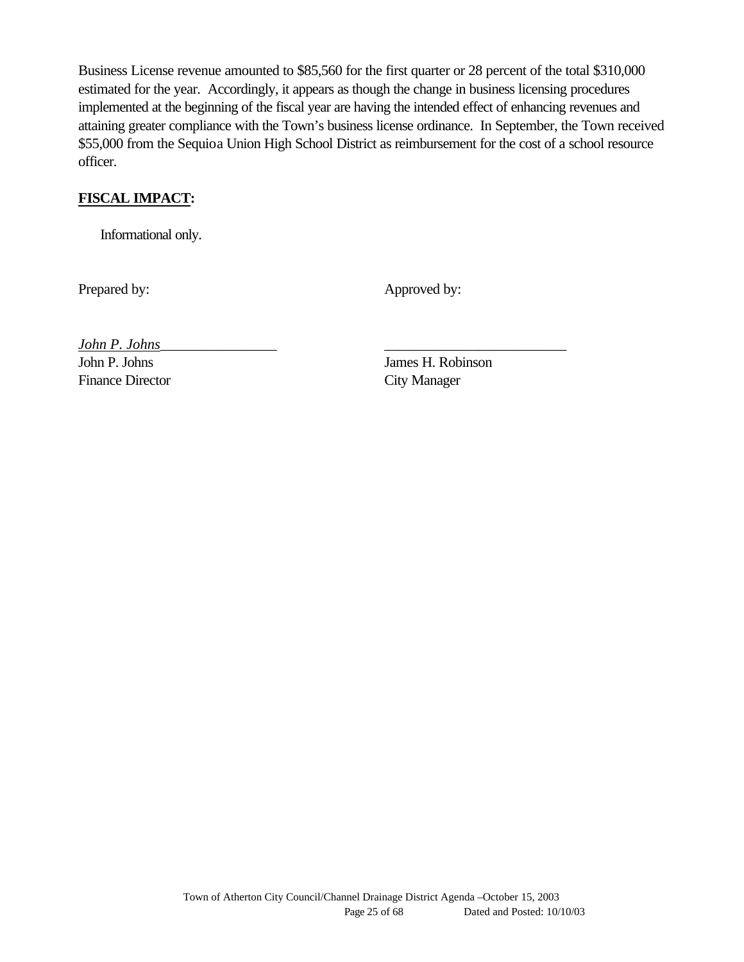Business License revenue amounted to \$85,560 for the first quarter or 28 percent of the total \$310,000 estimated for the year. Accordingly, it appears as though the change in business licensing procedures implemented at the beginning of the fiscal year are having the intended effect of enhancing revenues and attaining greater compliance with the Town's business license ordinance. In September, the Town received \$55,000 from the Sequioa Union High School District as reimbursement for the cost of a school resource officer.

## **FISCAL IMPACT:**

Informational only.

Prepared by: Approved by: Approved by:

*John P. Johns*\_\_\_\_\_\_\_\_\_\_\_\_\_\_\_\_ \_\_\_\_\_\_\_\_\_\_\_\_\_\_\_\_\_\_\_\_\_\_\_\_\_

Finance Director City Manager

John P. Johns James H. Robinson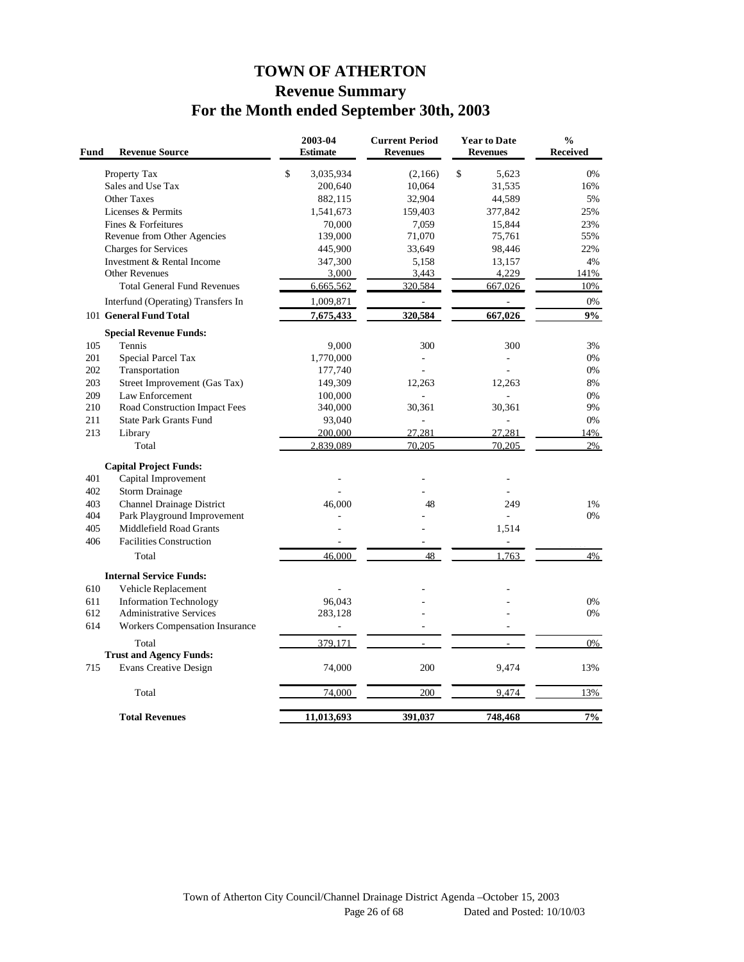## **TOWN OF ATHERTON Revenue Summary For the Month ended September 30th, 2003**

| Fund       | <b>Revenue Source</b>                              | 2003-04<br><b>Estimate</b> | <b>Current Period</b><br><b>Revenues</b> | <b>Year to Date</b><br><b>Revenues</b> | $\frac{0}{0}$<br><b>Received</b> |
|------------|----------------------------------------------------|----------------------------|------------------------------------------|----------------------------------------|----------------------------------|
|            | Property Tax                                       | \$<br>3,035,934            | (2,166)                                  | \$<br>5,623                            | 0%                               |
|            | Sales and Use Tax                                  | 200,640                    | 10,064                                   | 31,535                                 | 16%                              |
|            | <b>Other Taxes</b>                                 | 882,115                    | 32,904                                   | 44,589                                 | 5%                               |
|            | Licenses & Permits                                 | 1,541,673                  | 159,403                                  | 377,842                                | 25%                              |
|            | Fines & Forfeitures                                | 70,000                     | 7.059                                    | 15,844                                 | 23%                              |
|            | Revenue from Other Agencies                        | 139,000                    | 71,070                                   | 75,761                                 | 55%                              |
|            | <b>Charges for Services</b>                        | 445,900                    | 33,649                                   | 98,446                                 | 22%                              |
|            | Investment & Rental Income                         | 347,300                    | 5,158                                    | 13,157                                 | 4%                               |
|            | <b>Other Revenues</b>                              | 3,000                      | 3,443                                    | 4,229                                  | 141%                             |
|            | <b>Total General Fund Revenues</b>                 | 6,665,562                  | 320,584                                  | 667,026                                | 10%                              |
|            | Interfund (Operating) Transfers In                 | 1,009,871                  |                                          |                                        | 0%                               |
|            | 101 General Fund Total                             | 7,675,433                  | 320,584                                  | 667,026                                | 9%                               |
|            | <b>Special Revenue Funds:</b>                      |                            |                                          |                                        |                                  |
| 105        | Tennis                                             | 9,000                      | 300                                      | 300                                    | 3%                               |
| 201        | Special Parcel Tax                                 | 1,770,000                  | ÷.                                       |                                        | 0%                               |
| 202        | Transportation                                     | 177,740                    |                                          |                                        | 0%                               |
| 203        | Street Improvement (Gas Tax)                       | 149,309                    | 12,263                                   | 12,263                                 | 8%                               |
| 209        | Law Enforcement                                    | 100,000                    |                                          |                                        | 0%                               |
| 210        | Road Construction Impact Fees                      | 340,000                    | 30,361                                   | 30,361                                 | 9%                               |
| 211        | <b>State Park Grants Fund</b>                      | 93,040                     |                                          |                                        | 0%                               |
| 213        | Library<br>Total                                   | 200,000<br>2.839.089       | 27,281<br>70.205                         | 27,281<br>70,205                       | 14%<br>2%                        |
|            |                                                    |                            |                                          |                                        |                                  |
|            | <b>Capital Project Funds:</b>                      |                            |                                          |                                        |                                  |
| 401<br>402 | Capital Improvement                                |                            |                                          |                                        |                                  |
| 403        | <b>Storm Drainage</b><br>Channel Drainage District | 46,000                     | 48                                       | 249                                    | 1%                               |
| 404        | Park Playground Improvement                        |                            |                                          | L.                                     | 0%                               |
| 405        | Middlefield Road Grants                            |                            |                                          | 1,514                                  |                                  |
| 406        | <b>Facilities Construction</b>                     | ä,                         | ä,                                       | L,                                     |                                  |
|            | Total                                              | 46,000                     | 48                                       | 1,763                                  | 4%                               |
|            | <b>Internal Service Funds:</b>                     |                            |                                          |                                        |                                  |
| 610        | Vehicle Replacement                                |                            |                                          |                                        |                                  |
| 611        | <b>Information Technology</b>                      | 96.043                     |                                          |                                        | 0%                               |
| 612        | <b>Administrative Services</b>                     | 283,128                    |                                          |                                        | 0%                               |
| 614        | <b>Workers Compensation Insurance</b>              |                            | $\overline{a}$                           |                                        |                                  |
|            | Total                                              | 379,171                    |                                          |                                        | 0%                               |
|            | <b>Trust and Agency Funds:</b>                     |                            |                                          |                                        |                                  |
| 715        | <b>Evans Creative Design</b>                       | 74,000                     | 200                                      | 9,474                                  | 13%                              |
|            | Total                                              | 74,000                     | 200                                      | 9,474                                  | 13%                              |
|            | <b>Total Revenues</b>                              | 11,013,693                 | 391,037                                  | 748,468                                | 7%                               |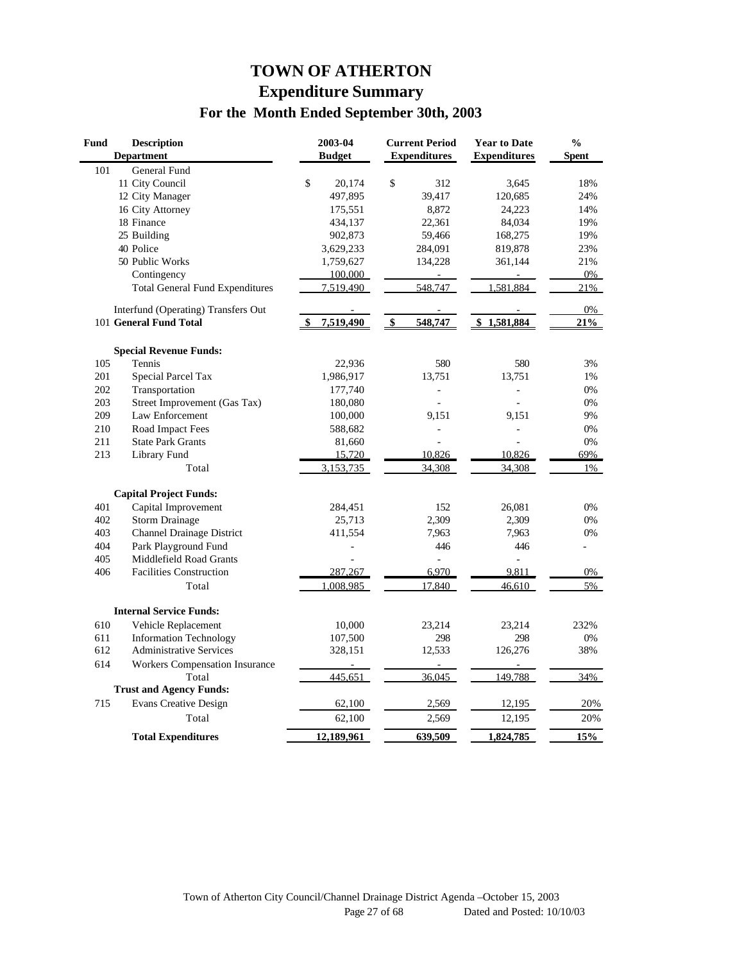## **TOWN OF ATHERTON Expenditure Summary For the Month Ended September 30th, 2003**

| Fund | <b>Description</b><br><b>Department</b> | 2003-04<br><b>Budget</b> | <b>Current Period</b><br><b>Expenditures</b> | <b>Year to Date</b><br><b>Expenditures</b> | $\frac{0}{0}$<br><b>Spent</b> |
|------|-----------------------------------------|--------------------------|----------------------------------------------|--------------------------------------------|-------------------------------|
| 101  | General Fund                            |                          |                                              |                                            |                               |
|      | 11 City Council                         | \$<br>20,174             | \$<br>312                                    | 3,645                                      | 18%                           |
|      | 12 City Manager                         | 497,895                  | 39,417                                       | 120,685                                    | 24%                           |
|      | 16 City Attorney                        | 175,551                  | 8,872                                        | 24,223                                     | 14%                           |
|      | 18 Finance                              | 434,137                  | 22,361                                       | 84,034                                     | 19%                           |
|      | 25 Building                             | 902,873                  | 59,466                                       | 168,275                                    | 19%                           |
|      | 40 Police                               | 3,629,233                | 284,091                                      | 819,878                                    | 23%                           |
|      | 50 Public Works                         | 1,759,627                | 134,228                                      | 361,144                                    | 21%                           |
|      | Contingency                             | 100,000                  |                                              |                                            | 0%                            |
|      | <b>Total General Fund Expenditures</b>  | 7,519,490                | 548,747                                      | 1,581,884                                  | 21%                           |
|      | Interfund (Operating) Transfers Out     |                          |                                              |                                            | 0%                            |
|      | 101 General Fund Total                  | 7,519,490                | \$<br>548,747                                | \$1,581,884                                | 21%                           |
|      | <b>Special Revenue Funds:</b>           |                          |                                              |                                            |                               |
| 105  | Tennis                                  | 22,936                   | 580                                          | 580                                        | 3%                            |
| 201  | Special Parcel Tax                      | 1,986,917                | 13,751                                       | 13,751                                     | 1%                            |
| 202  | Transportation                          | 177,740                  | $\overline{a}$                               |                                            | 0%                            |
| 203  | Street Improvement (Gas Tax)            | 180,080                  |                                              |                                            | 0%                            |
| 209  | Law Enforcement                         | 100,000                  | 9,151                                        | 9,151                                      | 9%                            |
| 210  | Road Impact Fees                        | 588,682                  | L.                                           | ä,                                         | 0%                            |
| 211  | <b>State Park Grants</b>                | 81,660                   |                                              |                                            | 0%                            |
| 213  | <b>Library Fund</b>                     | 15,720                   | 10,826                                       | 10,826                                     | 69%                           |
|      | Total                                   | 3,153,735                | 34.308                                       | 34.308                                     | 1%                            |
|      | <b>Capital Project Funds:</b>           |                          |                                              |                                            |                               |
| 401  | Capital Improvement                     | 284,451                  | 152                                          | 26,081                                     | 0%                            |
| 402  | <b>Storm Drainage</b>                   | 25,713                   | 2,309                                        | 2,309                                      | 0%                            |
| 403  | <b>Channel Drainage District</b>        | 411,554                  | 7,963                                        | 7,963                                      | 0%                            |
| 404  | Park Playground Fund                    |                          | 446                                          | 446                                        | L.                            |
| 405  | Middlefield Road Grants                 |                          | $\overline{a}$                               | $\frac{1}{2}$                              |                               |
| 406  | <b>Facilities Construction</b>          | 287,267                  | 6,970                                        | 9,811                                      | 0%                            |
|      | Total                                   | 1.008.985                | 17.840                                       | 46,610                                     | 5%                            |
|      | <b>Internal Service Funds:</b>          |                          |                                              |                                            |                               |
| 610  | Vehicle Replacement                     | 10,000                   | 23,214                                       | 23,214                                     | 232%                          |
| 611  | <b>Information Technology</b>           | 107,500                  | 298                                          | 298                                        | 0%                            |
| 612  | <b>Administrative Services</b>          | 328,151                  | 12,533                                       | 126,276                                    | 38%                           |
| 614  | <b>Workers Compensation Insurance</b>   |                          |                                              |                                            |                               |
|      | Total                                   | 445,651                  | 36,045                                       | 149,788                                    | 34%                           |
|      | <b>Trust and Agency Funds:</b>          |                          |                                              |                                            |                               |
| 715  | <b>Evans Creative Design</b>            | 62,100                   | 2,569                                        | 12,195                                     | 20%                           |
|      | Total                                   | 62,100                   | 2,569                                        | 12,195                                     | 20%                           |
|      | <b>Total Expenditures</b>               | 12,189,961               | 639,509                                      | 1,824,785                                  | 15%                           |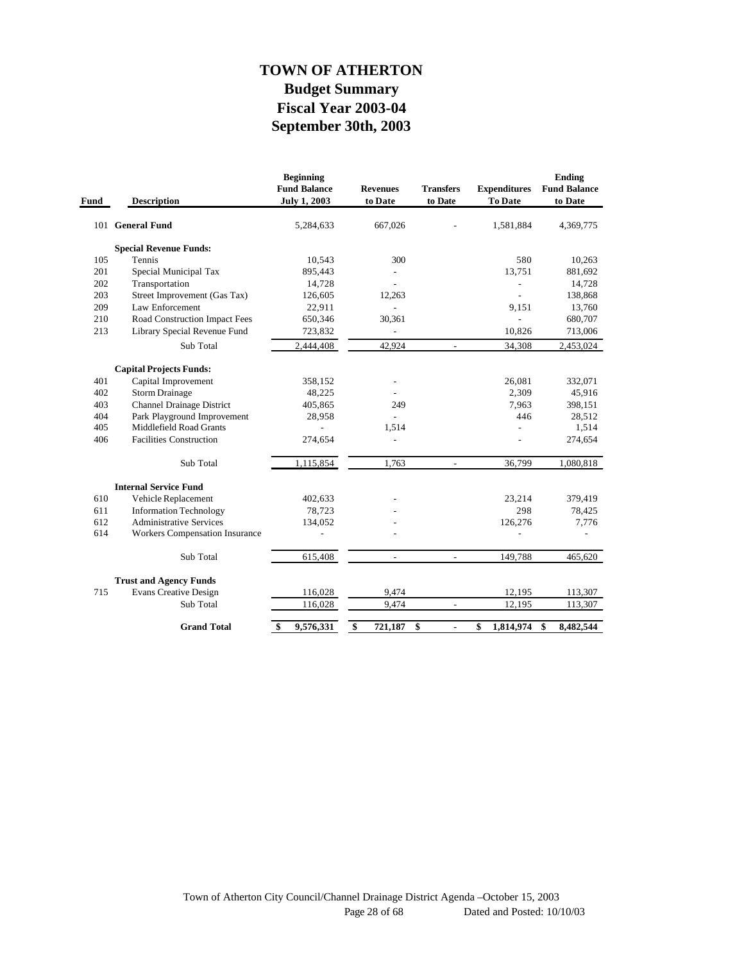## **September 30th, 2003 Fiscal Year 2003-04 Budget Summary TOWN OF ATHERTON**

| Fund | <b>Description</b>               | <b>Beginning</b><br><b>Fund Balance</b><br><b>July 1, 2003</b> | <b>Revenues</b><br>to Date | <b>Transfers</b><br>to Date | <b>Expenditures</b><br>To Date | <b>Ending</b><br><b>Fund Balance</b><br>to Date |
|------|----------------------------------|----------------------------------------------------------------|----------------------------|-----------------------------|--------------------------------|-------------------------------------------------|
|      | 101 General Fund                 | 5,284,633                                                      | 667,026                    |                             | 1,581,884                      | 4,369,775                                       |
|      | <b>Special Revenue Funds:</b>    |                                                                |                            |                             |                                |                                                 |
| 105  | Tennis                           | 10,543                                                         | 300                        |                             | 580                            | 10,263                                          |
| 201  | Special Municipal Tax            | 895,443                                                        |                            |                             | 13.751                         | 881,692                                         |
| 202  | Transportation                   | 14,728                                                         | $\overline{a}$             |                             | $\overline{a}$                 | 14,728                                          |
| 203  | Street Improvement (Gas Tax)     | 126,605                                                        | 12,263                     |                             |                                | 138,868                                         |
| 209  | Law Enforcement                  | 22,911                                                         |                            |                             | 9,151                          | 13,760                                          |
| 210  | Road Construction Impact Fees    | 650,346                                                        | 30,361                     |                             |                                | 680,707                                         |
| 213  | Library Special Revenue Fund     | 723,832                                                        |                            |                             | 10,826                         | 713,006                                         |
|      | Sub Total                        | 2,444,408                                                      | 42,924                     | $\blacksquare$              | 34,308                         | 2,453,024                                       |
|      | <b>Capital Projects Funds:</b>   |                                                                |                            |                             |                                |                                                 |
| 401  | Capital Improvement              | 358,152                                                        |                            |                             | 26,081                         | 332,071                                         |
| 402  | <b>Storm Drainage</b>            | 48,225                                                         |                            |                             | 2,309                          | 45,916                                          |
| 403  | <b>Channel Drainage District</b> | 405,865                                                        | 249                        |                             | 7,963                          | 398,151                                         |
| 404  | Park Playground Improvement      | 28,958                                                         |                            |                             | 446                            | 28,512                                          |
| 405  | Middlefield Road Grants          |                                                                | 1,514                      |                             | $\overline{a}$                 | 1,514                                           |
| 406  | <b>Facilities Construction</b>   | 274,654                                                        |                            |                             |                                | 274,654                                         |
|      | Sub Total                        | 1,115,854                                                      | 1,763                      | $\overline{\phantom{a}}$    | 36,799                         | 1,080,818                                       |
|      | <b>Internal Service Fund</b>     |                                                                |                            |                             |                                |                                                 |
| 610  | Vehicle Replacement              | 402,633                                                        |                            |                             | 23,214                         | 379,419                                         |
| 611  | <b>Information Technology</b>    | 78,723                                                         |                            |                             | 298                            | 78,425                                          |
| 612  | <b>Administrative Services</b>   | 134,052                                                        |                            |                             | 126,276                        | 7,776                                           |
| 614  | Workers Compensation Insurance   |                                                                |                            |                             |                                |                                                 |
|      | Sub Total                        | 615,408                                                        | $\overline{\phantom{a}}$   | $\overline{\phantom{a}}$    | 149,788                        | 465,620                                         |
|      | <b>Trust and Agency Funds</b>    |                                                                |                            |                             |                                |                                                 |
| 715  | <b>Evans Creative Design</b>     | 116,028                                                        | 9,474                      |                             | 12,195                         | 113,307                                         |
|      | Sub Total                        | 116,028                                                        | 9,474                      |                             | 12,195                         | 113,307                                         |
|      | <b>Grand Total</b>               | \$<br>9,576,331                                                | \$<br>721,187              | \$<br>ä,                    | \$<br>1,814,974                | \$<br>8,482,544                                 |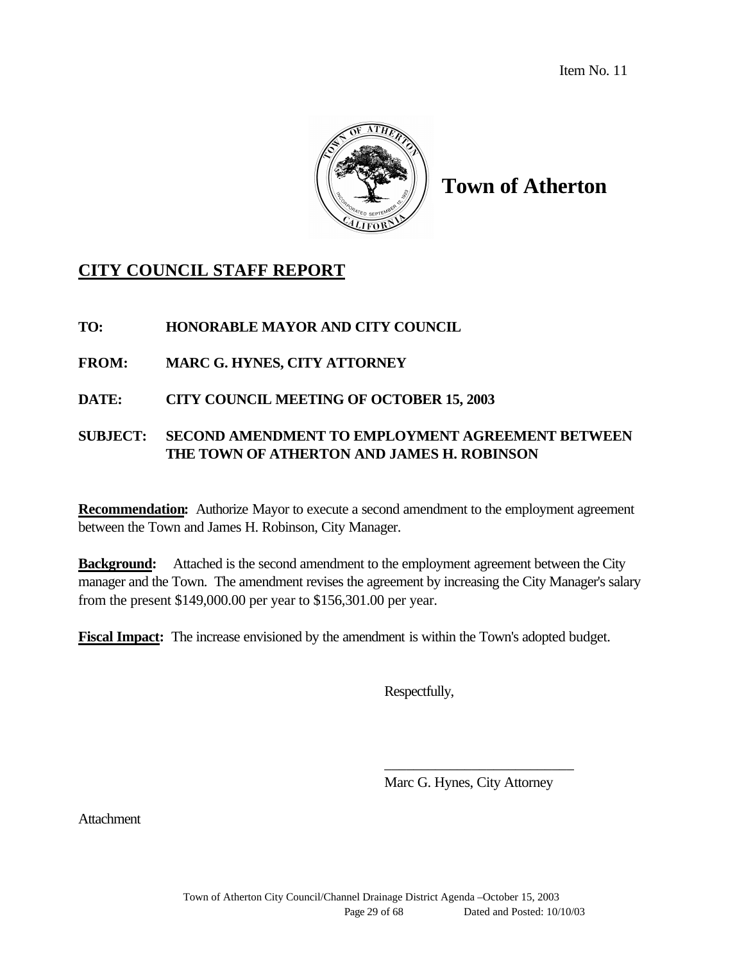Item No. 11



## **Town of Atherton**

## **CITY COUNCIL STAFF REPORT**

#### **TO: HONORABLE MAYOR AND CITY COUNCIL**

## **FROM: MARC G. HYNES, CITY ATTORNEY**

**DATE: CITY COUNCIL MEETING OF OCTOBER 15, 2003**

## **SUBJECT: SECOND AMENDMENT TO EMPLOYMENT AGREEMENT BETWEEN THE TOWN OF ATHERTON AND JAMES H. ROBINSON**

**Recommendation:** Authorize Mayor to execute a second amendment to the employment agreement between the Town and James H. Robinson, City Manager.

**Background:** Attached is the second amendment to the employment agreement between the City manager and the Town. The amendment revises the agreement by increasing the City Manager's salary from the present \$149,000.00 per year to \$156,301.00 per year.

**Fiscal Impact:** The increase envisioned by the amendment is within the Town's adopted budget.

Respectfully,

Marc G. Hynes, City Attorney

\_\_\_\_\_\_\_\_\_\_\_\_\_\_\_\_\_\_\_\_\_\_\_\_\_\_

Attachment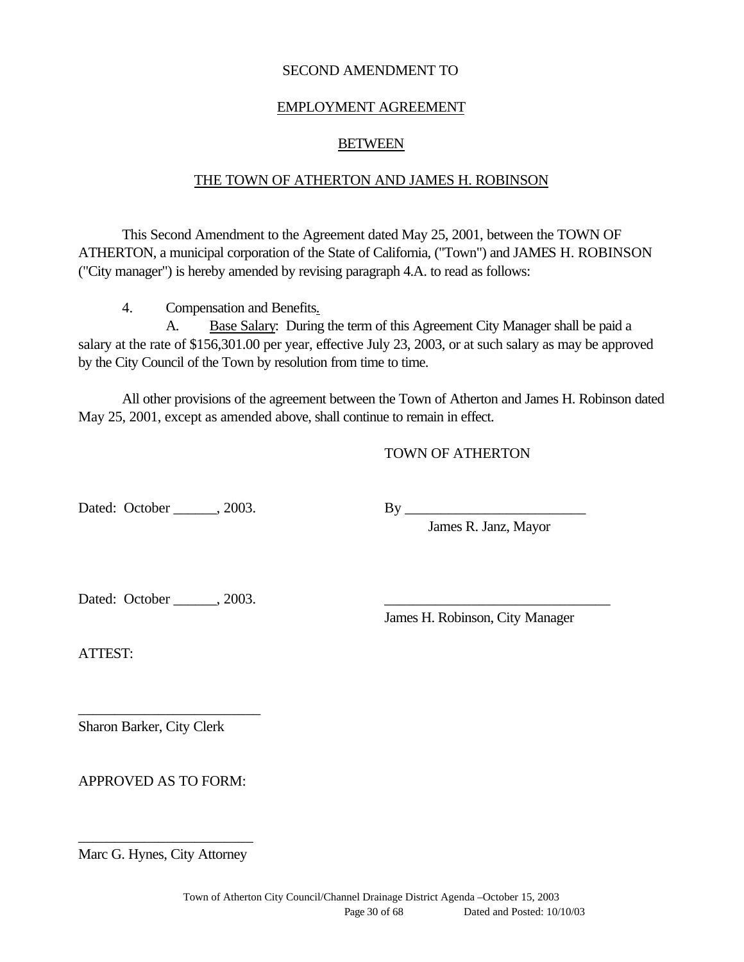#### SECOND AMENDMENT TO

#### EMPLOYMENT AGREEMENT

#### BETWEEN

#### THE TOWN OF ATHERTON AND JAMES H. ROBINSON

This Second Amendment to the Agreement dated May 25, 2001, between the TOWN OF ATHERTON, a municipal corporation of the State of California, ("Town") and JAMES H. ROBINSON ("City manager") is hereby amended by revising paragraph 4.A. to read as follows:

4. Compensation and Benefits.

A. Base Salary: During the term of this Agreement City Manager shall be paid a salary at the rate of \$156,301.00 per year, effective July 23, 2003, or at such salary as may be approved by the City Council of the Town by resolution from time to time.

All other provisions of the agreement between the Town of Atherton and James H. Robinson dated May 25, 2001, except as amended above, shall continue to remain in effect.

#### TOWN OF ATHERTON

Dated: October \_\_\_\_\_\_, 2003. By \_\_\_\_\_\_\_\_\_\_\_\_\_\_\_\_\_\_\_\_\_\_\_\_\_

James R. Janz, Mayor

Dated: October \_\_\_\_\_\_\_, 2003.

James H. Robinson, City Manager

ATTEST:

Sharon Barker, City Clerk

APPROVED AS TO FORM:

\_\_\_\_\_\_\_\_\_\_\_\_\_\_\_\_\_\_\_\_\_\_\_\_\_

\_\_\_\_\_\_\_\_\_\_\_\_\_\_\_\_\_\_\_\_\_\_\_\_ Marc G. Hynes, City Attorney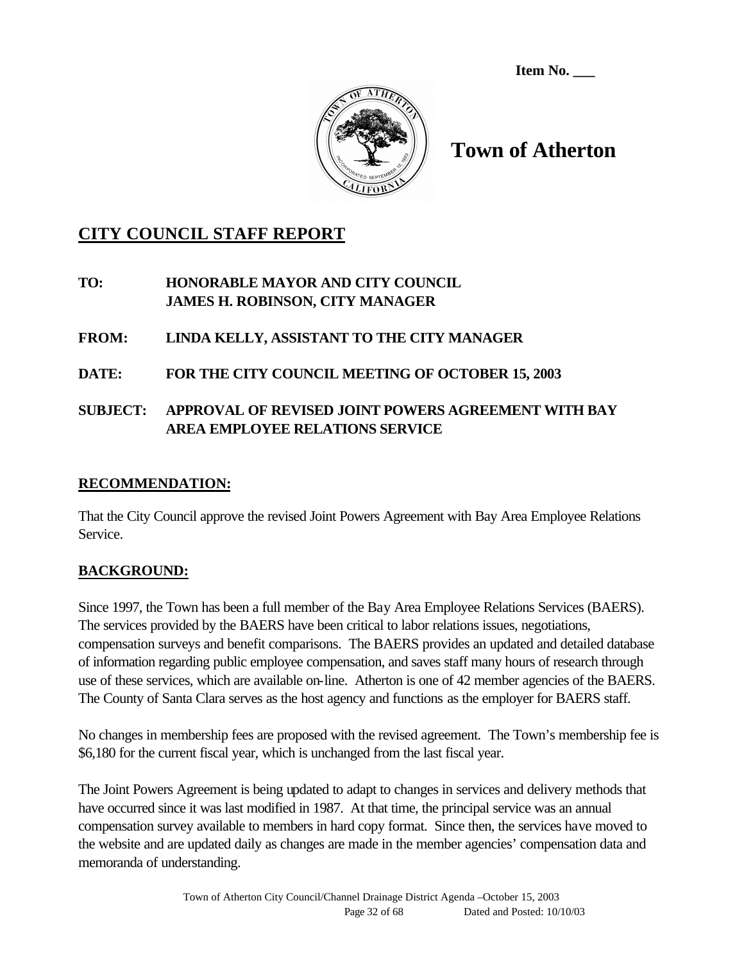**Item No. \_\_\_**



# **Town of Atherton**

## **CITY COUNCIL STAFF REPORT**

**TO: HONORABLE MAYOR AND CITY COUNCIL JAMES H. ROBINSON, CITY MANAGER**

## **FROM: LINDA KELLY, ASSISTANT TO THE CITY MANAGER**

## **DATE: FOR THE CITY COUNCIL MEETING OF OCTOBER 15, 2003**

## **SUBJECT: APPROVAL OF REVISED JOINT POWERS AGREEMENT WITH BAY AREA EMPLOYEE RELATIONS SERVICE**

#### **RECOMMENDATION:**

That the City Council approve the revised Joint Powers Agreement with Bay Area Employee Relations Service.

## **BACKGROUND:**

Since 1997, the Town has been a full member of the Bay Area Employee Relations Services (BAERS). The services provided by the BAERS have been critical to labor relations issues, negotiations, compensation surveys and benefit comparisons. The BAERS provides an updated and detailed database of information regarding public employee compensation, and saves staff many hours of research through use of these services, which are available on-line. Atherton is one of 42 member agencies of the BAERS. The County of Santa Clara serves as the host agency and functions as the employer for BAERS staff.

No changes in membership fees are proposed with the revised agreement. The Town's membership fee is \$6,180 for the current fiscal year, which is unchanged from the last fiscal year.

The Joint Powers Agreement is being updated to adapt to changes in services and delivery methods that have occurred since it was last modified in 1987. At that time, the principal service was an annual compensation survey available to members in hard copy format. Since then, the services have moved to the website and are updated daily as changes are made in the member agencies' compensation data and memoranda of understanding.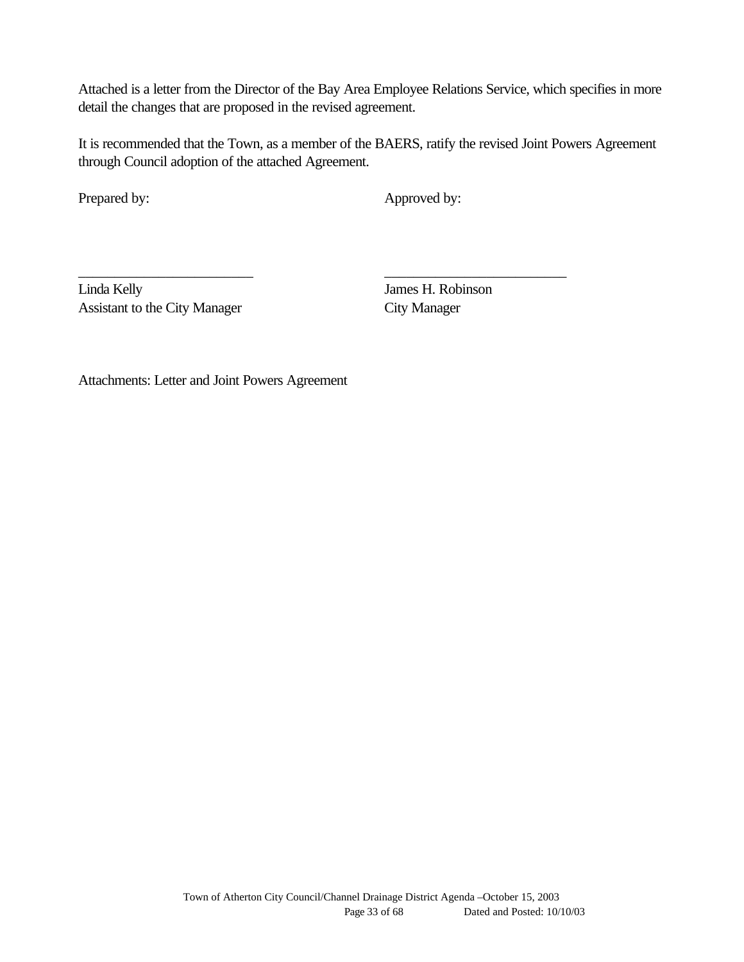Attached is a letter from the Director of the Bay Area Employee Relations Service, which specifies in more detail the changes that are proposed in the revised agreement.

It is recommended that the Town, as a member of the BAERS, ratify the revised Joint Powers Agreement through Council adoption of the attached Agreement.

\_\_\_\_\_\_\_\_\_\_\_\_\_\_\_\_\_\_\_\_\_\_\_\_ \_\_\_\_\_\_\_\_\_\_\_\_\_\_\_\_\_\_\_\_\_\_\_\_\_

Prepared by: Approved by:

Linda Kelly James H. Robinson Assistant to the City Manager City Manager

Attachments: Letter and Joint Powers Agreement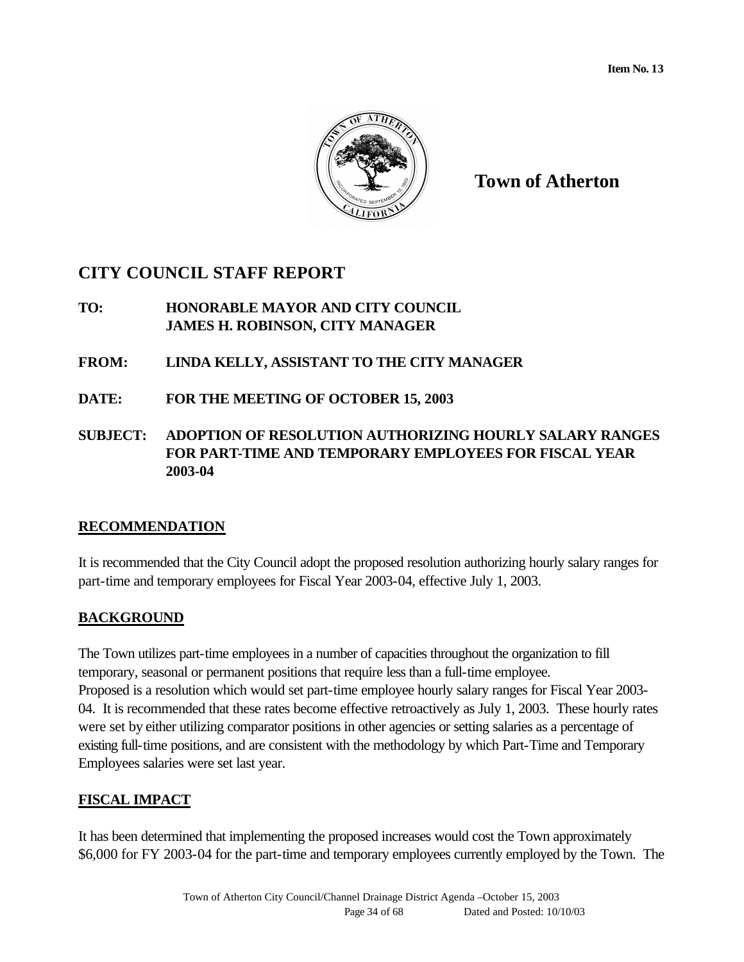

**Town of Atherton**

## **CITY COUNCIL STAFF REPORT**

- **TO: HONORABLE MAYOR AND CITY COUNCIL JAMES H. ROBINSON, CITY MANAGER**
- **FROM: LINDA KELLY, ASSISTANT TO THE CITY MANAGER**
- **DATE: FOR THE MEETING OF OCTOBER 15, 2003**
- **SUBJECT: ADOPTION OF RESOLUTION AUTHORIZING HOURLY SALARY RANGES FOR PART-TIME AND TEMPORARY EMPLOYEES FOR FISCAL YEAR 2003-04**

## **RECOMMENDATION**

It is recommended that the City Council adopt the proposed resolution authorizing hourly salary ranges for part-time and temporary employees for Fiscal Year 2003-04, effective July 1, 2003.

## **BACKGROUND**

The Town utilizes part-time employees in a number of capacities throughout the organization to fill temporary, seasonal or permanent positions that require less than a full-time employee. Proposed is a resolution which would set part-time employee hourly salary ranges for Fiscal Year 2003- 04. It is recommended that these rates become effective retroactively as July 1, 2003. These hourly rates were set by either utilizing comparator positions in other agencies or setting salaries as a percentage of existing full-time positions, and are consistent with the methodology by which Part-Time and Temporary Employees salaries were set last year.

## **FISCAL IMPACT**

It has been determined that implementing the proposed increases would cost the Town approximately \$6,000 for FY 2003-04 for the part-time and temporary employees currently employed by the Town. The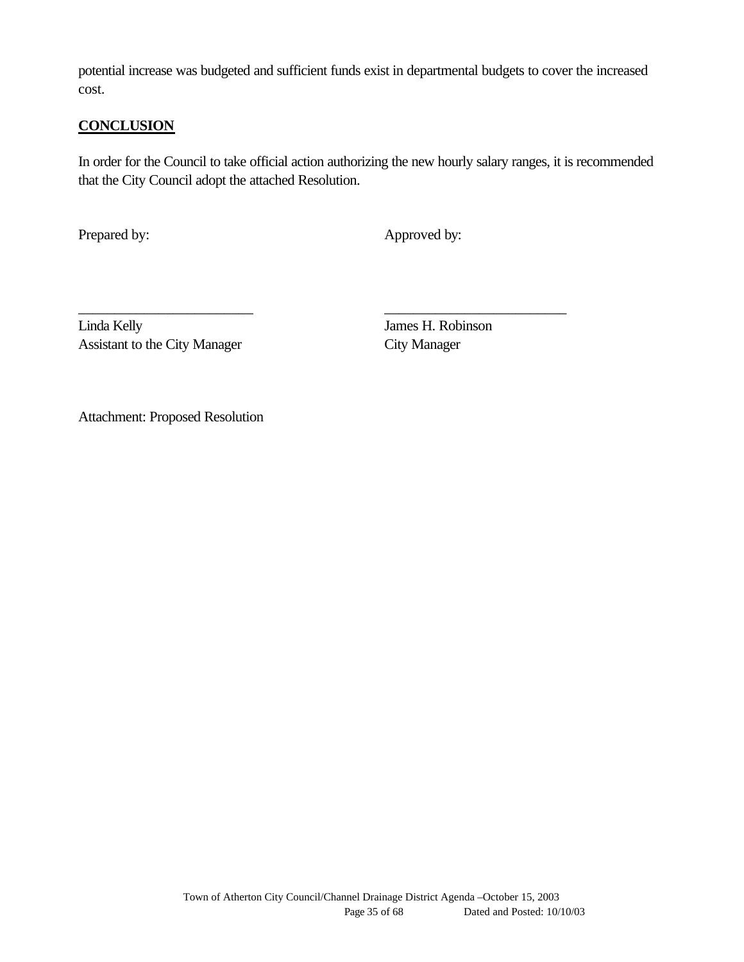potential increase was budgeted and sufficient funds exist in departmental budgets to cover the increased cost.

#### **CONCLUSION**

In order for the Council to take official action authorizing the new hourly salary ranges, it is recommended that the City Council adopt the attached Resolution.

\_\_\_\_\_\_\_\_\_\_\_\_\_\_\_\_\_\_\_\_\_\_\_\_ \_\_\_\_\_\_\_\_\_\_\_\_\_\_\_\_\_\_\_\_\_\_\_\_\_

Prepared by: Approved by:

Linda Kelly James H. Robinson Assistant to the City Manager City Manager

Attachment: Proposed Resolution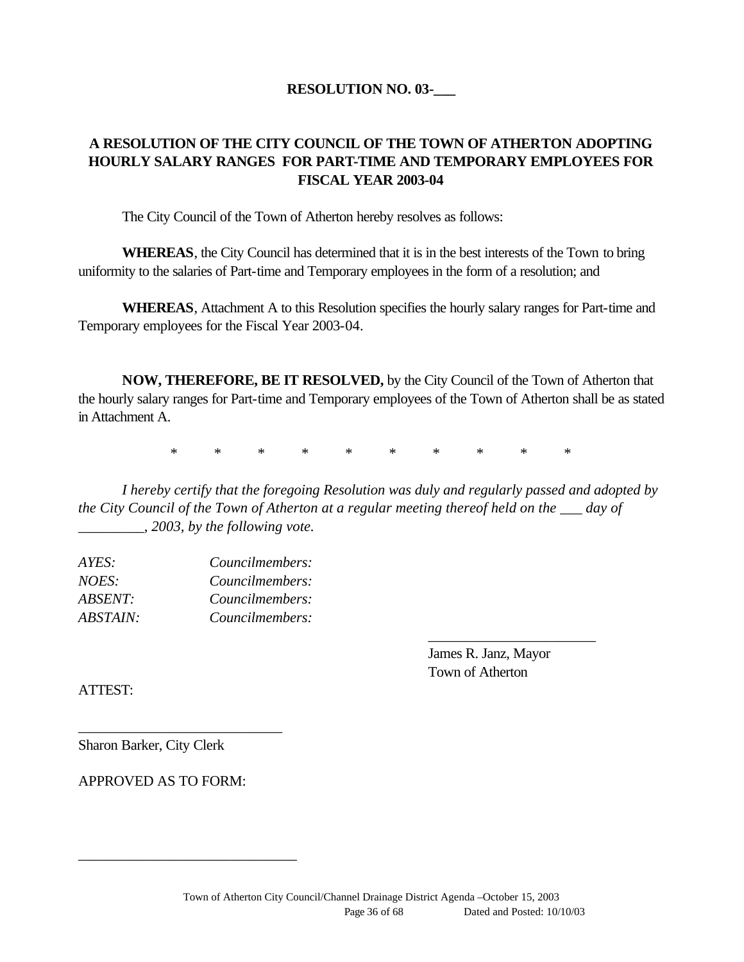#### **RESOLUTION NO. 03-\_\_\_**

## **A RESOLUTION OF THE CITY COUNCIL OF THE TOWN OF ATHERTON ADOPTING HOURLY SALARY RANGES FOR PART-TIME AND TEMPORARY EMPLOYEES FOR FISCAL YEAR 2003-04**

The City Council of the Town of Atherton hereby resolves as follows:

**WHEREAS**, the City Council has determined that it is in the best interests of the Town to bring uniformity to the salaries of Part-time and Temporary employees in the form of a resolution; and

**WHEREAS**, Attachment A to this Resolution specifies the hourly salary ranges for Part-time and Temporary employees for the Fiscal Year 2003-04.

**NOW, THEREFORE, BE IT RESOLVED,** by the City Council of the Town of Atherton that the hourly salary ranges for Part-time and Temporary employees of the Town of Atherton shall be as stated in Attachment A.

\* \* \* \* \* \* \* \* \* \*

*I hereby certify that the foregoing Resolution was duly and regularly passed and adopted by the City Council of the Town of Atherton at a regular meeting thereof held on the \_\_\_ day of \_\_\_\_\_\_\_\_\_, 2003, by the following vote.*

| Councilmembers: |
|-----------------|
| Councilmembers: |
| Councilmembers: |
| Councilmembers: |
|                 |

James R. Janz, Mayor Town of Atherton

\_\_\_\_\_\_\_\_\_\_\_\_\_\_\_\_\_\_\_\_\_\_\_

ATTEST:

Sharon Barker, City Clerk

APPROVED AS TO FORM:

*\_\_\_\_\_\_\_\_\_\_\_\_\_\_\_\_\_\_\_\_\_\_\_\_\_\_\_\_*

*\_\_\_\_\_\_\_\_\_\_\_\_\_\_\_\_\_\_\_\_\_\_\_\_\_\_\_\_\_\_*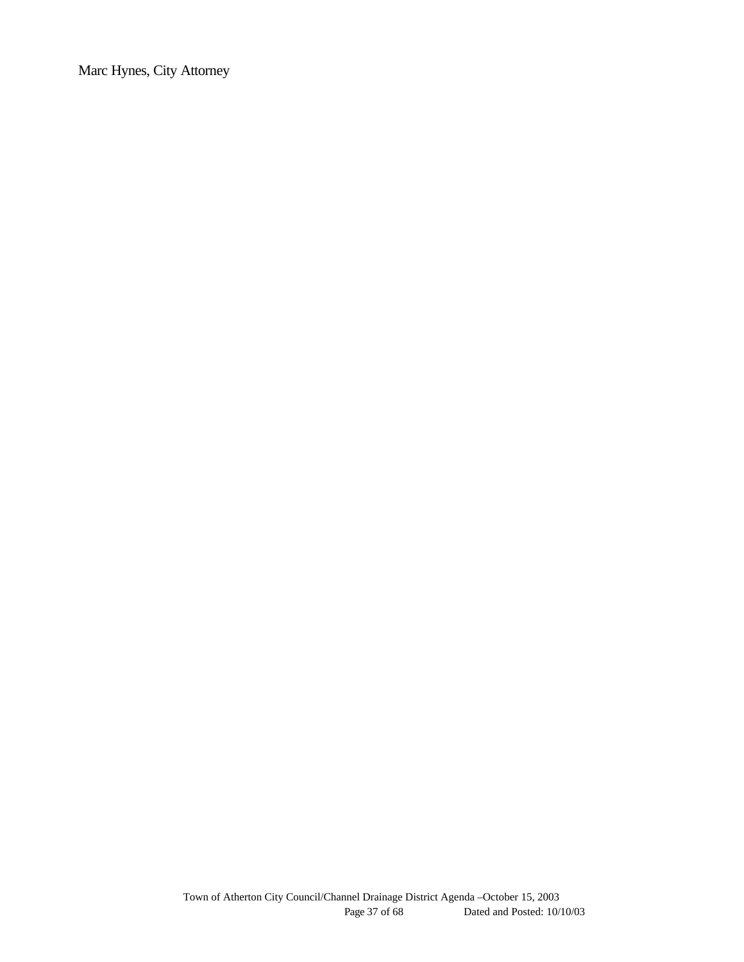Marc Hynes, City Attorney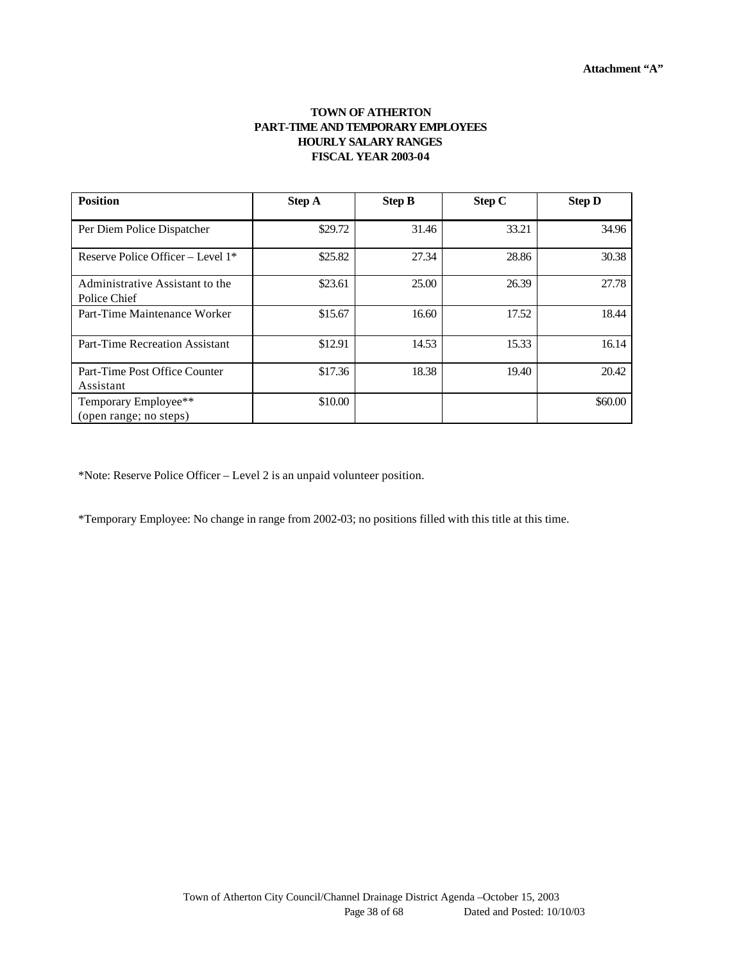#### **TOWN OF ATHERTON PART-TIME AND TEMPORARY EMPLOYEES HOURLY SALARY RANGES FISCAL YEAR 2003-04**

| <b>Position</b>                                 | <b>Step A</b> | <b>Step B</b> | Step C | <b>Step D</b> |
|-------------------------------------------------|---------------|---------------|--------|---------------|
| Per Diem Police Dispatcher                      | \$29.72       | 31.46         | 33.21  | 34.96         |
| Reserve Police Officer – Level $1^*$            | \$25.82       | 27.34         | 28.86  | 30.38         |
| Administrative Assistant to the<br>Police Chief | \$23.61       | 25.00         | 26.39  | 27.78         |
| Part-Time Maintenance Worker                    | \$15.67       | 16.60         | 17.52  | 18.44         |
| Part-Time Recreation Assistant                  | \$12.91       | 14.53         | 15.33  | 16.14         |
| Part-Time Post Office Counter<br>Assistant      | \$17.36       | 18.38         | 19.40  | 20.42         |
| Temporary Employee**<br>(open range; no steps)  | \$10.00       |               |        | \$60.00       |

\*Note: Reserve Police Officer – Level 2 is an unpaid volunteer position.

\*Temporary Employee: No change in range from 2002-03; no positions filled with this title at this time.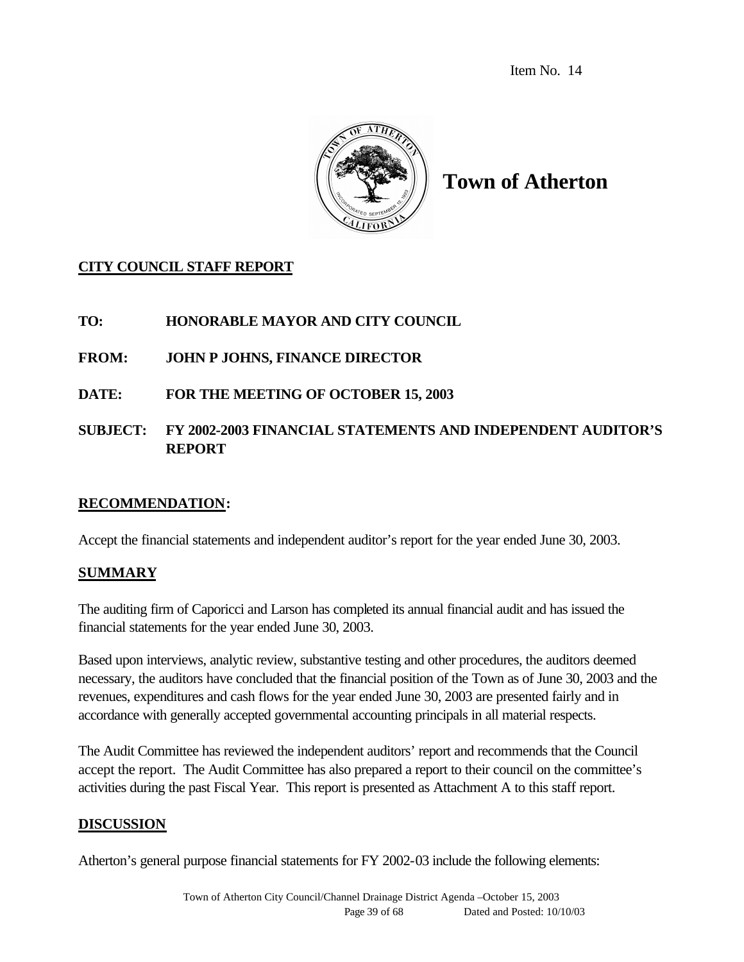Item No. 14



# **Town of Atherton**

## **CITY COUNCIL STAFF REPORT**

## **TO: HONORABLE MAYOR AND CITY COUNCIL**

## **FROM: JOHN P JOHNS, FINANCE DIRECTOR**

**DATE: FOR THE MEETING OF OCTOBER 15, 2003**

## **SUBJECT: FY 2002-2003 FINANCIAL STATEMENTS AND INDEPENDENT AUDITOR'S REPORT**

#### **RECOMMENDATION:**

Accept the financial statements and independent auditor's report for the year ended June 30, 2003.

#### **SUMMARY**

The auditing firm of Caporicci and Larson has completed its annual financial audit and has issued the financial statements for the year ended June 30, 2003.

Based upon interviews, analytic review, substantive testing and other procedures, the auditors deemed necessary, the auditors have concluded that the financial position of the Town as of June 30, 2003 and the revenues, expenditures and cash flows for the year ended June 30, 2003 are presented fairly and in accordance with generally accepted governmental accounting principals in all material respects.

The Audit Committee has reviewed the independent auditors' report and recommends that the Council accept the report. The Audit Committee has also prepared a report to their council on the committee's activities during the past Fiscal Year. This report is presented as Attachment A to this staff report.

#### **DISCUSSION**

Atherton's general purpose financial statements for FY 2002-03 include the following elements: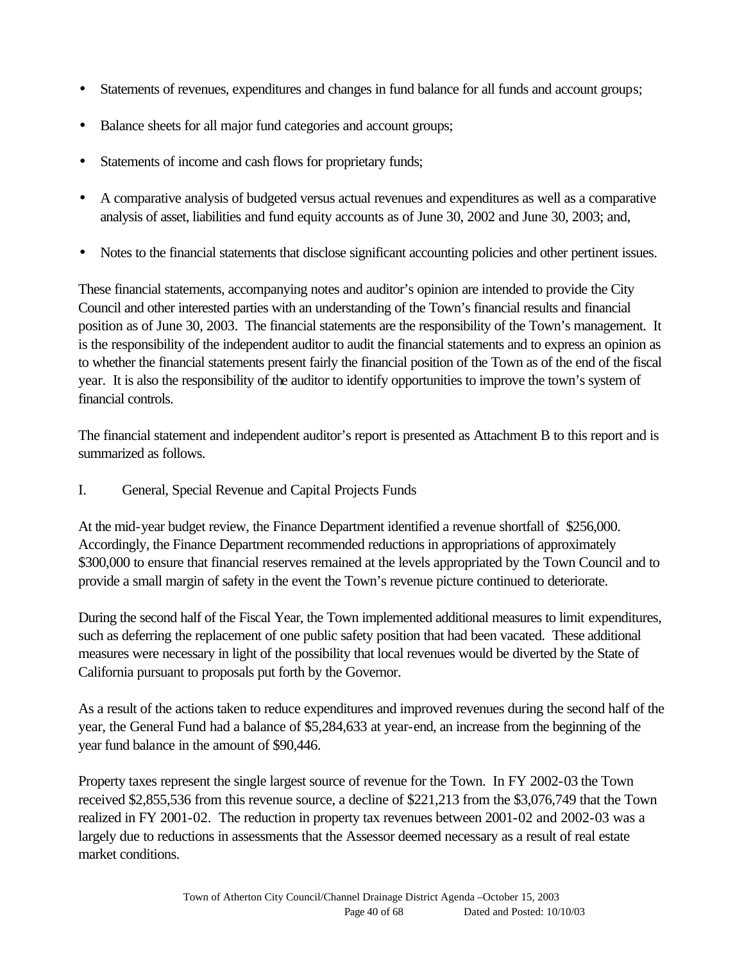- Statements of revenues, expenditures and changes in fund balance for all funds and account groups;
- Balance sheets for all major fund categories and account groups;
- Statements of income and cash flows for proprietary funds;
- A comparative analysis of budgeted versus actual revenues and expenditures as well as a comparative analysis of asset, liabilities and fund equity accounts as of June 30, 2002 and June 30, 2003; and,
- Notes to the financial statements that disclose significant accounting policies and other pertinent issues.

These financial statements, accompanying notes and auditor's opinion are intended to provide the City Council and other interested parties with an understanding of the Town's financial results and financial position as of June 30, 2003. The financial statements are the responsibility of the Town's management. It is the responsibility of the independent auditor to audit the financial statements and to express an opinion as to whether the financial statements present fairly the financial position of the Town as of the end of the fiscal year. It is also the responsibility of the auditor to identify opportunities to improve the town's system of financial controls.

The financial statement and independent auditor's report is presented as Attachment B to this report and is summarized as follows.

I. General, Special Revenue and Capital Projects Funds

At the mid-year budget review, the Finance Department identified a revenue shortfall of \$256,000. Accordingly, the Finance Department recommended reductions in appropriations of approximately \$300,000 to ensure that financial reserves remained at the levels appropriated by the Town Council and to provide a small margin of safety in the event the Town's revenue picture continued to deteriorate.

During the second half of the Fiscal Year, the Town implemented additional measures to limit expenditures, such as deferring the replacement of one public safety position that had been vacated. These additional measures were necessary in light of the possibility that local revenues would be diverted by the State of California pursuant to proposals put forth by the Governor.

As a result of the actions taken to reduce expenditures and improved revenues during the second half of the year, the General Fund had a balance of \$5,284,633 at year-end, an increase from the beginning of the year fund balance in the amount of \$90,446.

Property taxes represent the single largest source of revenue for the Town. In FY 2002-03 the Town received \$2,855,536 from this revenue source, a decline of \$221,213 from the \$3,076,749 that the Town realized in FY 2001-02. The reduction in property tax revenues between 2001-02 and 2002-03 was a largely due to reductions in assessments that the Assessor deemed necessary as a result of real estate market conditions.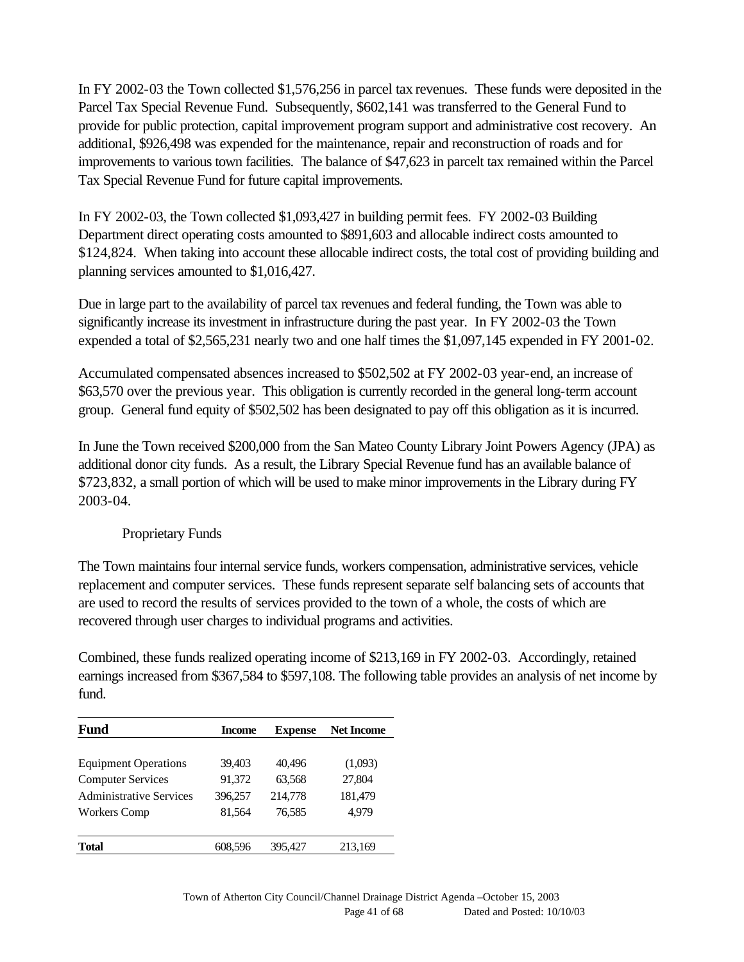In FY 2002-03 the Town collected \$1,576,256 in parcel tax revenues. These funds were deposited in the Parcel Tax Special Revenue Fund. Subsequently, \$602,141 was transferred to the General Fund to provide for public protection, capital improvement program support and administrative cost recovery. An additional, \$926,498 was expended for the maintenance, repair and reconstruction of roads and for improvements to various town facilities. The balance of \$47,623 in parcelt tax remained within the Parcel Tax Special Revenue Fund for future capital improvements.

In FY 2002-03, the Town collected \$1,093,427 in building permit fees. FY 2002-03 Building Department direct operating costs amounted to \$891,603 and allocable indirect costs amounted to \$124,824. When taking into account these allocable indirect costs, the total cost of providing building and planning services amounted to \$1,016,427.

Due in large part to the availability of parcel tax revenues and federal funding, the Town was able to significantly increase its investment in infrastructure during the past year. In FY 2002-03 the Town expended a total of \$2,565,231 nearly two and one half times the \$1,097,145 expended in FY 2001-02.

Accumulated compensated absences increased to \$502,502 at FY 2002-03 year-end, an increase of \$63,570 over the previous year. This obligation is currently recorded in the general long-term account group. General fund equity of \$502,502 has been designated to pay off this obligation as it is incurred.

In June the Town received \$200,000 from the San Mateo County Library Joint Powers Agency (JPA) as additional donor city funds. As a result, the Library Special Revenue fund has an available balance of \$723,832, a small portion of which will be used to make minor improvements in the Library during FY 2003-04.

## Proprietary Funds

The Town maintains four internal service funds, workers compensation, administrative services, vehicle replacement and computer services. These funds represent separate self balancing sets of accounts that are used to record the results of services provided to the town of a whole, the costs of which are recovered through user charges to individual programs and activities.

Combined, these funds realized operating income of \$213,169 in FY 2002-03. Accordingly, retained earnings increased from \$367,584 to \$597,108. The following table provides an analysis of net income by fund.

| <b>Fund</b>                    | Income  | <b>Expense</b> | <b>Net Income</b> |
|--------------------------------|---------|----------------|-------------------|
|                                |         |                |                   |
| <b>Equipment Operations</b>    | 39,403  | 40,496         | (1,093)           |
| <b>Computer Services</b>       | 91,372  | 63,568         | 27,804            |
| <b>Administrative Services</b> | 396,257 | 214,778        | 181,479           |
| <b>Workers Comp</b>            | 81,564  | 76,585         | 4.979             |
|                                |         |                |                   |
| <b>Total</b>                   | 608,596 | 395,427        | 213,169           |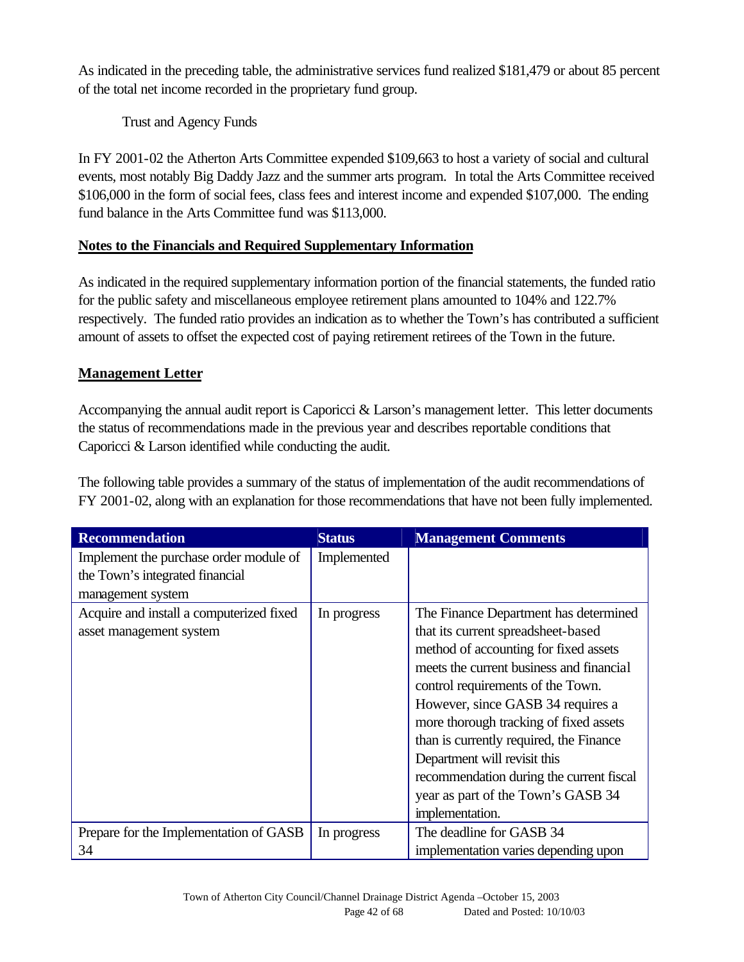As indicated in the preceding table, the administrative services fund realized \$181,479 or about 85 percent of the total net income recorded in the proprietary fund group.

Trust and Agency Funds

In FY 2001-02 the Atherton Arts Committee expended \$109,663 to host a variety of social and cultural events, most notably Big Daddy Jazz and the summer arts program. In total the Arts Committee received \$106,000 in the form of social fees, class fees and interest income and expended \$107,000. The ending fund balance in the Arts Committee fund was \$113,000.

## **Notes to the Financials and Required Supplementary Information**

As indicated in the required supplementary information portion of the financial statements, the funded ratio for the public safety and miscellaneous employee retirement plans amounted to 104% and 122.7% respectively. The funded ratio provides an indication as to whether the Town's has contributed a sufficient amount of assets to offset the expected cost of paying retirement retirees of the Town in the future.

## **Management Letter**

Accompanying the annual audit report is Caporicci & Larson's management letter. This letter documents the status of recommendations made in the previous year and describes reportable conditions that Caporicci & Larson identified while conducting the audit.

The following table provides a summary of the status of implementation of the audit recommendations of FY 2001-02, along with an explanation for those recommendations that have not been fully implemented.

| <b>Recommendation</b>                    | <b>Status</b> | <b>Management Comments</b>               |
|------------------------------------------|---------------|------------------------------------------|
| Implement the purchase order module of   | Implemented   |                                          |
| the Town's integrated financial          |               |                                          |
| management system                        |               |                                          |
| Acquire and install a computerized fixed | In progress   | The Finance Department has determined    |
| asset management system                  |               | that its current spreadsheet-based       |
|                                          |               | method of accounting for fixed assets    |
|                                          |               | meets the current business and financial |
|                                          |               | control requirements of the Town.        |
|                                          |               | However, since GASB 34 requires a        |
|                                          |               | more thorough tracking of fixed assets   |
|                                          |               | than is currently required, the Finance  |
|                                          |               | Department will revisit this             |
|                                          |               | recommendation during the current fiscal |
|                                          |               | year as part of the Town's GASB 34       |
|                                          |               | implementation.                          |
| Prepare for the Implementation of GASB   | In progress   | The deadline for GASB 34                 |
| 34                                       |               | implementation varies depending upon     |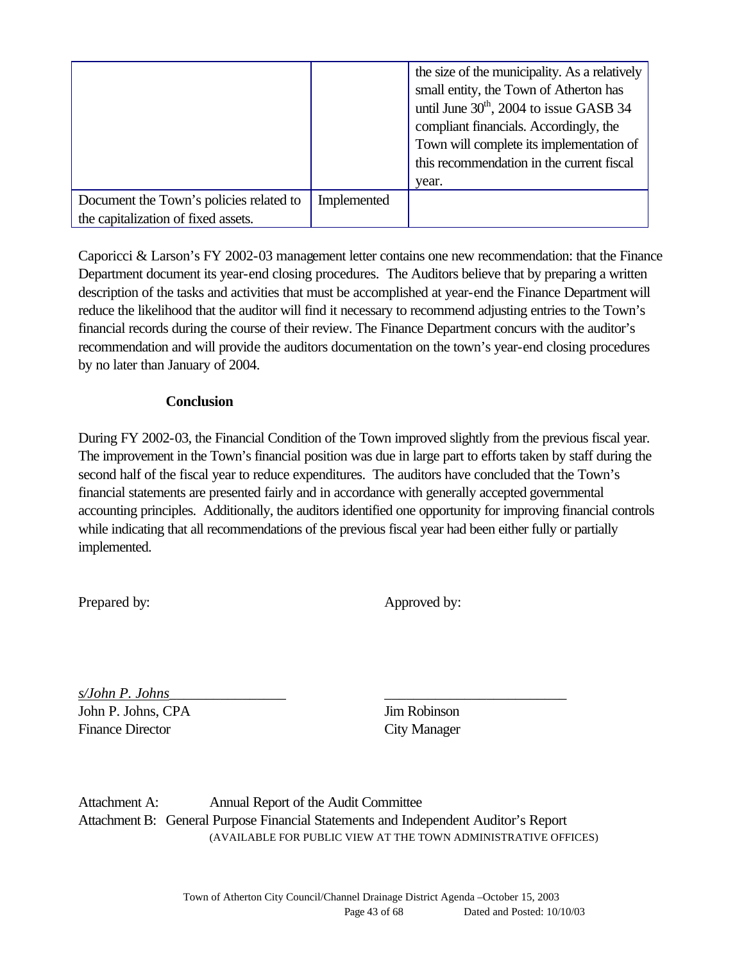|                                         |             | the size of the municipality. As a relatively<br>small entity, the Town of Atherton has<br>until June $30th$ , 2004 to issue GASB 34<br>compliant financials. Accordingly, the<br>Town will complete its implementation of<br>this recommendation in the current fiscal<br>year. |
|-----------------------------------------|-------------|----------------------------------------------------------------------------------------------------------------------------------------------------------------------------------------------------------------------------------------------------------------------------------|
| Document the Town's policies related to | Implemented |                                                                                                                                                                                                                                                                                  |
| the capitalization of fixed assets.     |             |                                                                                                                                                                                                                                                                                  |

Caporicci & Larson's FY 2002-03 management letter contains one new recommendation: that the Finance Department document its year-end closing procedures. The Auditors believe that by preparing a written description of the tasks and activities that must be accomplished at year-end the Finance Department will reduce the likelihood that the auditor will find it necessary to recommend adjusting entries to the Town's financial records during the course of their review. The Finance Department concurs with the auditor's recommendation and will provide the auditors documentation on the town's year-end closing procedures by no later than January of 2004.

#### **Conclusion**

During FY 2002-03, the Financial Condition of the Town improved slightly from the previous fiscal year. The improvement in the Town's financial position was due in large part to efforts taken by staff during the second half of the fiscal year to reduce expenditures. The auditors have concluded that the Town's financial statements are presented fairly and in accordance with generally accepted governmental accounting principles. Additionally, the auditors identified one opportunity for improving financial controls while indicating that all recommendations of the previous fiscal year had been either fully or partially implemented.

Prepared by: Approved by:

*s/John P. Johns*\_\_\_\_\_\_\_\_\_\_\_\_\_\_\_\_ \_\_\_\_\_\_\_\_\_\_\_\_\_\_\_\_\_\_\_\_\_\_\_\_\_ John P. Johns, CPA Jim Robinson Finance Director City Manager

Attachment A: Annual Report of the Audit Committee Attachment B: General Purpose Financial Statements and Independent Auditor's Report (AVAILABLE FOR PUBLIC VIEW AT THE TOWN ADMINISTRATIVE OFFICES)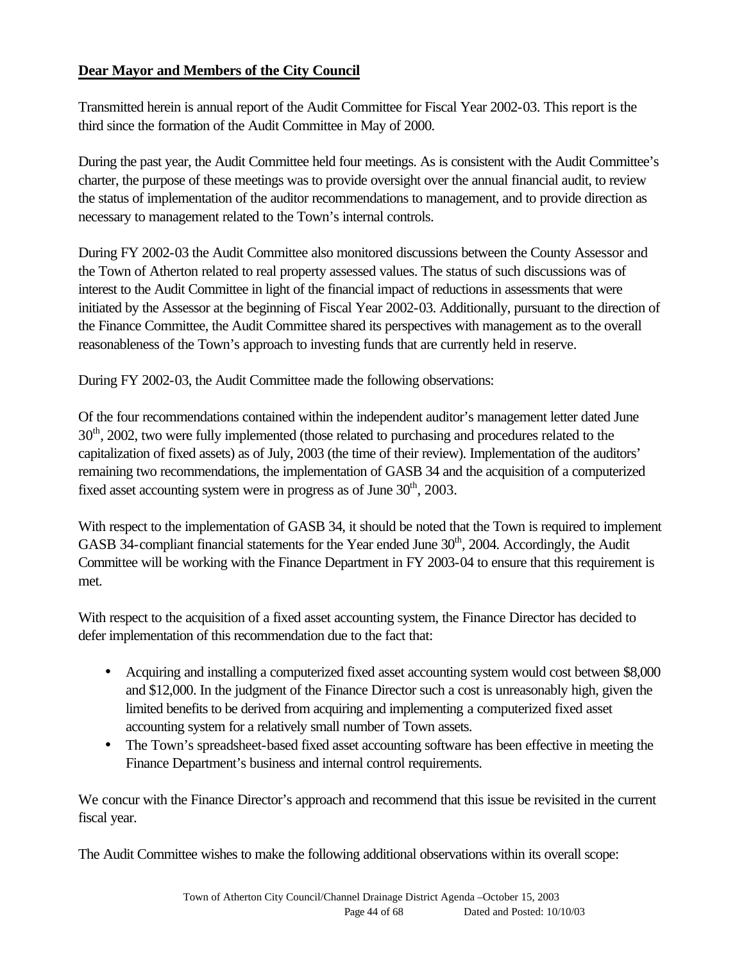## **Dear Mayor and Members of the City Council**

Transmitted herein is annual report of the Audit Committee for Fiscal Year 2002-03. This report is the third since the formation of the Audit Committee in May of 2000.

During the past year, the Audit Committee held four meetings. As is consistent with the Audit Committee's charter, the purpose of these meetings was to provide oversight over the annual financial audit, to review the status of implementation of the auditor recommendations to management, and to provide direction as necessary to management related to the Town's internal controls.

During FY 2002-03 the Audit Committee also monitored discussions between the County Assessor and the Town of Atherton related to real property assessed values. The status of such discussions was of interest to the Audit Committee in light of the financial impact of reductions in assessments that were initiated by the Assessor at the beginning of Fiscal Year 2002-03. Additionally, pursuant to the direction of the Finance Committee, the Audit Committee shared its perspectives with management as to the overall reasonableness of the Town's approach to investing funds that are currently held in reserve.

During FY 2002-03, the Audit Committee made the following observations:

Of the four recommendations contained within the independent auditor's management letter dated June 30<sup>th</sup>, 2002, two were fully implemented (those related to purchasing and procedures related to the capitalization of fixed assets) as of July, 2003 (the time of their review). Implementation of the auditors' remaining two recommendations, the implementation of GASB 34 and the acquisition of a computerized fixed asset accounting system were in progress as of June  $30<sup>th</sup>$ , 2003.

With respect to the implementation of GASB 34, it should be noted that the Town is required to implement GASB 34-compliant financial statements for the Year ended June  $30<sup>th</sup>$ , 2004. Accordingly, the Audit Committee will be working with the Finance Department in FY 2003-04 to ensure that this requirement is met.

With respect to the acquisition of a fixed asset accounting system, the Finance Director has decided to defer implementation of this recommendation due to the fact that:

- Acquiring and installing a computerized fixed asset accounting system would cost between \$8,000 and \$12,000. In the judgment of the Finance Director such a cost is unreasonably high, given the limited benefits to be derived from acquiring and implementing a computerized fixed asset accounting system for a relatively small number of Town assets.
- The Town's spreadsheet-based fixed asset accounting software has been effective in meeting the Finance Department's business and internal control requirements.

We concur with the Finance Director's approach and recommend that this issue be revisited in the current fiscal year.

The Audit Committee wishes to make the following additional observations within its overall scope: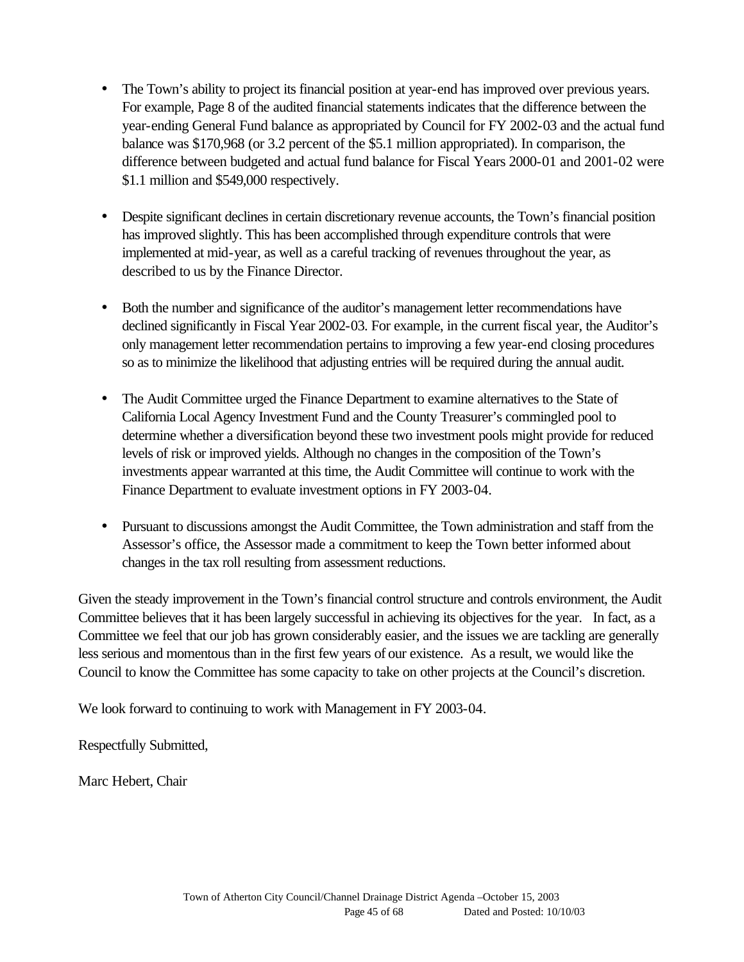- The Town's ability to project its financial position at year-end has improved over previous years. For example, Page 8 of the audited financial statements indicates that the difference between the year-ending General Fund balance as appropriated by Council for FY 2002-03 and the actual fund balance was \$170,968 (or 3.2 percent of the \$5.1 million appropriated). In comparison, the difference between budgeted and actual fund balance for Fiscal Years 2000-01 and 2001-02 were \$1.1 million and \$549,000 respectively.
- Despite significant declines in certain discretionary revenue accounts, the Town's financial position has improved slightly. This has been accomplished through expenditure controls that were implemented at mid-year, as well as a careful tracking of revenues throughout the year, as described to us by the Finance Director.
- Both the number and significance of the auditor's management letter recommendations have declined significantly in Fiscal Year 2002-03. For example, in the current fiscal year, the Auditor's only management letter recommendation pertains to improving a few year-end closing procedures so as to minimize the likelihood that adjusting entries will be required during the annual audit.
- The Audit Committee urged the Finance Department to examine alternatives to the State of California Local Agency Investment Fund and the County Treasurer's commingled pool to determine whether a diversification beyond these two investment pools might provide for reduced levels of risk or improved yields. Although no changes in the composition of the Town's investments appear warranted at this time, the Audit Committee will continue to work with the Finance Department to evaluate investment options in FY 2003-04.
- Pursuant to discussions amongst the Audit Committee, the Town administration and staff from the Assessor's office, the Assessor made a commitment to keep the Town better informed about changes in the tax roll resulting from assessment reductions.

Given the steady improvement in the Town's financial control structure and controls environment, the Audit Committee believes that it has been largely successful in achieving its objectives for the year. In fact, as a Committee we feel that our job has grown considerably easier, and the issues we are tackling are generally less serious and momentous than in the first few years of our existence. As a result, we would like the Council to know the Committee has some capacity to take on other projects at the Council's discretion.

We look forward to continuing to work with Management in FY 2003-04.

Respectfully Submitted,

Marc Hebert, Chair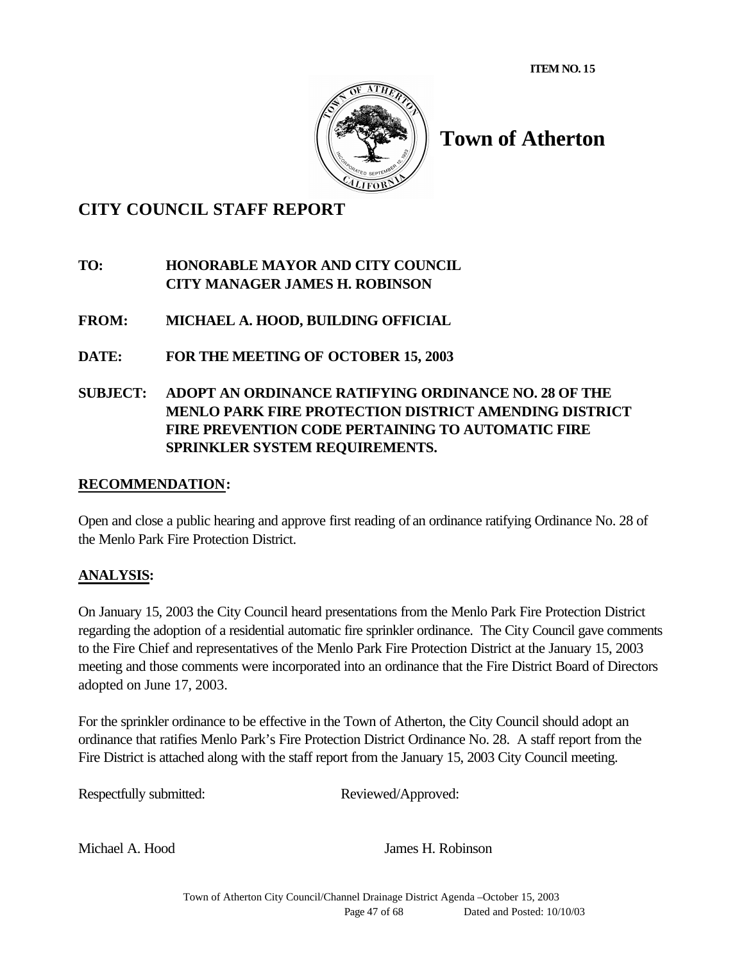**ITEM NO. 15**



# **Town of Atherton**

## **CITY COUNCIL STAFF REPORT**

## **TO: HONORABLE MAYOR AND CITY COUNCIL CITY MANAGER JAMES H. ROBINSON**

- **FROM: MICHAEL A. HOOD, BUILDING OFFICIAL**
- **DATE: FOR THE MEETING OF OCTOBER 15, 2003**

## **SUBJECT: ADOPT AN ORDINANCE RATIFYING ORDINANCE NO. 28 OF THE MENLO PARK FIRE PROTECTION DISTRICT AMENDING DISTRICT FIRE PREVENTION CODE PERTAINING TO AUTOMATIC FIRE SPRINKLER SYSTEM REQUIREMENTS.**

## **RECOMMENDATION:**

Open and close a public hearing and approve first reading of an ordinance ratifying Ordinance No. 28 of the Menlo Park Fire Protection District.

## **ANALYSIS:**

On January 15, 2003 the City Council heard presentations from the Menlo Park Fire Protection District regarding the adoption of a residential automatic fire sprinkler ordinance. The City Council gave comments to the Fire Chief and representatives of the Menlo Park Fire Protection District at the January 15, 2003 meeting and those comments were incorporated into an ordinance that the Fire District Board of Directors adopted on June 17, 2003.

For the sprinkler ordinance to be effective in the Town of Atherton, the City Council should adopt an ordinance that ratifies Menlo Park's Fire Protection District Ordinance No. 28. A staff report from the Fire District is attached along with the staff report from the January 15, 2003 City Council meeting.

Respectfully submitted: Reviewed/Approved:

Michael A. Hood James H. Robinson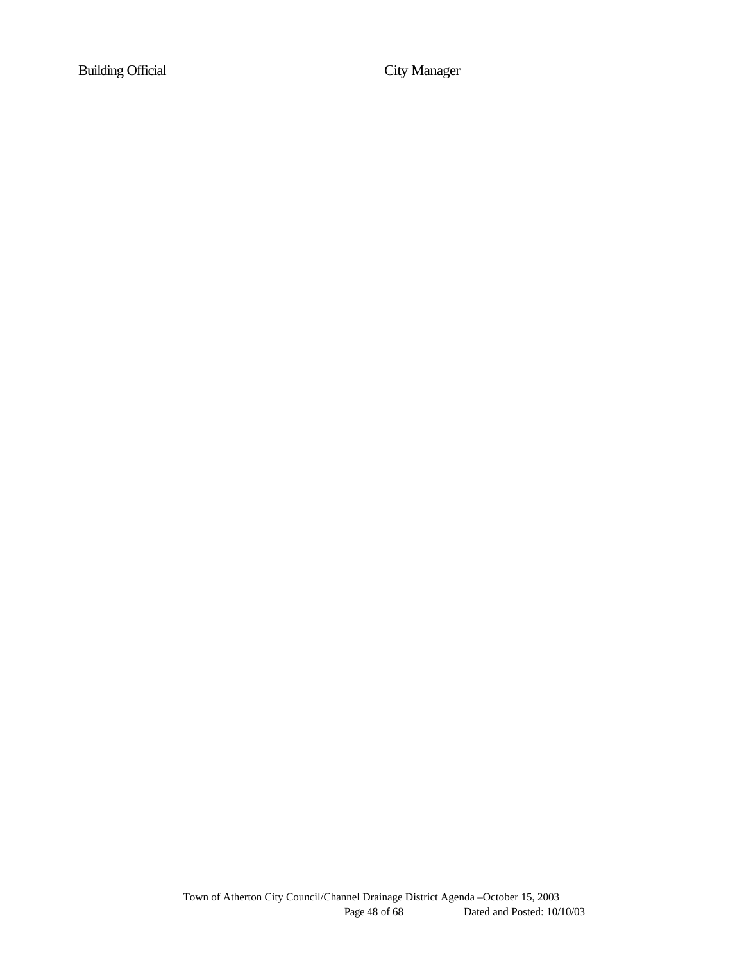Building Official City Manager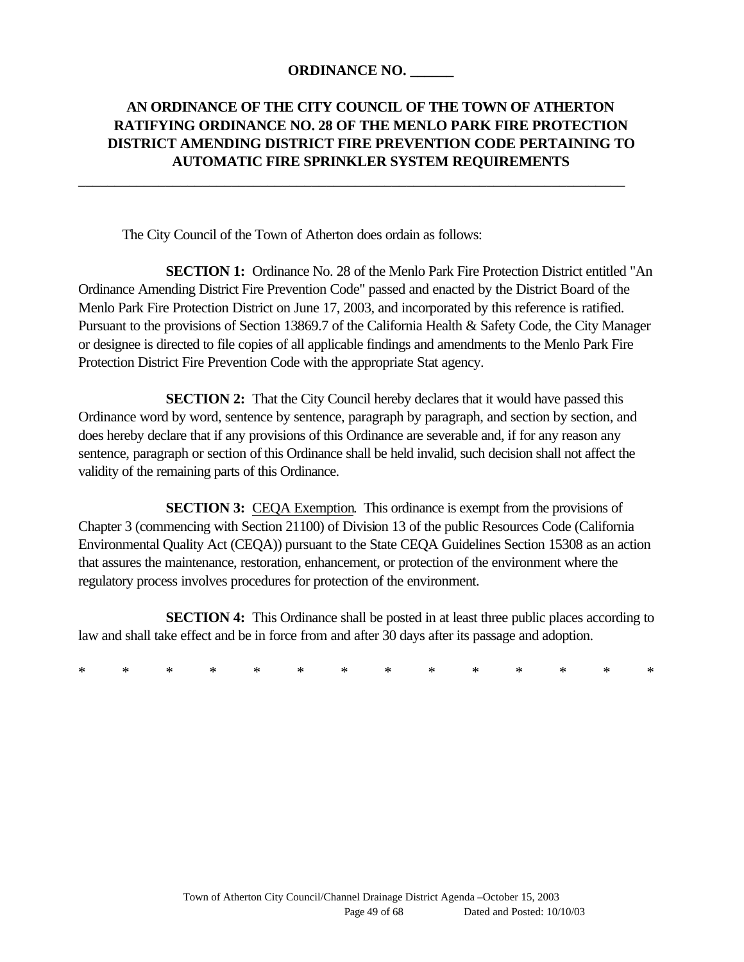### **ORDINANCE NO. \_\_\_\_\_\_**

\_\_\_\_\_\_\_\_\_\_\_\_\_\_\_\_\_\_\_\_\_\_\_\_\_\_\_\_\_\_\_\_\_\_\_\_\_\_\_\_\_\_\_\_\_\_\_\_\_\_\_\_\_\_\_\_\_\_\_\_\_\_\_\_\_\_\_\_\_\_\_\_\_\_\_

## **AN ORDINANCE OF THE CITY COUNCIL OF THE TOWN OF ATHERTON RATIFYING ORDINANCE NO. 28 OF THE MENLO PARK FIRE PROTECTION DISTRICT AMENDING DISTRICT FIRE PREVENTION CODE PERTAINING TO AUTOMATIC FIRE SPRINKLER SYSTEM REQUIREMENTS**

The City Council of the Town of Atherton does ordain as follows:

**SECTION 1:** Ordinance No. 28 of the Menlo Park Fire Protection District entitled "An Ordinance Amending District Fire Prevention Code" passed and enacted by the District Board of the Menlo Park Fire Protection District on June 17, 2003, and incorporated by this reference is ratified. Pursuant to the provisions of Section 13869.7 of the California Health & Safety Code, the City Manager or designee is directed to file copies of all applicable findings and amendments to the Menlo Park Fire Protection District Fire Prevention Code with the appropriate Stat agency.

**SECTION 2:** That the City Council hereby declares that it would have passed this Ordinance word by word, sentence by sentence, paragraph by paragraph, and section by section, and does hereby declare that if any provisions of this Ordinance are severable and, if for any reason any sentence, paragraph or section of this Ordinance shall be held invalid, such decision shall not affect the validity of the remaining parts of this Ordinance.

**SECTION 3:** CEQA Exemption. This ordinance is exempt from the provisions of Chapter 3 (commencing with Section 21100) of Division 13 of the public Resources Code (California Environmental Quality Act (CEQA)) pursuant to the State CEQA Guidelines Section 15308 as an action that assures the maintenance, restoration, enhancement, or protection of the environment where the regulatory process involves procedures for protection of the environment.

**SECTION 4:** This Ordinance shall be posted in at least three public places according to law and shall take effect and be in force from and after 30 days after its passage and adoption.

\* \* \* \* \* \* \* \* \* \* \* \* \* \*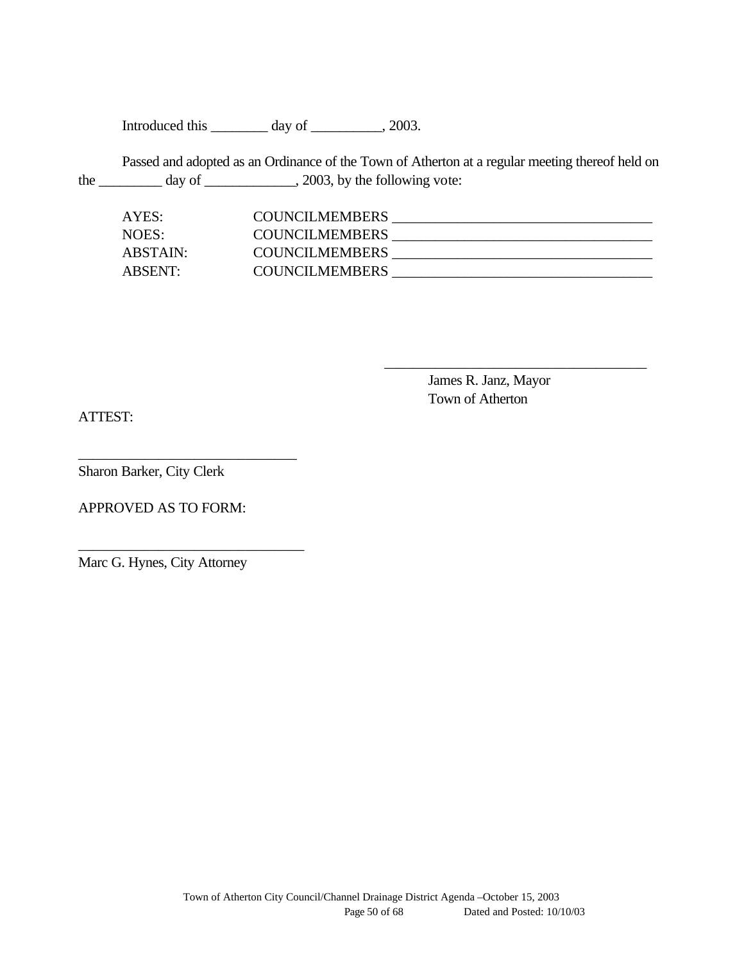Introduced this \_\_\_\_\_\_\_\_ day of \_\_\_\_\_\_\_\_, 2003.

Passed and adopted as an Ordinance of the Town of Atherton at a regular meeting thereof held on the  $\frac{1}{\sqrt{2\pi}}$  day of  $\frac{1}{\sqrt{2\pi}}$ , 2003, by the following vote:

| AYES:    | <b>COUNCILMEMBERS</b> |  |
|----------|-----------------------|--|
| NOES:    | <b>COUNCILMEMBERS</b> |  |
| ABSTAIN: | <b>COUNCILMEMBERS</b> |  |
| ABSENT:  | <b>COUNCILMEMBERS</b> |  |

James R. Janz, Mayor Town of Atherton

\_\_\_\_\_\_\_\_\_\_\_\_\_\_\_\_\_\_\_\_\_\_\_\_\_\_\_\_\_\_\_\_\_\_\_\_

ATTEST:

Sharon Barker, City Clerk

APPROVED AS TO FORM:

\_\_\_\_\_\_\_\_\_\_\_\_\_\_\_\_\_\_\_\_\_\_\_\_\_\_\_\_\_\_

\_\_\_\_\_\_\_\_\_\_\_\_\_\_\_\_\_\_\_\_\_\_\_\_\_\_\_\_\_\_\_

Marc G. Hynes, City Attorney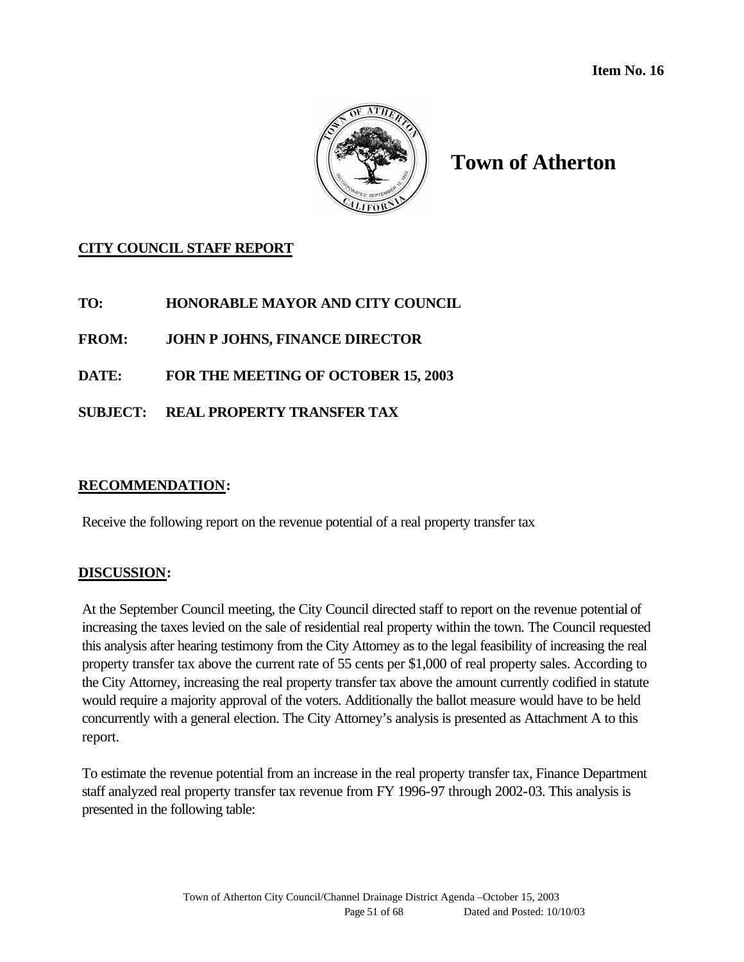

## **Town of Atherton**

## **CITY COUNCIL STAFF REPORT**

**TO: HONORABLE MAYOR AND CITY COUNCIL**

**FROM: JOHN P JOHNS, FINANCE DIRECTOR**

**DATE: FOR THE MEETING OF OCTOBER 15, 2003**

**SUBJECT: REAL PROPERTY TRANSFER TAX** 

#### **RECOMMENDATION:**

Receive the following report on the revenue potential of a real property transfer tax

#### **DISCUSSION:**

At the September Council meeting, the City Council directed staff to report on the revenue potential of increasing the taxes levied on the sale of residential real property within the town. The Council requested this analysis after hearing testimony from the City Attorney as to the legal feasibility of increasing the real property transfer tax above the current rate of 55 cents per \$1,000 of real property sales. According to the City Attorney, increasing the real property transfer tax above the amount currently codified in statute would require a majority approval of the voters. Additionally the ballot measure would have to be held concurrently with a general election. The City Attorney's analysis is presented as Attachment A to this report.

To estimate the revenue potential from an increase in the real property transfer tax, Finance Department staff analyzed real property transfer tax revenue from FY 1996-97 through 2002-03. This analysis is presented in the following table: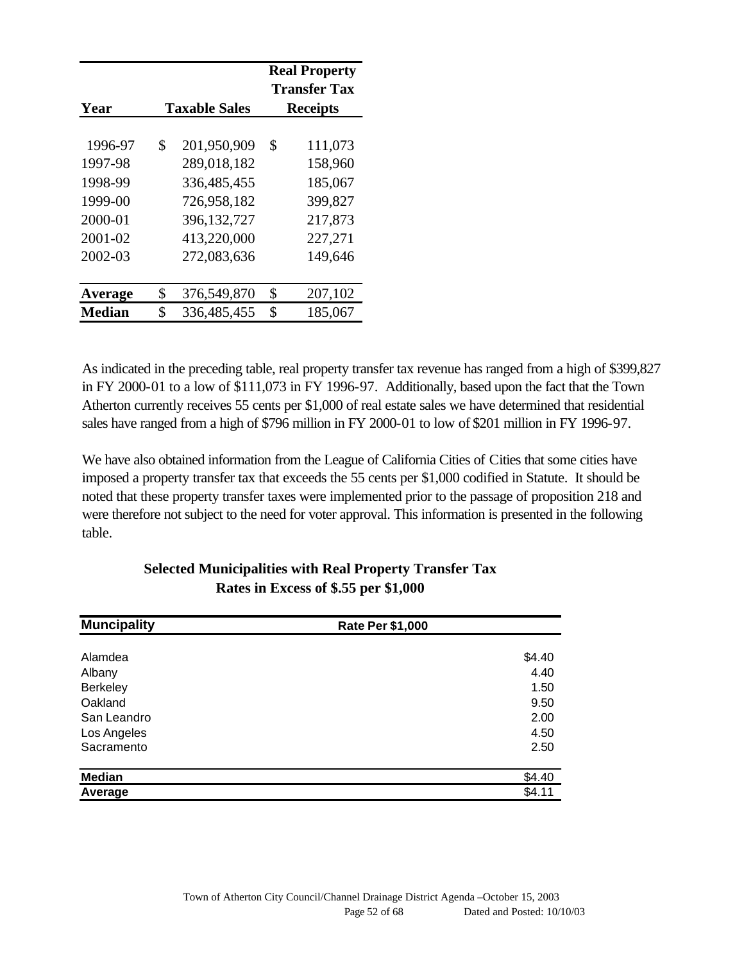|                                                                           |                                                                                                             | <b>Real Property</b><br><b>Transfer Tax</b>                                     |
|---------------------------------------------------------------------------|-------------------------------------------------------------------------------------------------------------|---------------------------------------------------------------------------------|
| Year                                                                      | <b>Taxable Sales</b>                                                                                        | <b>Receipts</b>                                                                 |
| 1996-97<br>1997-98<br>1998-99<br>1999-00<br>2000-01<br>2001-02<br>2002-03 | \$<br>201,950,909<br>289,018,182<br>336,485,455<br>726,958,182<br>396,132,727<br>413,220,000<br>272,083,636 | \$<br>111,073<br>158,960<br>185,067<br>399,827<br>217,873<br>227,271<br>149,646 |
|                                                                           |                                                                                                             |                                                                                 |
| Average                                                                   | \$<br>376,549,870                                                                                           | \$<br>207,102                                                                   |
| <b>Median</b>                                                             | \$<br>336,485,455                                                                                           | \$<br>185,067                                                                   |

As indicated in the preceding table, real property transfer tax revenue has ranged from a high of \$399,827 in FY 2000-01 to a low of \$111,073 in FY 1996-97. Additionally, based upon the fact that the Town Atherton currently receives 55 cents per \$1,000 of real estate sales we have determined that residential sales have ranged from a high of \$796 million in FY 2000-01 to low of \$201 million in FY 1996-97.

We have also obtained information from the League of California Cities of Cities that some cities have imposed a property transfer tax that exceeds the 55 cents per \$1,000 codified in Statute. It should be noted that these property transfer taxes were implemented prior to the passage of proposition 218 and were therefore not subject to the need for voter approval. This information is presented in the following table.

| <b>Muncipality</b> | <b>Rate Per \$1,000</b> |
|--------------------|-------------------------|
| Alamdea            | \$4.40                  |
| Albany             | 4.40                    |
| <b>Berkeley</b>    | 1.50                    |
| Oakland            | 9.50                    |
| San Leandro        | 2.00                    |
| Los Angeles        | 4.50                    |
| Sacramento         | 2.50                    |
| <b>Median</b>      | \$4.40                  |
| Average            | \$4.11                  |

## **Selected Municipalities with Real Property Transfer Tax Rates in Excess of \$.55 per \$1,000**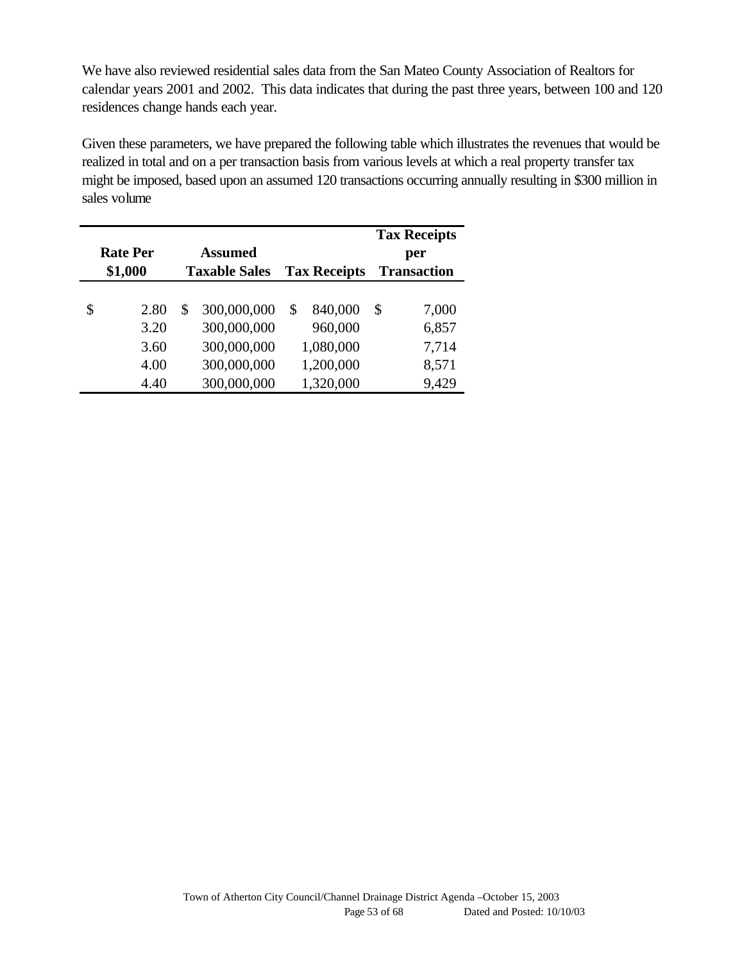We have also reviewed residential sales data from the San Mateo County Association of Realtors for calendar years 2001 and 2002. This data indicates that during the past three years, between 100 and 120 residences change hands each year.

Given these parameters, we have prepared the following table which illustrates the revenues that would be realized in total and on a per transaction basis from various levels at which a real property transfer tax might be imposed, based upon an assumed 120 transactions occurring annually resulting in \$300 million in sales volume

| <b>Rate Per</b> | <b>Assumed</b>       |                     | <b>Tax Receipts</b><br>per |
|-----------------|----------------------|---------------------|----------------------------|
| \$1,000         | <b>Taxable Sales</b> | <b>Tax Receipts</b> | <b>Transaction</b>         |
| \$<br>2.80      | \$<br>300,000,000    | \$<br>840,000       | \$<br>7,000                |
| 3.20            | 300,000,000          | 960,000             | 6,857                      |
| 3.60            | 300,000,000          | 1,080,000           | 7,714                      |
| 4.00            | 300,000,000          | 1,200,000           | 8,571                      |
| 4.40            | 300,000,000          | 1,320,000           | 9,429                      |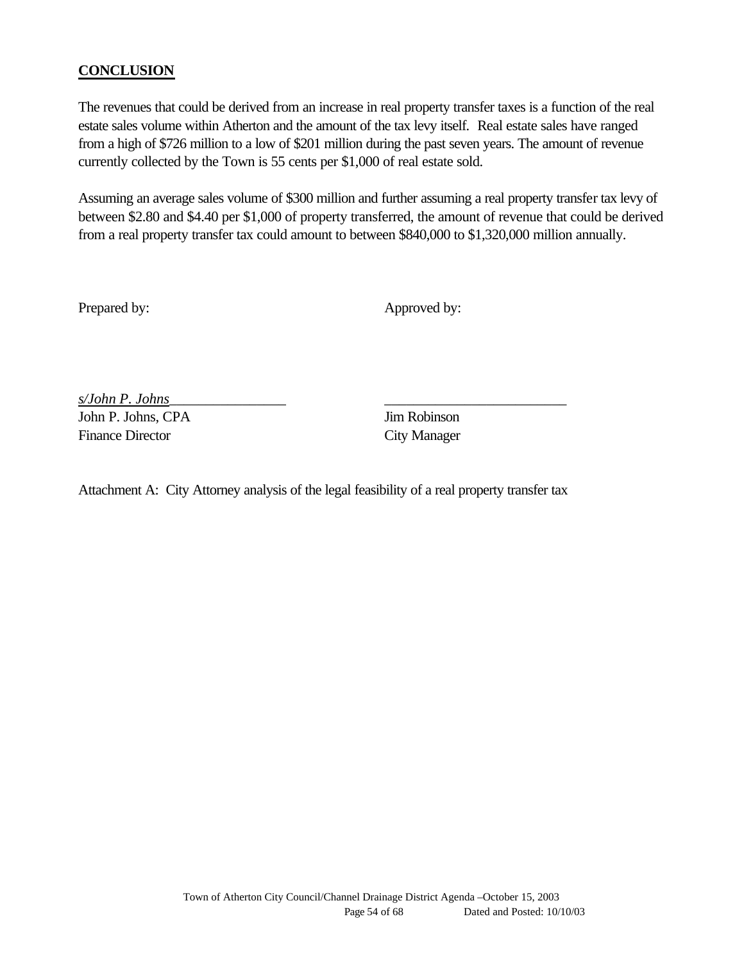## **CONCLUSION**

The revenues that could be derived from an increase in real property transfer taxes is a function of the real estate sales volume within Atherton and the amount of the tax levy itself. Real estate sales have ranged from a high of \$726 million to a low of \$201 million during the past seven years. The amount of revenue currently collected by the Town is 55 cents per \$1,000 of real estate sold.

Assuming an average sales volume of \$300 million and further assuming a real property transfer tax levy of between \$2.80 and \$4.40 per \$1,000 of property transferred, the amount of revenue that could be derived from a real property transfer tax could amount to between \$840,000 to \$1,320,000 million annually.

Prepared by: Approved by: Approved by:

*s/John P. Johns*\_\_\_\_\_\_\_\_\_\_\_\_\_\_\_\_ \_\_\_\_\_\_\_\_\_\_\_\_\_\_\_\_\_\_\_\_\_\_\_\_\_ John P. Johns, CPA Jim Robinson Finance Director City Manager

Attachment A: City Attorney analysis of the legal feasibility of a real property transfer tax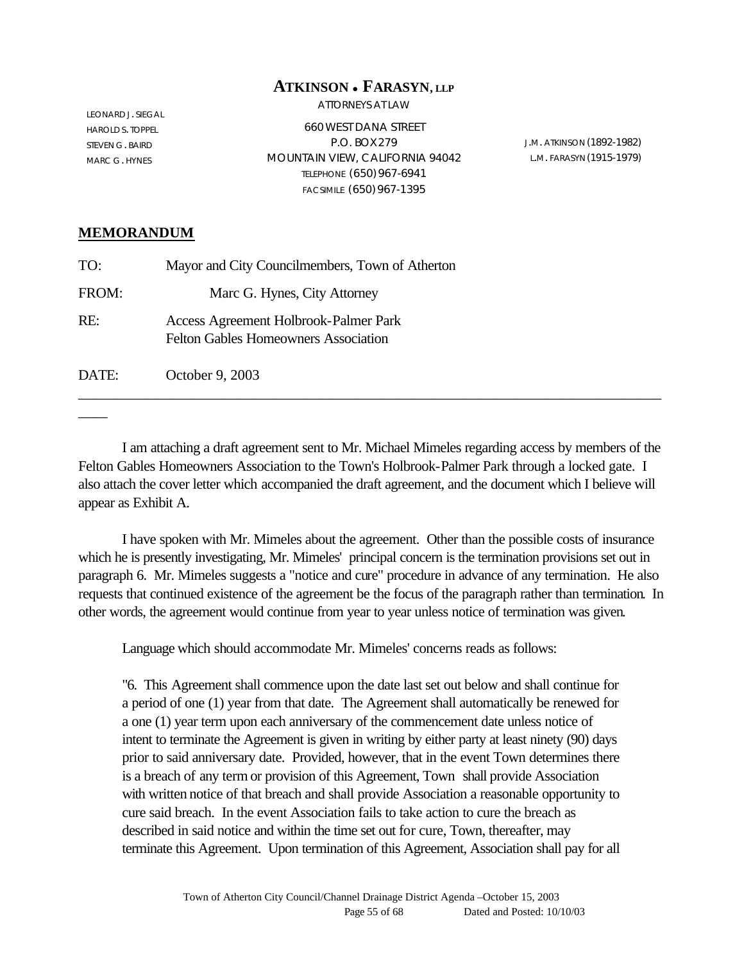#### **ATKINSON** <sup>l</sup> **FARASYN, LLP**

ATTORNEYS AT LAW

LEONARD J. SIEGAL HAROLD S. TOPPEL STEVEN G. BAIRD MARC G. HYNES

660 WEST DANA STREET P.O. BOX279 MOUNTAIN VIEW, CALIFORNIA 94042 TELEPHONE (650)967-6941 FACSIMILE (650)967-1395

J.M. ATKINSON (1892-1982) L.M. FARASYN (1915-1979)

#### **MEMORANDUM**

 $\overline{\phantom{a}}$ 

| TO:   | Mayor and City Councilmembers, Town of Atherton                                      |
|-------|--------------------------------------------------------------------------------------|
| FROM: | Marc G. Hynes, City Attorney                                                         |
| RE:   | Access Agreement Holbrook-Palmer Park<br><b>Felton Gables Homeowners Association</b> |
| DATE: | October 9, 2003                                                                      |

I am attaching a draft agreement sent to Mr. Michael Mimeles regarding access by members of the Felton Gables Homeowners Association to the Town's Holbrook-Palmer Park through a locked gate. I also attach the cover letter which accompanied the draft agreement, and the document which I believe will appear as Exhibit A.

I have spoken with Mr. Mimeles about the agreement. Other than the possible costs of insurance which he is presently investigating, Mr. Mimeles' principal concern is the termination provisions set out in paragraph 6. Mr. Mimeles suggests a "notice and cure" procedure in advance of any termination. He also requests that continued existence of the agreement be the focus of the paragraph rather than termination. In other words, the agreement would continue from year to year unless notice of termination was given.

Language which should accommodate Mr. Mimeles' concerns reads as follows:

"6. This Agreement shall commence upon the date last set out below and shall continue for a period of one (1) year from that date. The Agreement shall automatically be renewed for a one (1) year term upon each anniversary of the commencement date unless notice of intent to terminate the Agreement is given in writing by either party at least ninety (90) days prior to said anniversary date. Provided, however, that in the event Town determines there is a breach of any term or provision of this Agreement, Town shall provide Association with written notice of that breach and shall provide Association a reasonable opportunity to cure said breach. In the event Association fails to take action to cure the breach as described in said notice and within the time set out for cure, Town, thereafter, may terminate this Agreement. Upon termination of this Agreement, Association shall pay for all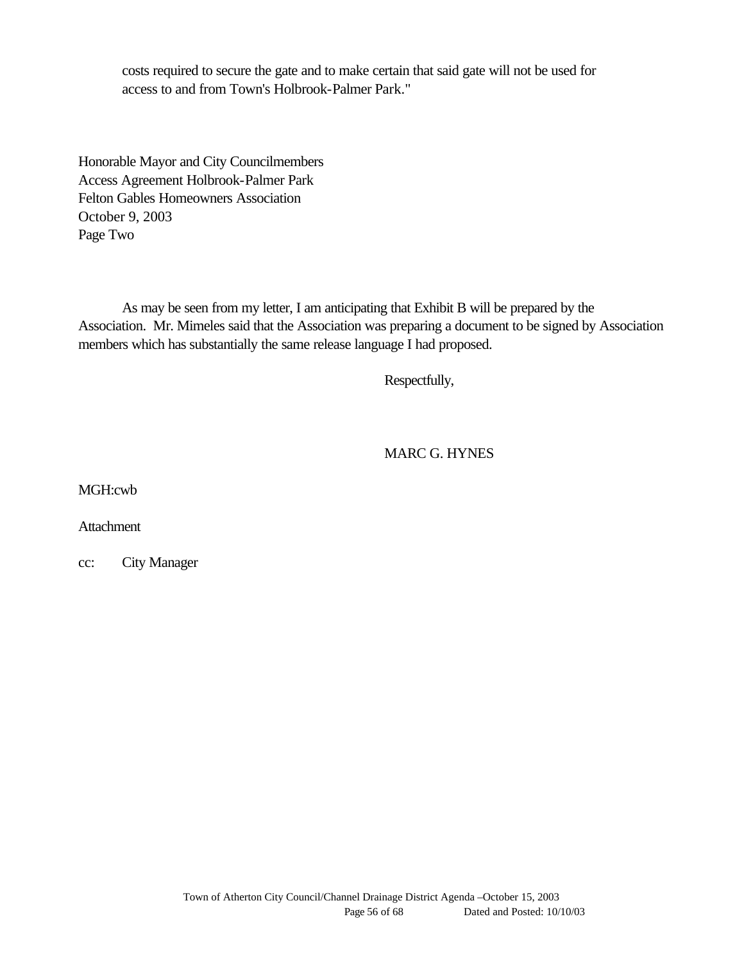costs required to secure the gate and to make certain that said gate will not be used for access to and from Town's Holbrook-Palmer Park."

Honorable Mayor and City Councilmembers Access Agreement Holbrook-Palmer Park Felton Gables Homeowners Association October 9, 2003 Page Two

As may be seen from my letter, I am anticipating that Exhibit B will be prepared by the Association. Mr. Mimeles said that the Association was preparing a document to be signed by Association members which has substantially the same release language I had proposed.

Respectfully,

MARC G. HYNES

MGH:cwb

Attachment

cc: City Manager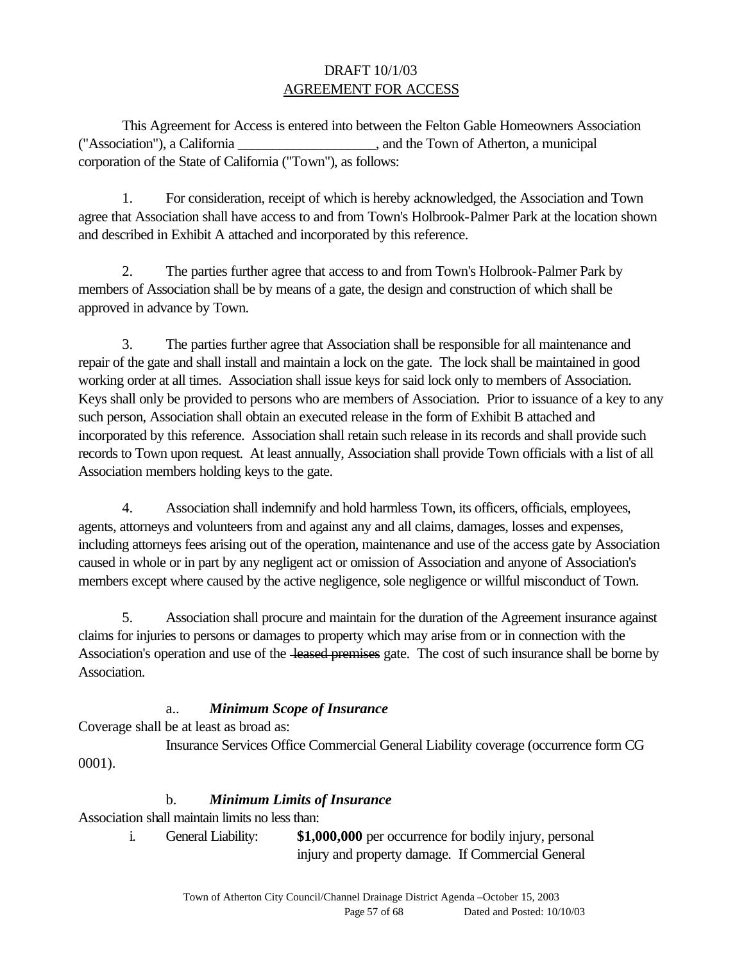## DRAFT 10/1/03 AGREEMENT FOR ACCESS

This Agreement for Access is entered into between the Felton Gable Homeowners Association ("Association"), a California \_\_\_\_\_\_\_\_\_\_\_\_\_\_\_\_\_\_\_\_, and the Town of Atherton, a municipal corporation of the State of California ("Town"), as follows:

1. For consideration, receipt of which is hereby acknowledged, the Association and Town agree that Association shall have access to and from Town's Holbrook-Palmer Park at the location shown and described in Exhibit A attached and incorporated by this reference.

2. The parties further agree that access to and from Town's Holbrook-Palmer Park by members of Association shall be by means of a gate, the design and construction of which shall be approved in advance by Town.

3. The parties further agree that Association shall be responsible for all maintenance and repair of the gate and shall install and maintain a lock on the gate. The lock shall be maintained in good working order at all times. Association shall issue keys for said lock only to members of Association. Keys shall only be provided to persons who are members of Association. Prior to issuance of a key to any such person, Association shall obtain an executed release in the form of Exhibit B attached and incorporated by this reference. Association shall retain such release in its records and shall provide such records to Town upon request. At least annually, Association shall provide Town officials with a list of all Association members holding keys to the gate.

4. Association shall indemnify and hold harmless Town, its officers, officials, employees, agents, attorneys and volunteers from and against any and all claims, damages, losses and expenses, including attorneys fees arising out of the operation, maintenance and use of the access gate by Association caused in whole or in part by any negligent act or omission of Association and anyone of Association's members except where caused by the active negligence, sole negligence or willful misconduct of Town.

5. Association shall procure and maintain for the duration of the Agreement insurance against claims for injuries to persons or damages to property which may arise from or in connection with the Association's operation and use of the leased premises gate. The cost of such insurance shall be borne by Association.

#### a.. *Minimum Scope of Insurance*

Coverage shall be at least as broad as:

Insurance Services Office Commercial General Liability coverage (occurrence form CG 0001).

#### b. *Minimum Limits of Insurance*

Association shall maintain limits no less than:

 i. General Liability: **\$1,000,000** per occurrence for bodily injury, personal injury and property damage. If Commercial General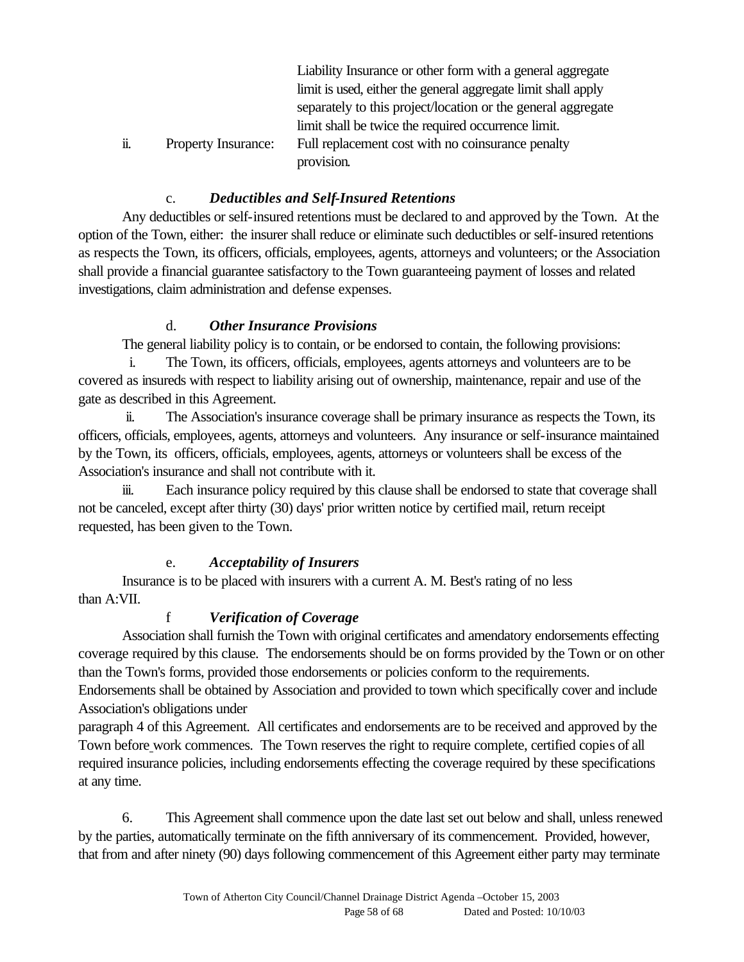|    |                            | Liability Insurance or other form with a general aggregate    |
|----|----------------------------|---------------------------------------------------------------|
|    |                            | limit is used, either the general aggregate limit shall apply |
|    |                            | separately to this project/location or the general aggregate  |
|    |                            | limit shall be twice the required occurrence limit.           |
| ü. | <b>Property Insurance:</b> | Full replacement cost with no coinsurance penalty             |
|    |                            | provision.                                                    |

## c. *Deductibles and Self-Insured Retentions*

Any deductibles or self-insured retentions must be declared to and approved by the Town. At the option of the Town, either: the insurer shall reduce or eliminate such deductibles or self-insured retentions as respects the Town, its officers, officials, employees, agents, attorneys and volunteers; or the Association shall provide a financial guarantee satisfactory to the Town guaranteeing payment of losses and related investigations, claim administration and defense expenses.

#### d. *Other Insurance Provisions*

The general liability policy is to contain, or be endorsed to contain, the following provisions:

 i. The Town, its officers, officials, employees, agents attorneys and volunteers are to be covered as insureds with respect to liability arising out of ownership, maintenance, repair and use of the gate as described in this Agreement.

 ii. The Association's insurance coverage shall be primary insurance as respects the Town, its officers, officials, employees, agents, attorneys and volunteers. Any insurance or self-insurance maintained by the Town, its officers, officials, employees, agents, attorneys or volunteers shall be excess of the Association's insurance and shall not contribute with it.

iii. Each insurance policy required by this clause shall be endorsed to state that coverage shall not be canceled, except after thirty (30) days' prior written notice by certified mail, return receipt requested, has been given to the Town.

## e. *Acceptability of Insurers*

Insurance is to be placed with insurers with a current A. M. Best's rating of no less than A:VII.

## f *Verification of Coverage*

Association shall furnish the Town with original certificates and amendatory endorsements effecting coverage required by this clause. The endorsements should be on forms provided by the Town or on other than the Town's forms, provided those endorsements or policies conform to the requirements.

Endorsements shall be obtained by Association and provided to town which specifically cover and include Association's obligations under

paragraph 4 of this Agreement. All certificates and endorsements are to be received and approved by the Town before work commences. The Town reserves the right to require complete, certified copies of all required insurance policies, including endorsements effecting the coverage required by these specifications at any time.

6. This Agreement shall commence upon the date last set out below and shall, unless renewed by the parties, automatically terminate on the fifth anniversary of its commencement. Provided, however, that from and after ninety (90) days following commencement of this Agreement either party may terminate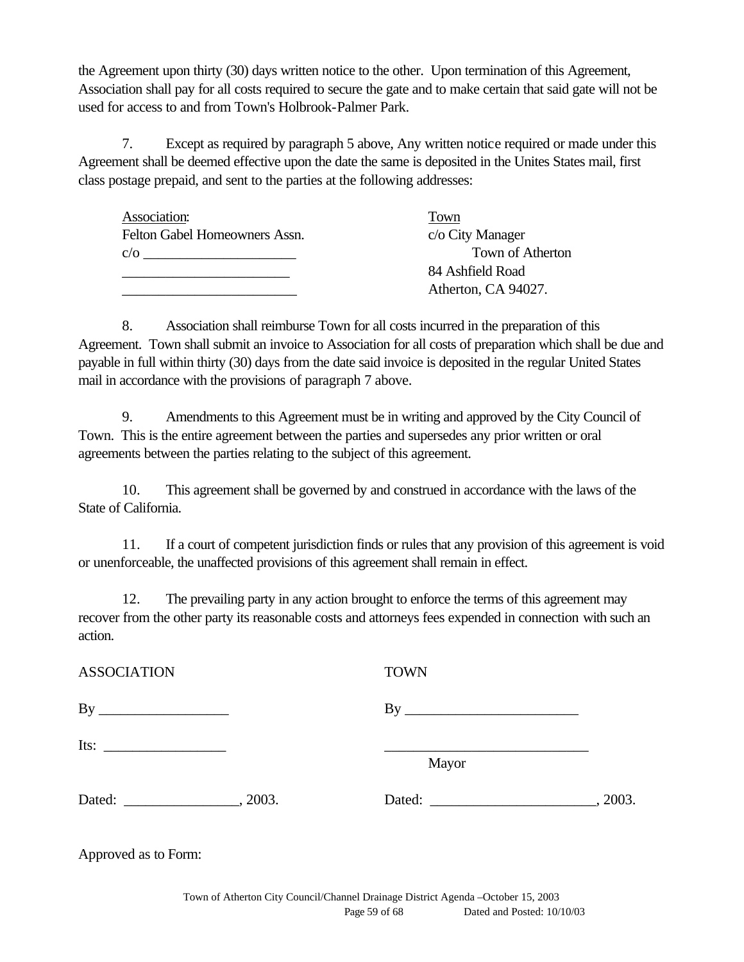the Agreement upon thirty (30) days written notice to the other. Upon termination of this Agreement, Association shall pay for all costs required to secure the gate and to make certain that said gate will not be used for access to and from Town's Holbrook-Palmer Park.

7. Except as required by paragraph 5 above, Any written notice required or made under this Agreement shall be deemed effective upon the date the same is deposited in the Unites States mail, first class postage prepaid, and sent to the parties at the following addresses:

| Town of Atherton    |
|---------------------|
|                     |
| Atherton, CA 94027. |
|                     |

8. Association shall reimburse Town for all costs incurred in the preparation of this Agreement. Town shall submit an invoice to Association for all costs of preparation which shall be due and payable in full within thirty (30) days from the date said invoice is deposited in the regular United States mail in accordance with the provisions of paragraph 7 above.

9. Amendments to this Agreement must be in writing and approved by the City Council of Town. This is the entire agreement between the parties and supersedes any prior written or oral agreements between the parties relating to the subject of this agreement.

10. This agreement shall be governed by and construed in accordance with the laws of the State of California.

11. If a court of competent jurisdiction finds or rules that any provision of this agreement is void or unenforceable, the unaffected provisions of this agreement shall remain in effect.

12. The prevailing party in any action brought to enforce the terms of this agreement may recover from the other party its reasonable costs and attorneys fees expended in connection with such an action.

| <b>ASSOCIATION</b> | <b>TOWN</b> |         |
|--------------------|-------------|---------|
|                    |             |         |
|                    | Mayor       |         |
| Dated:<br>, 2003.  |             | , 2003. |

Approved as to Form: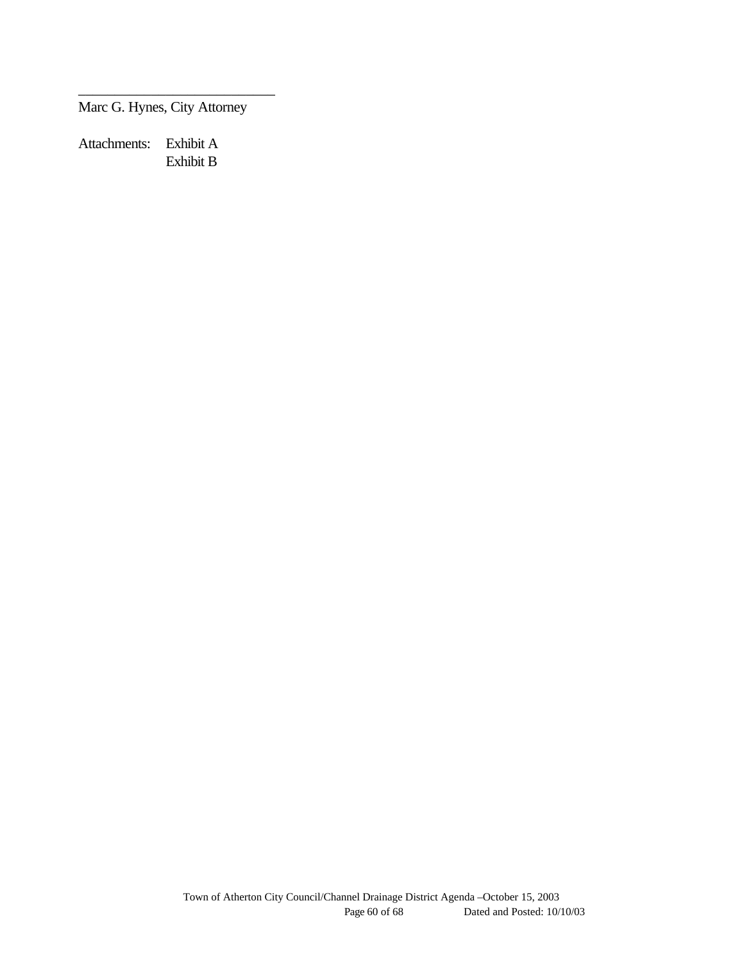Marc G. Hynes, City Attorney

\_\_\_\_\_\_\_\_\_\_\_\_\_\_\_\_\_\_\_\_\_\_\_\_\_\_\_

Attachments: Exhibit A Exhibit B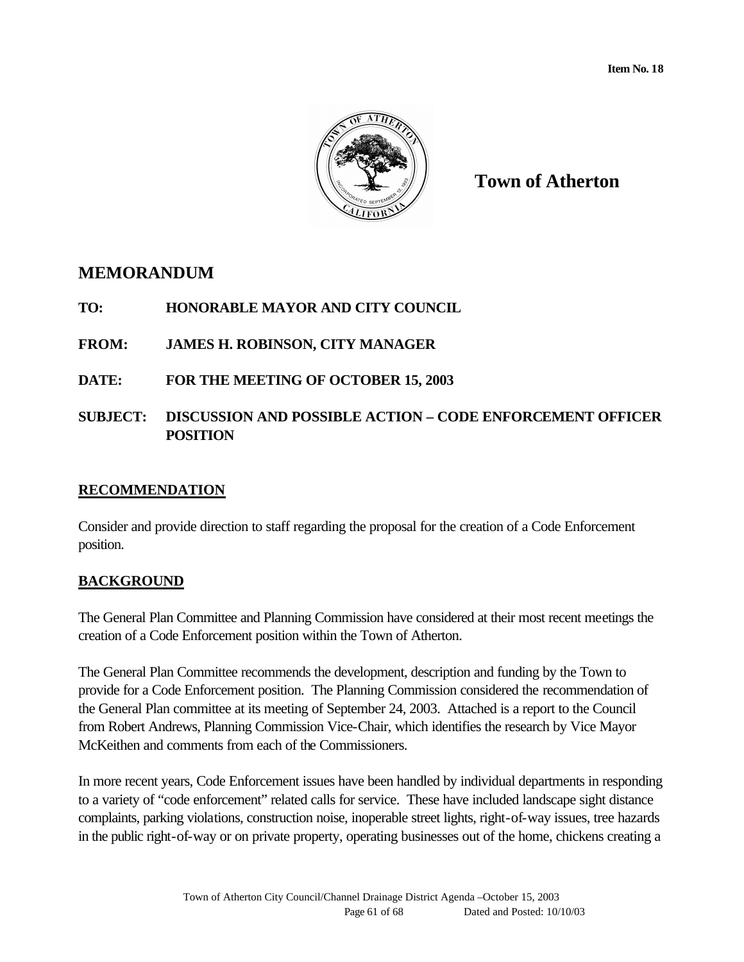

**Town of Atherton**

## **MEMORANDUM**

**TO: HONORABLE MAYOR AND CITY COUNCIL**

**FROM: JAMES H. ROBINSON, CITY MANAGER**

**DATE: FOR THE MEETING OF OCTOBER 15, 2003**

## **SUBJECT: DISCUSSION AND POSSIBLE ACTION – CODE ENFORCEMENT OFFICER POSITION**

## **RECOMMENDATION**

Consider and provide direction to staff regarding the proposal for the creation of a Code Enforcement position.

## **BACKGROUND**

The General Plan Committee and Planning Commission have considered at their most recent meetings the creation of a Code Enforcement position within the Town of Atherton.

The General Plan Committee recommends the development, description and funding by the Town to provide for a Code Enforcement position. The Planning Commission considered the recommendation of the General Plan committee at its meeting of September 24, 2003. Attached is a report to the Council from Robert Andrews, Planning Commission Vice-Chair, which identifies the research by Vice Mayor McKeithen and comments from each of the Commissioners.

In more recent years, Code Enforcement issues have been handled by individual departments in responding to a variety of "code enforcement" related calls for service. These have included landscape sight distance complaints, parking violations, construction noise, inoperable street lights, right-of-way issues, tree hazards in the public right-of-way or on private property, operating businesses out of the home, chickens creating a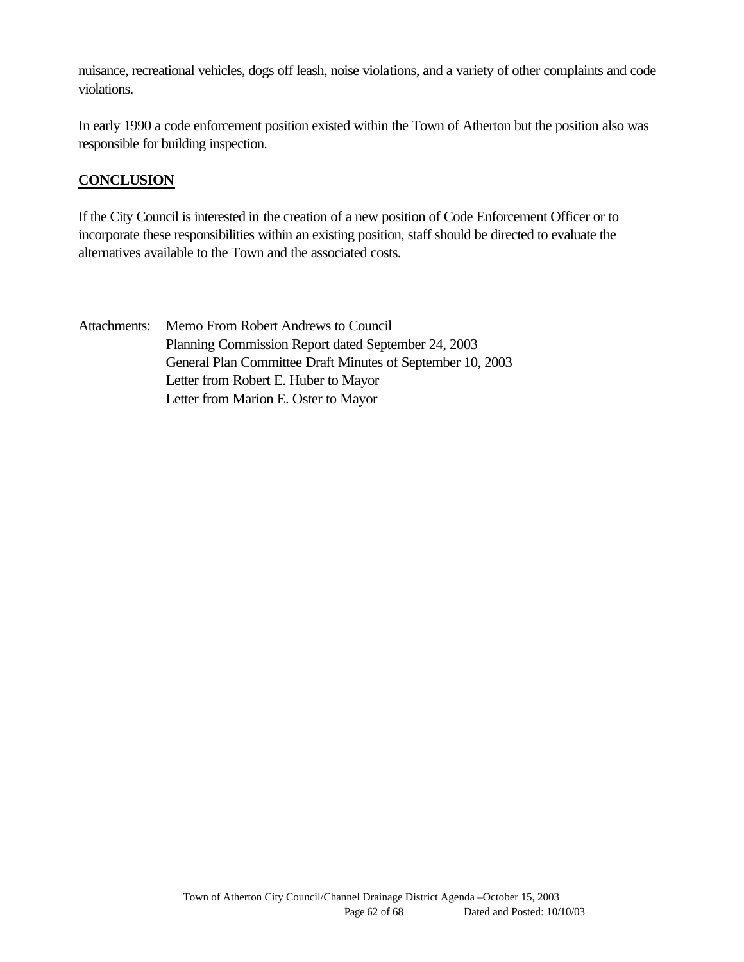nuisance, recreational vehicles, dogs off leash, noise violations, and a variety of other complaints and code violations.

In early 1990 a code enforcement position existed within the Town of Atherton but the position also was responsible for building inspection.

## **CONCLUSION**

If the City Council is interested in the creation of a new position of Code Enforcement Officer or to incorporate these responsibilities within an existing position, staff should be directed to evaluate the alternatives available to the Town and the associated costs.

Attachments: Memo From Robert Andrews to Council Planning Commission Report dated September 24, 2003 General Plan Committee Draft Minutes of September 10, 2003 Letter from Robert E. Huber to Mayor Letter from Marion E. Oster to Mayor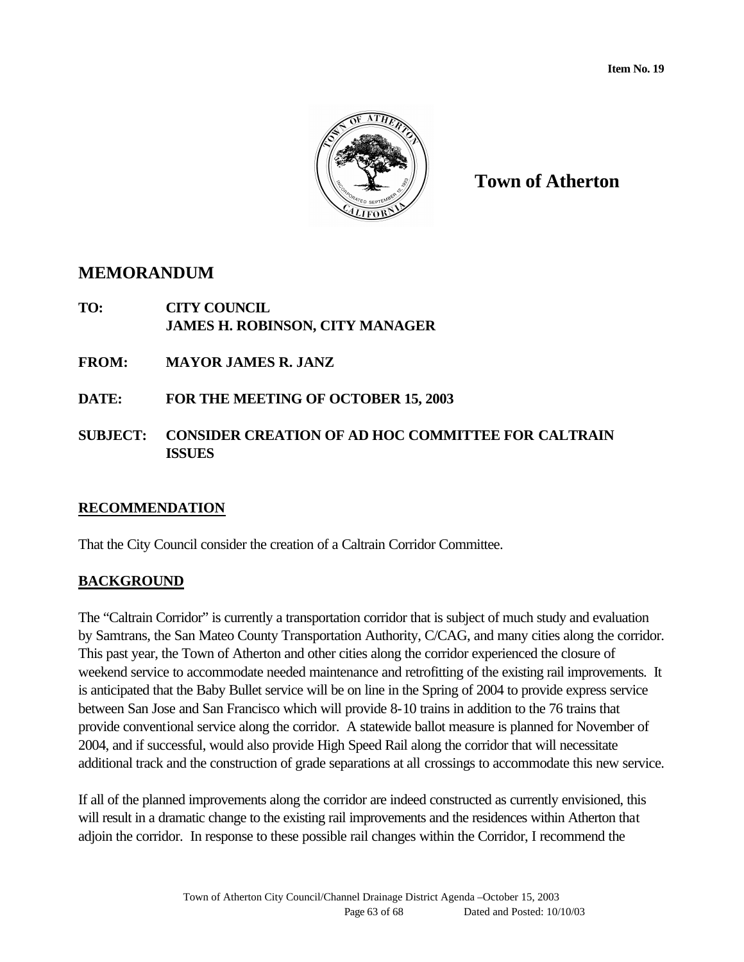

**Town of Atherton**

## **MEMORANDUM**

**TO: CITY COUNCIL JAMES H. ROBINSON, CITY MANAGER**

**FROM: MAYOR JAMES R. JANZ**

- **DATE: FOR THE MEETING OF OCTOBER 15, 2003**
- **SUBJECT: CONSIDER CREATION OF AD HOC COMMITTEE FOR CALTRAIN ISSUES**

## **RECOMMENDATION**

That the City Council consider the creation of a Caltrain Corridor Committee.

## **BACKGROUND**

The "Caltrain Corridor" is currently a transportation corridor that is subject of much study and evaluation by Samtrans, the San Mateo County Transportation Authority, C/CAG, and many cities along the corridor. This past year, the Town of Atherton and other cities along the corridor experienced the closure of weekend service to accommodate needed maintenance and retrofitting of the existing rail improvements. It is anticipated that the Baby Bullet service will be on line in the Spring of 2004 to provide express service between San Jose and San Francisco which will provide 8-10 trains in addition to the 76 trains that provide conventional service along the corridor. A statewide ballot measure is planned for November of 2004, and if successful, would also provide High Speed Rail along the corridor that will necessitate additional track and the construction of grade separations at all crossings to accommodate this new service.

If all of the planned improvements along the corridor are indeed constructed as currently envisioned, this will result in a dramatic change to the existing rail improvements and the residences within Atherton that adjoin the corridor. In response to these possible rail changes within the Corridor, I recommend the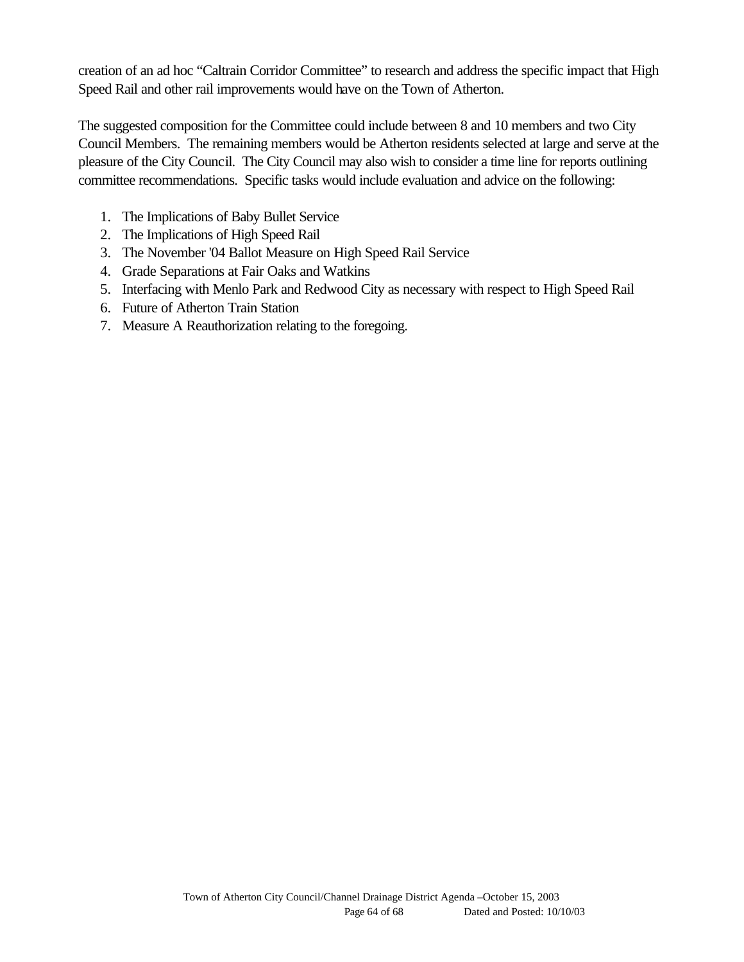creation of an ad hoc "Caltrain Corridor Committee" to research and address the specific impact that High Speed Rail and other rail improvements would have on the Town of Atherton.

The suggested composition for the Committee could include between 8 and 10 members and two City Council Members. The remaining members would be Atherton residents selected at large and serve at the pleasure of the City Council. The City Council may also wish to consider a time line for reports outlining committee recommendations. Specific tasks would include evaluation and advice on the following:

- 1. The Implications of Baby Bullet Service
- 2. The Implications of High Speed Rail
- 3. The November '04 Ballot Measure on High Speed Rail Service
- 4. Grade Separations at Fair Oaks and Watkins
- 5. Interfacing with Menlo Park and Redwood City as necessary with respect to High Speed Rail
- 6. Future of Atherton Train Station
- 7. Measure A Reauthorization relating to the foregoing.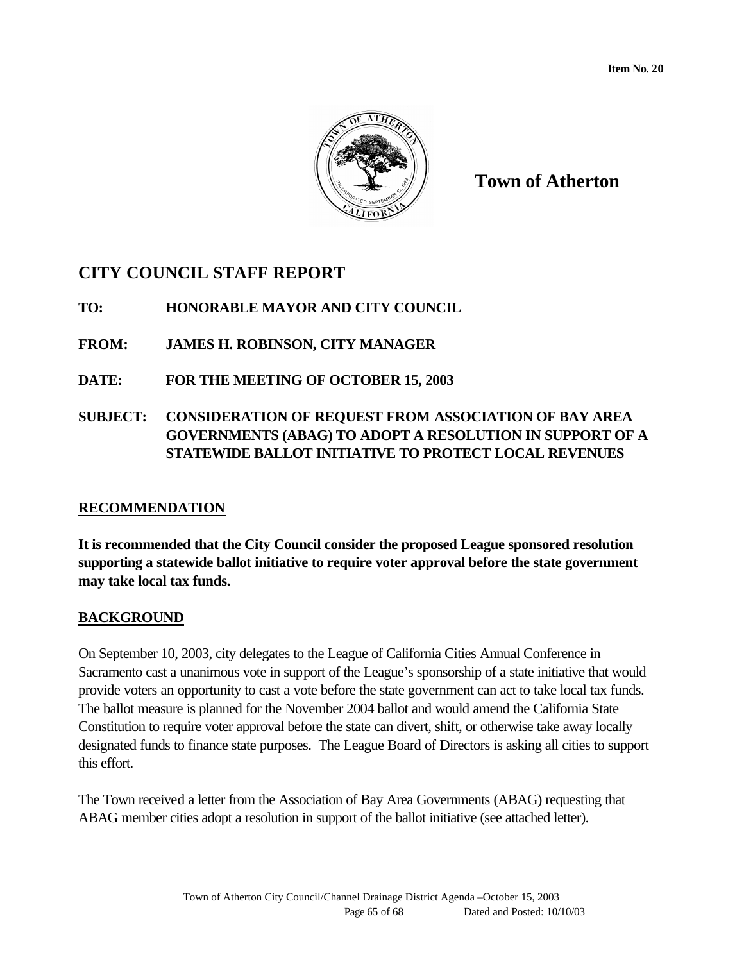

**Town of Atherton**

## **CITY COUNCIL STAFF REPORT**

**TO: HONORABLE MAYOR AND CITY COUNCIL**

**FROM: JAMES H. ROBINSON, CITY MANAGER**

**DATE: FOR THE MEETING OF OCTOBER 15, 2003**

## **SUBJECT: CONSIDERATION OF REQUEST FROM ASSOCIATION OF BAY AREA GOVERNMENTS (ABAG) TO ADOPT A RESOLUTION IN SUPPORT OF A STATEWIDE BALLOT INITIATIVE TO PROTECT LOCAL REVENUES**

## **RECOMMENDATION**

**It is recommended that the City Council consider the proposed League sponsored resolution supporting a statewide ballot initiative to require voter approval before the state government may take local tax funds.**

## **BACKGROUND**

On September 10, 2003, city delegates to the League of California Cities Annual Conference in Sacramento cast a unanimous vote in support of the League's sponsorship of a state initiative that would provide voters an opportunity to cast a vote before the state government can act to take local tax funds. The ballot measure is planned for the November 2004 ballot and would amend the California State Constitution to require voter approval before the state can divert, shift, or otherwise take away locally designated funds to finance state purposes. The League Board of Directors is asking all cities to support this effort.

The Town received a letter from the Association of Bay Area Governments (ABAG) requesting that ABAG member cities adopt a resolution in support of the ballot initiative (see attached letter).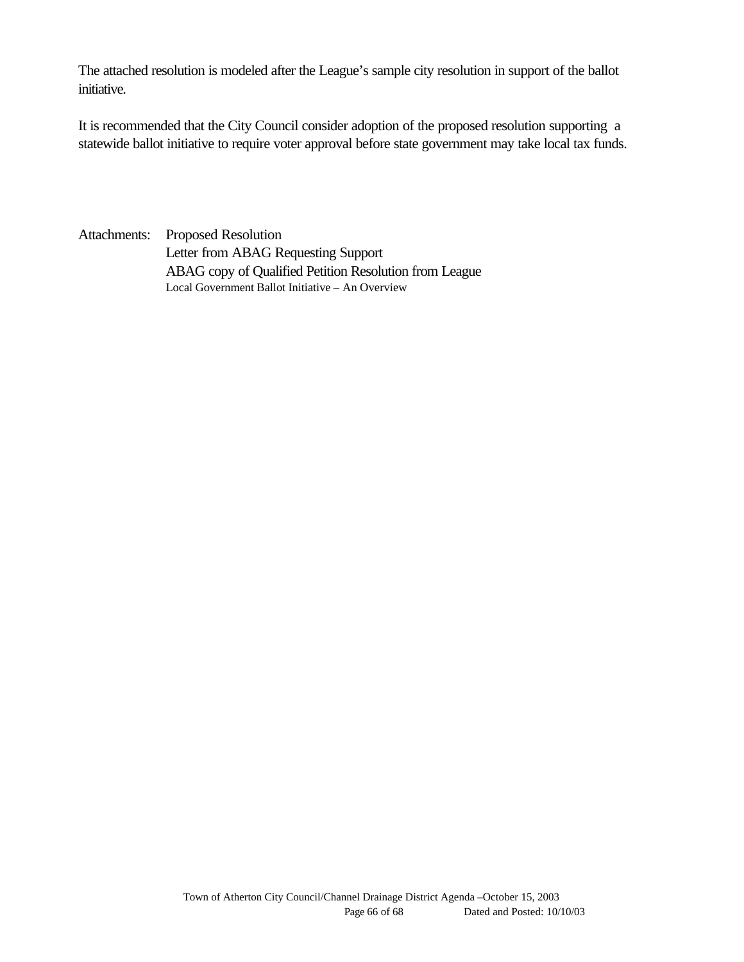The attached resolution is modeled after the League's sample city resolution in support of the ballot initiative.

It is recommended that the City Council consider adoption of the proposed resolution supporting a statewide ballot initiative to require voter approval before state government may take local tax funds.

Attachments: Proposed Resolution Letter from ABAG Requesting Support ABAG copy of Qualified Petition Resolution from League Local Government Ballot Initiative – An Overview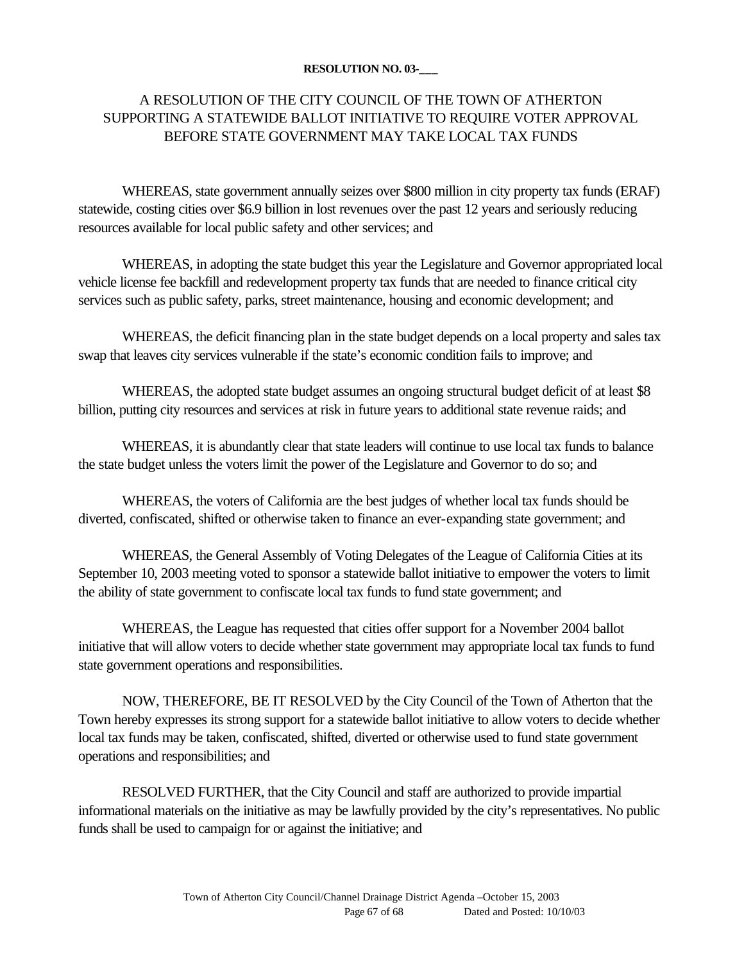#### **RESOLUTION NO. 03-\_\_\_**

## A RESOLUTION OF THE CITY COUNCIL OF THE TOWN OF ATHERTON SUPPORTING A STATEWIDE BALLOT INITIATIVE TO REQUIRE VOTER APPROVAL BEFORE STATE GOVERNMENT MAY TAKE LOCAL TAX FUNDS

WHEREAS, state government annually seizes over \$800 million in city property tax funds (ERAF) statewide, costing cities over \$6.9 billion in lost revenues over the past 12 years and seriously reducing resources available for local public safety and other services; and

WHEREAS, in adopting the state budget this year the Legislature and Governor appropriated local vehicle license fee backfill and redevelopment property tax funds that are needed to finance critical city services such as public safety, parks, street maintenance, housing and economic development; and

WHEREAS, the deficit financing plan in the state budget depends on a local property and sales tax swap that leaves city services vulnerable if the state's economic condition fails to improve; and

WHEREAS, the adopted state budget assumes an ongoing structural budget deficit of at least \$8 billion, putting city resources and services at risk in future years to additional state revenue raids; and

WHEREAS, it is abundantly clear that state leaders will continue to use local tax funds to balance the state budget unless the voters limit the power of the Legislature and Governor to do so; and

WHEREAS, the voters of California are the best judges of whether local tax funds should be diverted, confiscated, shifted or otherwise taken to finance an ever-expanding state government; and

WHEREAS, the General Assembly of Voting Delegates of the League of California Cities at its September 10, 2003 meeting voted to sponsor a statewide ballot initiative to empower the voters to limit the ability of state government to confiscate local tax funds to fund state government; and

WHEREAS, the League has requested that cities offer support for a November 2004 ballot initiative that will allow voters to decide whether state government may appropriate local tax funds to fund state government operations and responsibilities.

NOW, THEREFORE, BE IT RESOLVED by the City Council of the Town of Atherton that the Town hereby expresses its strong support for a statewide ballot initiative to allow voters to decide whether local tax funds may be taken, confiscated, shifted, diverted or otherwise used to fund state government operations and responsibilities; and

RESOLVED FURTHER, that the City Council and staff are authorized to provide impartial informational materials on the initiative as may be lawfully provided by the city's representatives. No public funds shall be used to campaign for or against the initiative; and